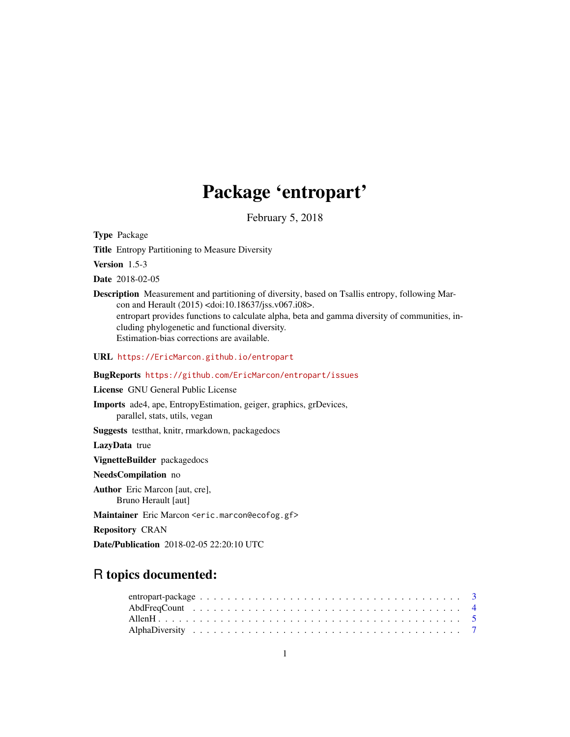# Package 'entropart'

February 5, 2018

<span id="page-0-0"></span>Type Package

Title Entropy Partitioning to Measure Diversity

Version 1.5-3

Date 2018-02-05

Description Measurement and partitioning of diversity, based on Tsallis entropy, following Marcon and Herault (2015) <doi:10.18637/jss.v067.i08>. entropart provides functions to calculate alpha, beta and gamma diversity of communities, including phylogenetic and functional diversity. Estimation-bias corrections are available.

URL <https://EricMarcon.github.io/entropart>

BugReports <https://github.com/EricMarcon/entropart/issues>

License GNU General Public License

Imports ade4, ape, EntropyEstimation, geiger, graphics, grDevices, parallel, stats, utils, vegan

Suggests testthat, knitr, rmarkdown, packagedocs

LazyData true

VignetteBuilder packagedocs

NeedsCompilation no

Author Eric Marcon [aut, cre], Bruno Herault [aut]

Maintainer Eric Marcon <eric.marcon@ecofog.gf>

Repository CRAN

Date/Publication 2018-02-05 22:20:10 UTC

# R topics documented: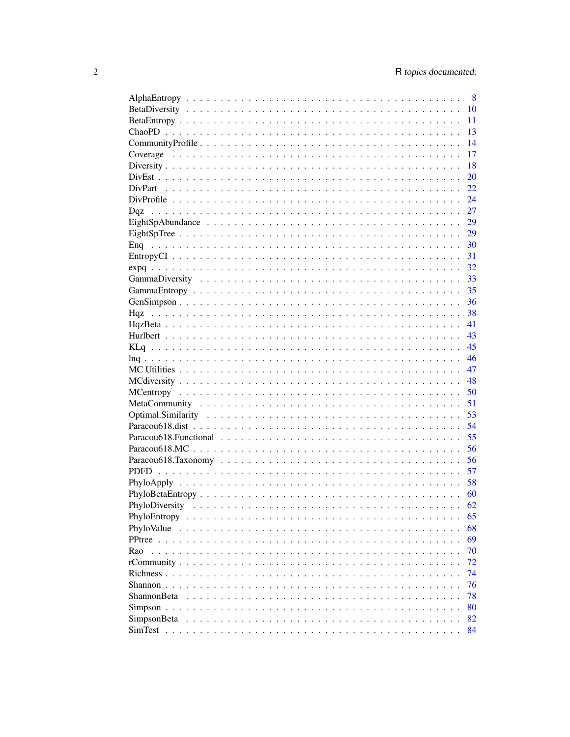|                    | 8  |
|--------------------|----|
|                    | 10 |
|                    | 11 |
|                    | 13 |
|                    | 14 |
|                    | 17 |
|                    | 18 |
|                    | 20 |
|                    | 22 |
|                    | 24 |
|                    | 27 |
|                    | 29 |
|                    | 29 |
|                    | 30 |
|                    | 31 |
|                    | 32 |
|                    | 33 |
|                    | 35 |
|                    | 36 |
|                    | 38 |
|                    | 41 |
|                    | 43 |
|                    | 45 |
|                    | 46 |
|                    | 47 |
|                    | 48 |
|                    |    |
|                    | 50 |
|                    | 51 |
|                    | 53 |
|                    | 54 |
|                    | 55 |
|                    | 56 |
|                    | 56 |
|                    | 57 |
|                    | 58 |
|                    | 60 |
|                    | 62 |
|                    | 65 |
|                    | 68 |
|                    | 69 |
| Rao                | 70 |
|                    | 72 |
|                    | 74 |
|                    | 76 |
| <b>ShannonBeta</b> | 78 |
|                    | 80 |
|                    | 82 |
|                    | 84 |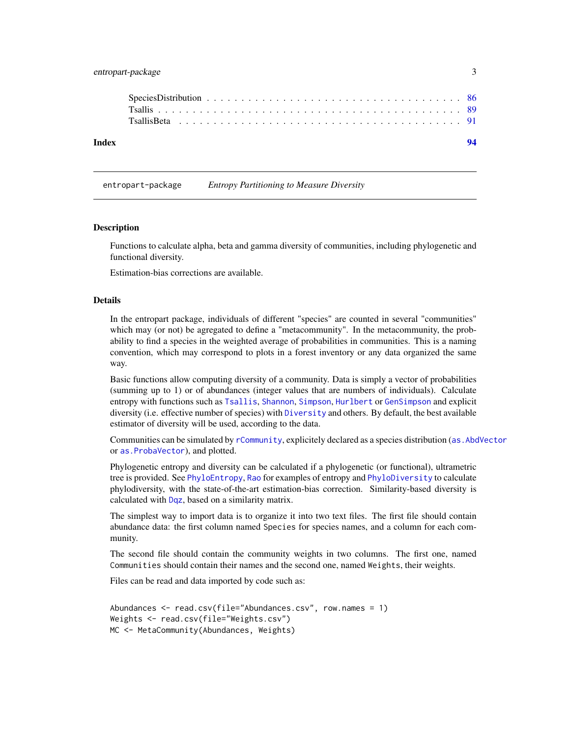# <span id="page-2-0"></span>entropart-package 3

entropart-package *Entropy Partitioning to Measure Diversity*

#### **Description**

Functions to calculate alpha, beta and gamma diversity of communities, including phylogenetic and functional diversity.

Estimation-bias corrections are available.

#### Details

In the entropart package, individuals of different "species" are counted in several "communities" which may (or not) be agregated to define a "metacommunity". In the metacommunity, the probability to find a species in the weighted average of probabilities in communities. This is a naming convention, which may correspond to plots in a forest inventory or any data organized the same way.

Basic functions allow computing diversity of a community. Data is simply a vector of probabilities (summing up to 1) or of abundances (integer values that are numbers of individuals). Calculate entropy with functions such as [Tsallis](#page-88-1), [Shannon](#page-75-1), [Simpson](#page-79-1), [Hurlbert](#page-42-1) or [GenSimpson](#page-35-1) and explicit diversity (i.e. effective number of species) with [Diversity](#page-17-1) and others. By default, the best available estimator of diversity will be used, according to the data.

Communities can be simulated by [rCommunity](#page-71-1), explicitely declared as a species distribution ([as.AbdVector](#page-85-1) or [as.ProbaVector](#page-85-1)), and plotted.

Phylogenetic entropy and diversity can be calculated if a phylogenetic (or functional), ultrametric tree is provided. See [PhyloEntropy](#page-64-1), [Rao](#page-69-1) for examples of entropy and [PhyloDiversity](#page-61-1) to calculate phylodiversity, with the state-of-the-art estimation-bias correction. Similarity-based diversity is calculated with [Dqz](#page-26-1), based on a similarity matrix.

The simplest way to import data is to organize it into two text files. The first file should contain abundance data: the first column named Species for species names, and a column for each community.

The second file should contain the community weights in two columns. The first one, named Communities should contain their names and the second one, named Weights, their weights.

Files can be read and data imported by code such as:

```
Abundances <- read.csv(file="Abundances.csv", row.names = 1)
Weights <- read.csv(file="Weights.csv")
MC <- MetaCommunity(Abundances, Weights)
```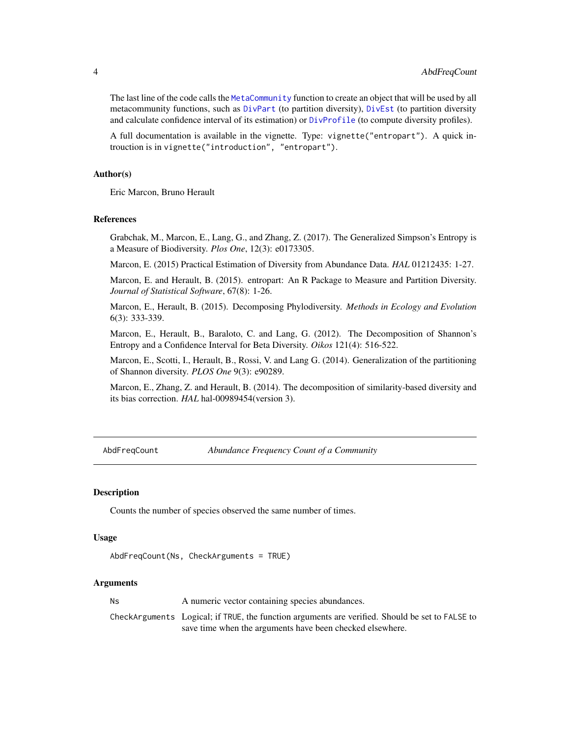<span id="page-3-0"></span>The last line of the code calls the [MetaCommunity](#page-50-1) function to create an object that will be used by all metacommunity functions, such as [DivPart](#page-21-1) (to partition diversity), [DivEst](#page-19-1) (to partition diversity and calculate confidence interval of its estimation) or [DivProfile](#page-23-1) (to compute diversity profiles).

A full documentation is available in the vignette. Type: vignette("entropart"). A quick introuction is in vignette("introduction", "entropart").

#### Author(s)

Eric Marcon, Bruno Herault

# References

Grabchak, M., Marcon, E., Lang, G., and Zhang, Z. (2017). The Generalized Simpson's Entropy is a Measure of Biodiversity. *Plos One*, 12(3): e0173305.

Marcon, E. (2015) Practical Estimation of Diversity from Abundance Data. *HAL* 01212435: 1-27.

Marcon, E. and Herault, B. (2015). entropart: An R Package to Measure and Partition Diversity. *Journal of Statistical Software*, 67(8): 1-26.

Marcon, E., Herault, B. (2015). Decomposing Phylodiversity. *Methods in Ecology and Evolution* 6(3): 333-339.

Marcon, E., Herault, B., Baraloto, C. and Lang, G. (2012). The Decomposition of Shannon's Entropy and a Confidence Interval for Beta Diversity. *Oikos* 121(4): 516-522.

Marcon, E., Scotti, I., Herault, B., Rossi, V. and Lang G. (2014). Generalization of the partitioning of Shannon diversity. *PLOS One* 9(3): e90289.

Marcon, E., Zhang, Z. and Herault, B. (2014). The decomposition of similarity-based diversity and its bias correction. *HAL* hal-00989454(version 3).

AbdFreqCount *Abundance Frequency Count of a Community*

#### **Description**

Counts the number of species observed the same number of times.

# Usage

```
AbdFreqCount(Ns, CheckArguments = TRUE)
```
#### Arguments

Ns A numeric vector containing species abundances. CheckArguments Logical; if TRUE, the function arguments are verified. Should be set to FALSE to save time when the arguments have been checked elsewhere.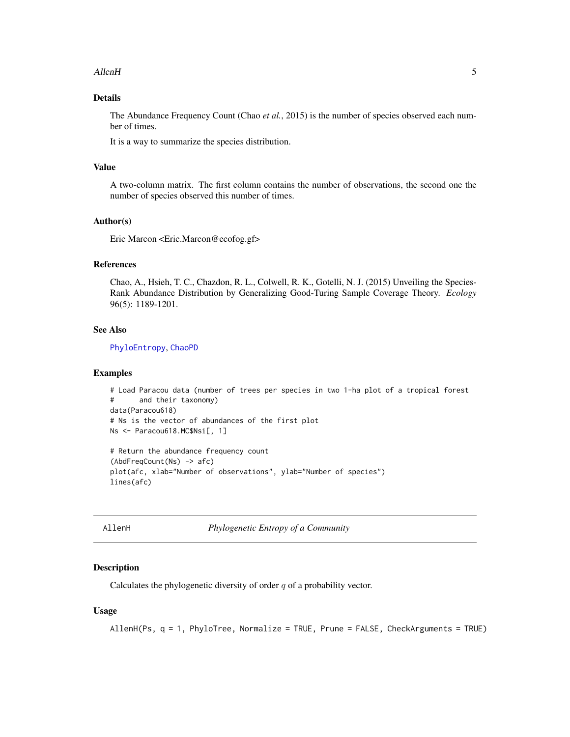#### <span id="page-4-0"></span>AllenH 5

# Details

The Abundance Frequency Count (Chao *et al.*, 2015) is the number of species observed each number of times.

It is a way to summarize the species distribution.

#### Value

A two-column matrix. The first column contains the number of observations, the second one the number of species observed this number of times.

# Author(s)

Eric Marcon <Eric.Marcon@ecofog.gf>

# References

Chao, A., Hsieh, T. C., Chazdon, R. L., Colwell, R. K., Gotelli, N. J. (2015) Unveiling the Species-Rank Abundance Distribution by Generalizing Good-Turing Sample Coverage Theory. *Ecology* 96(5): 1189-1201.

#### See Also

[PhyloEntropy](#page-64-1), [ChaoPD](#page-12-1)

#### Examples

```
# Load Paracou data (number of trees per species in two 1-ha plot of a tropical forest
# and their taxonomy)
data(Paracou618)
# Ns is the vector of abundances of the first plot
Ns <- Paracou618.MC$Nsi[, 1]
# Return the abundance frequency count
(AbdFreqCount(Ns) -> afc)
plot(afc, xlab="Number of observations", ylab="Number of species")
lines(afc)
```
<span id="page-4-1"></span>

| ∖llenH |
|--------|
|        |

**Phylogenetic Entropy of a Community** 

# Description

Calculates the phylogenetic diversity of order  $q$  of a probability vector.

```
AllenH(Ps, q = 1, PhyloTree, Normalize = TRUE, Prune = FALSE, CheckArguments = TRUE)
```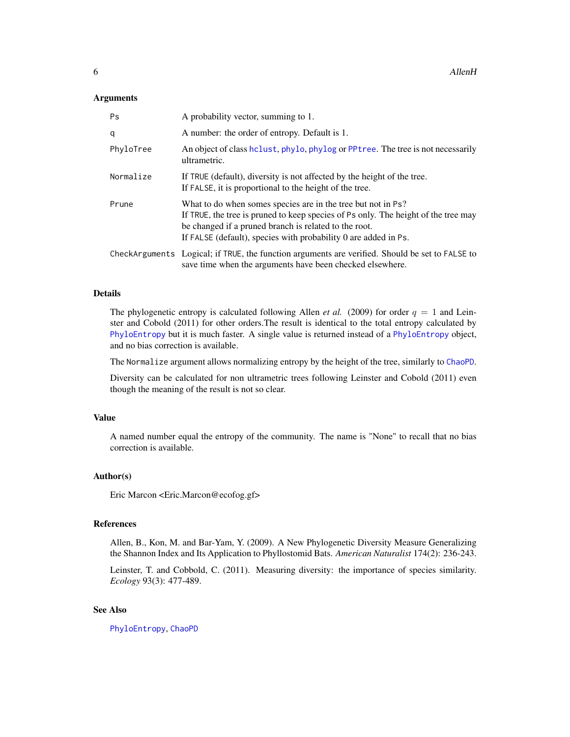#### Arguments

| Ps        | A probability vector, summing to 1.                                                                                                                                                                                                                                            |
|-----------|--------------------------------------------------------------------------------------------------------------------------------------------------------------------------------------------------------------------------------------------------------------------------------|
| q         | A number: the order of entropy. Default is 1.                                                                                                                                                                                                                                  |
| PhyloTree | An object of class holust, phylo, phylog or PPtree. The tree is not necessarily<br>ultrametric.                                                                                                                                                                                |
| Normalize | If TRUE (default), diversity is not affected by the height of the tree.<br>If FALSE, it is proportional to the height of the tree.                                                                                                                                             |
| Prune     | What to do when somes species are in the tree but not in Ps?<br>If TRUE, the tree is pruned to keep species of Ps only. The height of the tree may<br>be changed if a pruned branch is related to the root.<br>If FALSE (default), species with probability 0 are added in Ps. |
|           | CheckArguments Logical; if TRUE, the function arguments are verified. Should be set to FALSE to<br>save time when the arguments have been checked elsewhere.                                                                                                                   |

# Details

The phylogenetic entropy is calculated following Allen *et al.* (2009) for order  $q = 1$  and Leinster and Cobold (2011) for other orders.The result is identical to the total entropy calculated by [PhyloEntropy](#page-64-1) but it is much faster. A single value is returned instead of a [PhyloEntropy](#page-64-1) object, and no bias correction is available.

The Normalize argument allows normalizing entropy by the height of the tree, similarly to [ChaoPD](#page-12-1).

Diversity can be calculated for non ultrametric trees following Leinster and Cobold (2011) even though the meaning of the result is not so clear.

#### Value

A named number equal the entropy of the community. The name is "None" to recall that no bias correction is available.

#### Author(s)

Eric Marcon <Eric.Marcon@ecofog.gf>

#### References

Allen, B., Kon, M. and Bar-Yam, Y. (2009). A New Phylogenetic Diversity Measure Generalizing the Shannon Index and Its Application to Phyllostomid Bats. *American Naturalist* 174(2): 236-243.

Leinster, T. and Cobbold, C. (2011). Measuring diversity: the importance of species similarity. *Ecology* 93(3): 477-489.

# See Also

[PhyloEntropy](#page-64-1), [ChaoPD](#page-12-1)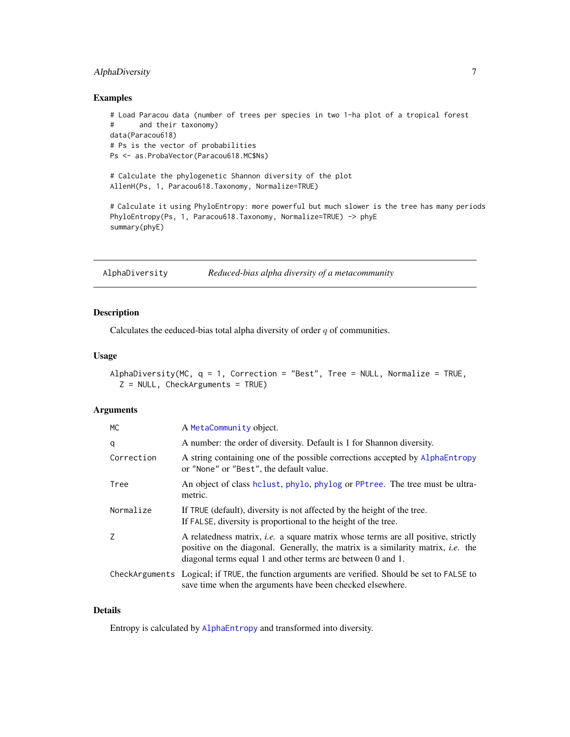# <span id="page-6-0"></span>AlphaDiversity 7

#### Examples

```
# Load Paracou data (number of trees per species in two 1-ha plot of a tropical forest
# and their taxonomy)
data(Paracou618)
# Ps is the vector of probabilities
Ps <- as.ProbaVector(Paracou618.MC$Ns)
# Calculate the phylogenetic Shannon diversity of the plot
AllenH(Ps, 1, Paracou618.Taxonomy, Normalize=TRUE)
# Calculate it using PhyloEntropy: more powerful but much slower is the tree has many periods
PhyloEntropy(Ps, 1, Paracou618.Taxonomy, Normalize=TRUE) -> phyE
summary(phyE)
```
AlphaDiversity *Reduced-bias alpha diversity of a metacommunity*

# Description

Calculates the eeduced-bias total alpha diversity of order  $q$  of communities.

#### Usage

```
AlphaDiversity(MC, q = 1, Correction = "Best", Tree = NULL, Normalize = TRUE,
  Z = NULL, CheckArguments = TRUE)
```
# Arguments

| МC         | A MetaCommunity object.                                                                                                                                                                                                                            |
|------------|----------------------------------------------------------------------------------------------------------------------------------------------------------------------------------------------------------------------------------------------------|
| q          | A number: the order of diversity. Default is 1 for Shannon diversity.                                                                                                                                                                              |
| Correction | A string containing one of the possible corrections accepted by AlphaEntropy<br>or "None" or "Best", the default value.                                                                                                                            |
| Tree       | An object of class helust, phylo, phylog or PPtree. The tree must be ultra-<br>metric.                                                                                                                                                             |
| Normalize  | If TRUE (default), diversity is not affected by the height of the tree.<br>If FALSE, diversity is proportional to the height of the tree.                                                                                                          |
| Z          | A relatedness matrix, <i>i.e.</i> a square matrix whose terms are all positive, strictly<br>positive on the diagonal. Generally, the matrix is a similarity matrix, <i>i.e.</i> the<br>diagonal terms equal 1 and other terms are between 0 and 1. |
|            | CheckArguments Logical; if TRUE, the function arguments are verified. Should be set to FALSE to<br>save time when the arguments have been checked elsewhere.                                                                                       |

# Details

Entropy is calculated by [AlphaEntropy](#page-7-1) and transformed into diversity.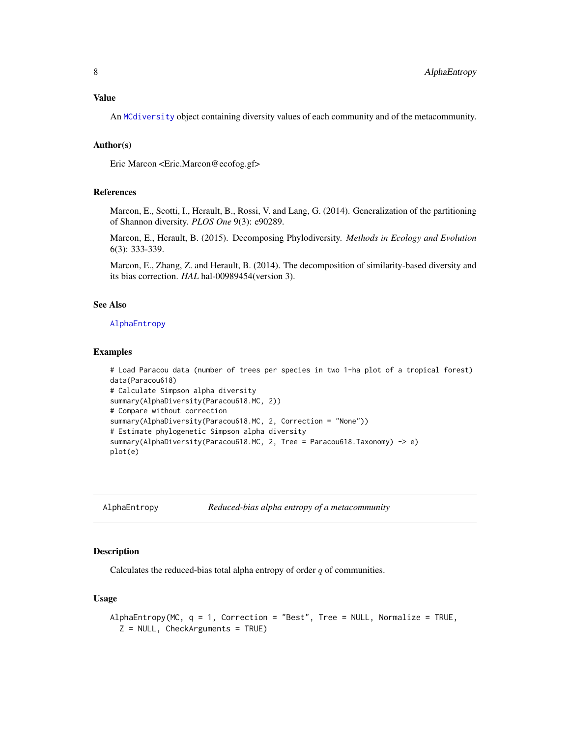# <span id="page-7-0"></span>Value

An [MCdiversity](#page-47-1) object containing diversity values of each community and of the metacommunity.

#### Author(s)

Eric Marcon <Eric.Marcon@ecofog.gf>

#### References

Marcon, E., Scotti, I., Herault, B., Rossi, V. and Lang, G. (2014). Generalization of the partitioning of Shannon diversity. *PLOS One* 9(3): e90289.

Marcon, E., Herault, B. (2015). Decomposing Phylodiversity. *Methods in Ecology and Evolution* 6(3): 333-339.

Marcon, E., Zhang, Z. and Herault, B. (2014). The decomposition of similarity-based diversity and its bias correction. *HAL* hal-00989454(version 3).

#### See Also

#### [AlphaEntropy](#page-7-1)

# Examples

```
# Load Paracou data (number of trees per species in two 1-ha plot of a tropical forest)
data(Paracou618)
# Calculate Simpson alpha diversity
summary(AlphaDiversity(Paracou618.MC, 2))
# Compare without correction
summary(AlphaDiversity(Paracou618.MC, 2, Correction = "None"))
# Estimate phylogenetic Simpson alpha diversity
summary(AlphaDiversity(Paracou618.MC, 2, Tree = Paracou618.Taxonomy) -> e)
plot(e)
```
<span id="page-7-1"></span>AlphaEntropy *Reduced-bias alpha entropy of a metacommunity*

# Description

Calculates the reduced-bias total alpha entropy of order  $q$  of communities.

```
AlphaEntropy(MC, q = 1, Correction = "Best", Tree = NULL, Normalize = TRUE,
  Z = NULL, CheckArguments = TRUE)
```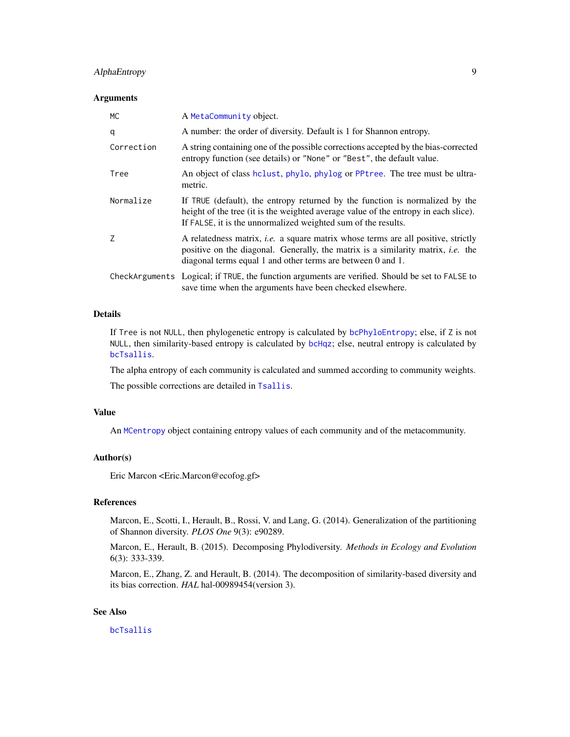# AlphaEntropy 9

#### **Arguments**

| <b>MC</b>  | A MetaCommunity object.                                                                                                                                                                                                                            |
|------------|----------------------------------------------------------------------------------------------------------------------------------------------------------------------------------------------------------------------------------------------------|
| q          | A number: the order of diversity. Default is 1 for Shannon entropy.                                                                                                                                                                                |
| Correction | A string containing one of the possible corrections accepted by the bias-corrected<br>entropy function (see details) or "None" or "Best", the default value.                                                                                       |
| Tree       | An object of class holust, phylo, phylog or PPtree. The tree must be ultra-<br>metric.                                                                                                                                                             |
| Normalize  | If TRUE (default), the entropy returned by the function is normalized by the<br>height of the tree (it is the weighted average value of the entropy in each slice).<br>If FALSE, it is the unnormalized weighted sum of the results.               |
| 7          | A relatedness matrix, <i>i.e.</i> a square matrix whose terms are all positive, strictly<br>positive on the diagonal. Generally, the matrix is a similarity matrix, <i>i.e.</i> the<br>diagonal terms equal 1 and other terms are between 0 and 1. |
|            | CheckArguments Logical; if TRUE, the function arguments are verified. Should be set to FALSE to<br>save time when the arguments have been checked elsewhere.                                                                                       |

# Details

If Tree is not NULL, then phylogenetic entropy is calculated by [bcPhyloEntropy](#page-64-2); else, if Z is not NULL, then similarity-based entropy is calculated by [bcHqz](#page-37-1); else, neutral entropy is calculated by [bcTsallis](#page-88-2).

The alpha entropy of each community is calculated and summed according to community weights. The possible corrections are detailed in [Tsallis](#page-88-1).

#### Value

An [MCentropy](#page-49-1) object containing entropy values of each community and of the metacommunity.

# Author(s)

Eric Marcon <Eric.Marcon@ecofog.gf>

# References

Marcon, E., Scotti, I., Herault, B., Rossi, V. and Lang, G. (2014). Generalization of the partitioning of Shannon diversity. *PLOS One* 9(3): e90289.

Marcon, E., Herault, B. (2015). Decomposing Phylodiversity. *Methods in Ecology and Evolution* 6(3): 333-339.

Marcon, E., Zhang, Z. and Herault, B. (2014). The decomposition of similarity-based diversity and its bias correction. *HAL* hal-00989454(version 3).

# See Also

[bcTsallis](#page-88-2)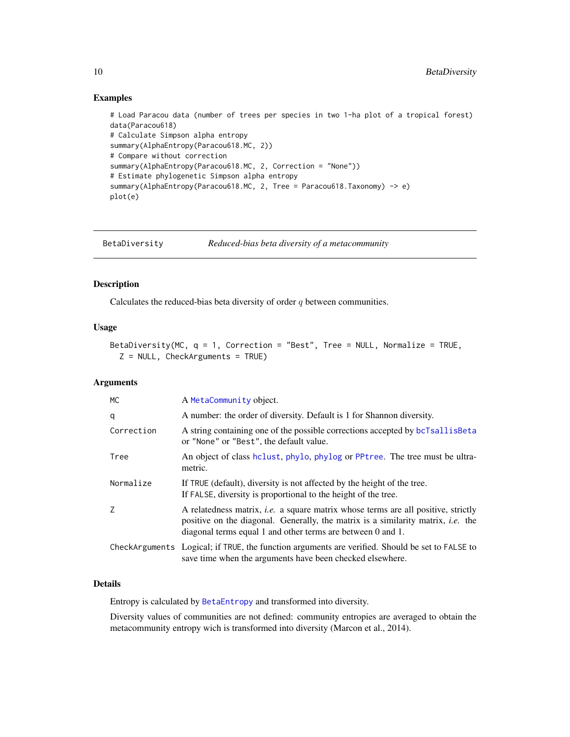#### Examples

```
# Load Paracou data (number of trees per species in two 1-ha plot of a tropical forest)
data(Paracou618)
# Calculate Simpson alpha entropy
summary(AlphaEntropy(Paracou618.MC, 2))
# Compare without correction
summary(AlphaEntropy(Paracou618.MC, 2, Correction = "None"))
# Estimate phylogenetic Simpson alpha entropy
summary(AlphaEntropy(Paracou618.MC, 2, Tree = Paracou618.Taxonomy) -> e)
plot(e)
```
<span id="page-9-1"></span>BetaDiversity *Reduced-bias beta diversity of a metacommunity*

# Description

Calculates the reduced-bias beta diversity of order  $q$  between communities.

# Usage

```
BetaDiversity(MC, q = 1, Correction = "Best", Tree = NULL, Normalize = TRUE,
  Z = NULL, CheckArguments = TRUE)
```
#### Arguments

| MC         | A MetaCommunity object.                                                                                                                                                                                                                            |
|------------|----------------------------------------------------------------------------------------------------------------------------------------------------------------------------------------------------------------------------------------------------|
| q          | A number: the order of diversity. Default is 1 for Shannon diversity.                                                                                                                                                                              |
| Correction | A string containing one of the possible corrections accepted by bcTsallisBeta<br>or "None" or "Best", the default value.                                                                                                                           |
| Tree       | An object of class holust, phylo, phylog or PPtree. The tree must be ultra-<br>metric.                                                                                                                                                             |
| Normalize  | If TRUE (default), diversity is not affected by the height of the tree.<br>If FALSE, diversity is proportional to the height of the tree.                                                                                                          |
| 7          | A relatedness matrix, <i>i.e.</i> a square matrix whose terms are all positive, strictly<br>positive on the diagonal. Generally, the matrix is a similarity matrix, <i>i.e.</i> the<br>diagonal terms equal 1 and other terms are between 0 and 1. |
|            | CheckArguments Logical; if TRUE, the function arguments are verified. Should be set to FALSE to<br>save time when the arguments have been checked elsewhere.                                                                                       |

#### Details

Entropy is calculated by [BetaEntropy](#page-10-1) and transformed into diversity.

Diversity values of communities are not defined: community entropies are averaged to obtain the metacommunity entropy wich is transformed into diversity (Marcon et al., 2014).

<span id="page-9-0"></span>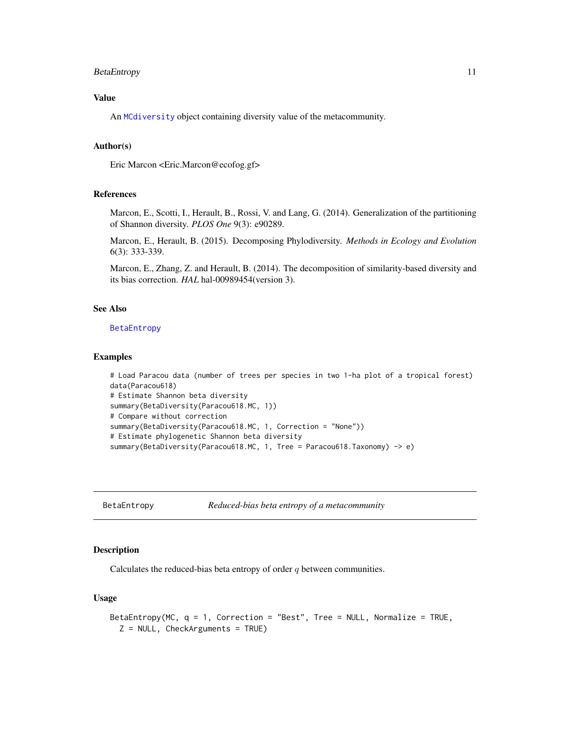# <span id="page-10-0"></span>BetaEntropy 11

# Value

An [MCdiversity](#page-47-1) object containing diversity value of the metacommunity.

# Author(s)

Eric Marcon <Eric.Marcon@ecofog.gf>

# References

Marcon, E., Scotti, I., Herault, B., Rossi, V. and Lang, G. (2014). Generalization of the partitioning of Shannon diversity. *PLOS One* 9(3): e90289.

Marcon, E., Herault, B. (2015). Decomposing Phylodiversity. *Methods in Ecology and Evolution* 6(3): 333-339.

Marcon, E., Zhang, Z. and Herault, B. (2014). The decomposition of similarity-based diversity and its bias correction. *HAL* hal-00989454(version 3).

# See Also

[BetaEntropy](#page-10-1)

#### Examples

```
# Load Paracou data (number of trees per species in two 1-ha plot of a tropical forest)
data(Paracou618)
# Estimate Shannon beta diversity
summary(BetaDiversity(Paracou618.MC, 1))
# Compare without correction
summary(BetaDiversity(Paracou618.MC, 1, Correction = "None"))
# Estimate phylogenetic Shannon beta diversity
summary(BetaDiversity(Paracou618.MC, 1, Tree = Paracou618.Taxonomy) -> e)
```
<span id="page-10-1"></span>BetaEntropy *Reduced-bias beta entropy of a metacommunity*

#### Description

Calculates the reduced-bias beta entropy of order  $q$  between communities.

```
BetaEntropy(MC, q = 1, Correction = "Best", Tree = NULL, Normalize = TRUE,
  Z = NULL, CheckArguments = TRUE)
```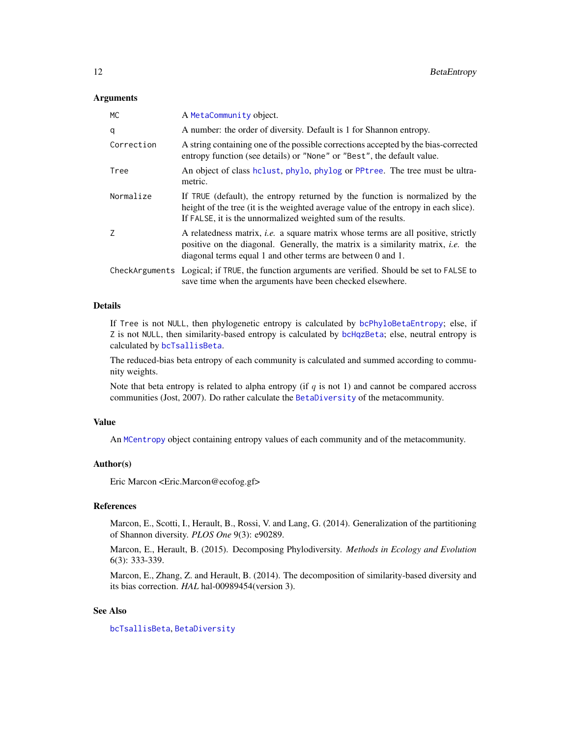#### **Arguments**

| MC.        | A MetaCommunity object.                                                                                                                                                                                                                            |
|------------|----------------------------------------------------------------------------------------------------------------------------------------------------------------------------------------------------------------------------------------------------|
| q          | A number: the order of diversity. Default is 1 for Shannon entropy.                                                                                                                                                                                |
| Correction | A string containing one of the possible corrections accepted by the bias-corrected<br>entropy function (see details) or "None" or "Best", the default value.                                                                                       |
| Tree       | An object of class helust, phylo, phylog or PPtree. The tree must be ultra-<br>metric.                                                                                                                                                             |
| Normalize  | If TRUE (default), the entropy returned by the function is normalized by the<br>height of the tree (it is the weighted average value of the entropy in each slice).<br>If FALSE, it is the unnormalized weighted sum of the results.               |
| Z          | A relatedness matrix, <i>i.e.</i> a square matrix whose terms are all positive, strictly<br>positive on the diagonal. Generally, the matrix is a similarity matrix, <i>i.e.</i> the<br>diagonal terms equal 1 and other terms are between 0 and 1. |
|            | CheckArguments Logical; if TRUE, the function arguments are verified. Should be set to FALSE to<br>save time when the arguments have been checked elsewhere.                                                                                       |

# Details

If Tree is not NULL, then phylogenetic entropy is calculated by [bcPhyloBetaEntropy](#page-59-1); else, if Z is not NULL, then similarity-based entropy is calculated by [bcHqzBeta](#page-40-1); else, neutral entropy is calculated by [bcTsallisBeta](#page-90-1).

The reduced-bias beta entropy of each community is calculated and summed according to community weights.

Note that beta entropy is related to alpha entropy (if  $q$  is not 1) and cannot be compared accross communities (Jost, 2007). Do rather calculate the [BetaDiversity](#page-9-1) of the metacommunity.

#### Value

An [MCentropy](#page-49-1) object containing entropy values of each community and of the metacommunity.

# Author(s)

Eric Marcon <Eric.Marcon@ecofog.gf>

# References

Marcon, E., Scotti, I., Herault, B., Rossi, V. and Lang, G. (2014). Generalization of the partitioning of Shannon diversity. *PLOS One* 9(3): e90289.

Marcon, E., Herault, B. (2015). Decomposing Phylodiversity. *Methods in Ecology and Evolution* 6(3): 333-339.

Marcon, E., Zhang, Z. and Herault, B. (2014). The decomposition of similarity-based diversity and its bias correction. *HAL* hal-00989454(version 3).

# See Also

[bcTsallisBeta](#page-90-1), [BetaDiversity](#page-9-1)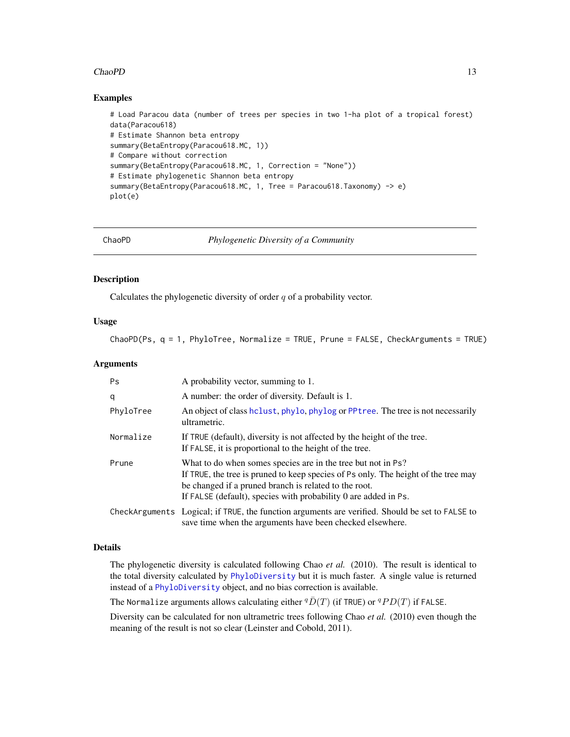#### <span id="page-12-0"></span>ChaoPD 13

#### Examples

```
# Load Paracou data (number of trees per species in two 1-ha plot of a tropical forest)
data(Paracou618)
# Estimate Shannon beta entropy
summary(BetaEntropy(Paracou618.MC, 1))
# Compare without correction
summary(BetaEntropy(Paracou618.MC, 1, Correction = "None"))
# Estimate phylogenetic Shannon beta entropy
summary(BetaEntropy(Paracou618.MC, 1, Tree = Paracou618.Taxonomy) -> e)
plot(e)
```
<span id="page-12-1"></span>

ChaoPD *Phylogenetic Diversity of a Community*

#### Description

Calculates the phylogenetic diversity of order  $q$  of a probability vector.

#### Usage

ChaoPD(Ps, q = 1, PhyloTree, Normalize = TRUE, Prune = FALSE, CheckArguments = TRUE)

# Arguments

| <b>Ps</b> | A probability vector, summing to 1.                                                                                                                                                                                                                                            |
|-----------|--------------------------------------------------------------------------------------------------------------------------------------------------------------------------------------------------------------------------------------------------------------------------------|
| q         | A number: the order of diversity. Default is 1.                                                                                                                                                                                                                                |
| PhyloTree | An object of class hclust, phylo, phylog or PPtree. The tree is not necessarily<br>ultrametric.                                                                                                                                                                                |
| Normalize | If TRUE (default), diversity is not affected by the height of the tree.<br>If FALSE, it is proportional to the height of the tree.                                                                                                                                             |
| Prune     | What to do when somes species are in the tree but not in Ps?<br>If TRUE, the tree is pruned to keep species of Ps only. The height of the tree may<br>be changed if a pruned branch is related to the root.<br>If FALSE (default), species with probability 0 are added in Ps. |
|           | CheckArguments Logical; if TRUE, the function arguments are verified. Should be set to FALSE to<br>save time when the arguments have been checked elsewhere.                                                                                                                   |

# Details

The phylogenetic diversity is calculated following Chao *et al.* (2010). The result is identical to the total diversity calculated by [PhyloDiversity](#page-61-1) but it is much faster. A single value is returned instead of a [PhyloDiversity](#page-61-1) object, and no bias correction is available.

The Normalize arguments allows calculating either  ${}^q\bar{D}(T)$  (if TRUE) or  ${}^qPD(T)$  if FALSE.

Diversity can be calculated for non ultrametric trees following Chao *et al.* (2010) even though the meaning of the result is not so clear (Leinster and Cobold, 2011).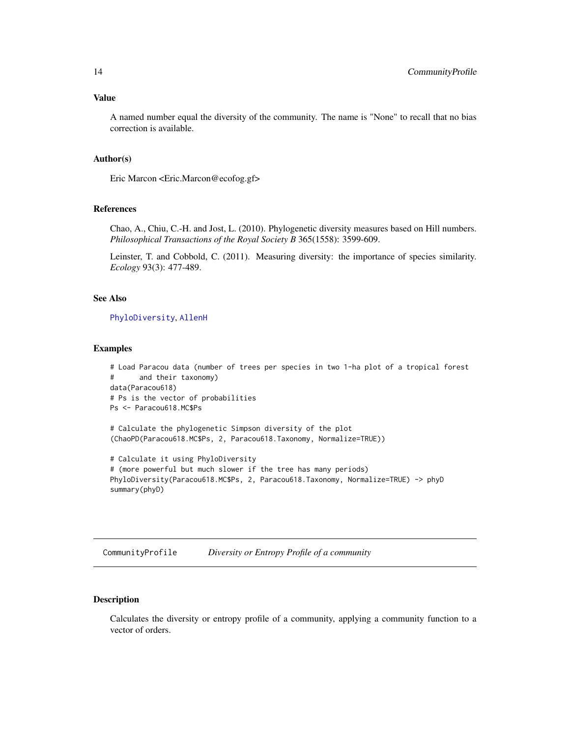#### <span id="page-13-0"></span>Value

A named number equal the diversity of the community. The name is "None" to recall that no bias correction is available.

#### Author(s)

Eric Marcon <Eric.Marcon@ecofog.gf>

# References

Chao, A., Chiu, C.-H. and Jost, L. (2010). Phylogenetic diversity measures based on Hill numbers. *Philosophical Transactions of the Royal Society B* 365(1558): 3599-609.

Leinster, T. and Cobbold, C. (2011). Measuring diversity: the importance of species similarity. *Ecology* 93(3): 477-489.

# See Also

[PhyloDiversity](#page-61-1), [AllenH](#page-4-1)

#### Examples

```
# Load Paracou data (number of trees per species in two 1-ha plot of a tropical forest
# and their taxonomy)
data(Paracou618)
# Ps is the vector of probabilities
Ps <- Paracou618.MC$Ps
# Calculate the phylogenetic Simpson diversity of the plot
(ChaoPD(Paracou618.MC$Ps, 2, Paracou618.Taxonomy, Normalize=TRUE))
# Calculate it using PhyloDiversity
# (more powerful but much slower if the tree has many periods)
PhyloDiversity(Paracou618.MC$Ps, 2, Paracou618.Taxonomy, Normalize=TRUE) -> phyD
```

```
CommunityProfile Diversity or Entropy Profile of a community
```
# Description

summary(phyD)

Calculates the diversity or entropy profile of a community, applying a community function to a vector of orders.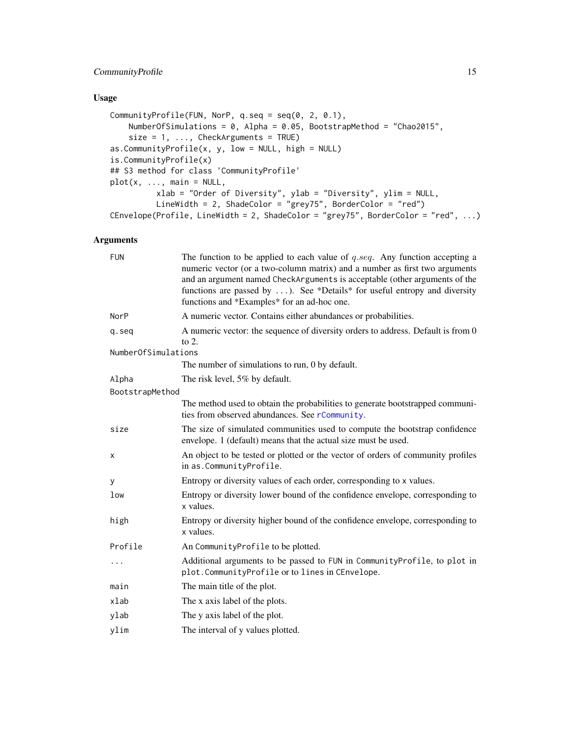# CommunityProfile 15

# Usage

```
CommunityProfile(FUN, NorP, q.seq = seq(0, 2, 0.1),
   NumberOfSimulations = 0, Alpha = 0.05, BootstrapMethod = "Chao2015",
    size = 1, ..., CheckArguments = TRUE)as.CommunityProfile(x, y, low = NULL, high = NULL)
is.CommunityProfile(x)
## S3 method for class 'CommunityProfile'
plot(x, ..., main = NULL,xlab = "Order of Diversity", ylab = "Diversity", ylim = NULL,
         LineWidth = 2, ShadeColor = "grey75", BorderColor = "red")
CEnvelope(Profile, LineWidth = 2, ShadeColor = "grey75", BorderColor = "red", ...)
```
# Arguments

| <b>FUN</b>          | The function to be applied to each value of $q \, \text{seq}$ . Any function accepting a<br>numeric vector (or a two-column matrix) and a number as first two arguments<br>and an argument named CheckArguments is acceptable (other arguments of the<br>functions are passed by ). See *Details* for useful entropy and diversity<br>functions and *Examples* for an ad-hoc one. |
|---------------------|-----------------------------------------------------------------------------------------------------------------------------------------------------------------------------------------------------------------------------------------------------------------------------------------------------------------------------------------------------------------------------------|
| NorP                | A numeric vector. Contains either abundances or probabilities.                                                                                                                                                                                                                                                                                                                    |
| q.seq               | A numeric vector: the sequence of diversity orders to address. Default is from 0<br>to $2$ .                                                                                                                                                                                                                                                                                      |
| NumberOfSimulations |                                                                                                                                                                                                                                                                                                                                                                                   |
|                     | The number of simulations to run, 0 by default.                                                                                                                                                                                                                                                                                                                                   |
| Alpha               | The risk level, 5% by default.                                                                                                                                                                                                                                                                                                                                                    |
| BootstrapMethod     |                                                                                                                                                                                                                                                                                                                                                                                   |
|                     | The method used to obtain the probabilities to generate bootstrapped communi-<br>ties from observed abundances. See rCommunity.                                                                                                                                                                                                                                                   |
| size                | The size of simulated communities used to compute the bootstrap confidence<br>envelope. 1 (default) means that the actual size must be used.                                                                                                                                                                                                                                      |
| х                   | An object to be tested or plotted or the vector of orders of community profiles<br>in as.CommunityProfile.                                                                                                                                                                                                                                                                        |
| У                   | Entropy or diversity values of each order, corresponding to x values.                                                                                                                                                                                                                                                                                                             |
| low                 | Entropy or diversity lower bound of the confidence envelope, corresponding to<br>x values.                                                                                                                                                                                                                                                                                        |
| high                | Entropy or diversity higher bound of the confidence envelope, corresponding to<br>x values.                                                                                                                                                                                                                                                                                       |
| Profile             | An Community Profile to be plotted.                                                                                                                                                                                                                                                                                                                                               |
| $\cdots$            | Additional arguments to be passed to FUN in CommunityProfile, to plot in<br>plot. CommunityProfile or to lines in CEnvelope.                                                                                                                                                                                                                                                      |
| main                | The main title of the plot.                                                                                                                                                                                                                                                                                                                                                       |
| xlab                | The x axis label of the plots.                                                                                                                                                                                                                                                                                                                                                    |
| ylab                | The y axis label of the plot.                                                                                                                                                                                                                                                                                                                                                     |
| ylim                | The interval of y values plotted.                                                                                                                                                                                                                                                                                                                                                 |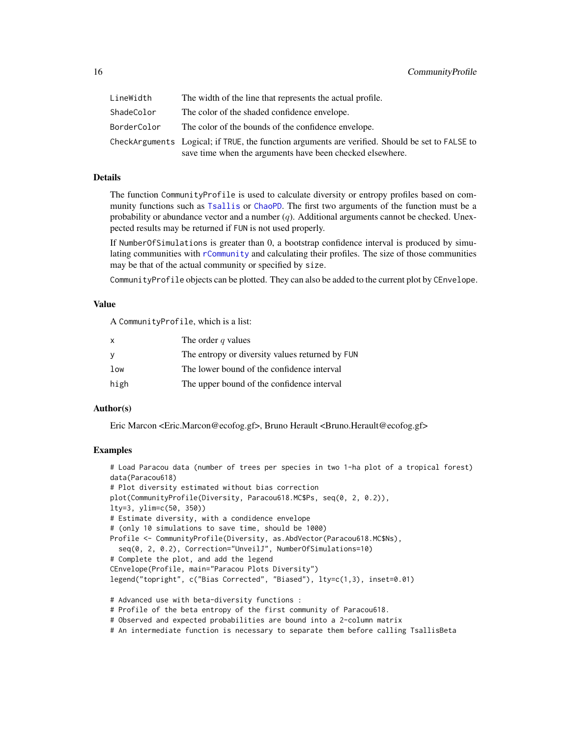| LineWidth   | The width of the line that represents the actual profile.                                                                                                    |
|-------------|--------------------------------------------------------------------------------------------------------------------------------------------------------------|
| ShadeColor  | The color of the shaded confidence envelope.                                                                                                                 |
| BorderColor | The color of the bounds of the confidence envelope.                                                                                                          |
|             | CheckArguments Logical; if TRUE, the function arguments are verified. Should be set to FALSE to<br>save time when the arguments have been checked elsewhere. |

#### Details

The function CommunityProfile is used to calculate diversity or entropy profiles based on community functions such as [Tsallis](#page-88-1) or [ChaoPD](#page-12-1). The first two arguments of the function must be a probability or abundance vector and a number  $(q)$ . Additional arguments cannot be checked. Unexpected results may be returned if FUN is not used properly.

If NumberOfSimulations is greater than 0, a bootstrap confidence interval is produced by simulating communities with [rCommunity](#page-71-1) and calculating their profiles. The size of those communities may be that of the actual community or specified by size.

CommunityProfile objects can be plotted. They can also be added to the current plot by CEnvelope.

#### Value

A CommunityProfile, which is a list:

| X    | The order $q$ values                            |
|------|-------------------------------------------------|
| - V  | The entropy or diversity values returned by FUN |
| low  | The lower bound of the confidence interval      |
| high | The upper bound of the confidence interval      |

# Author(s)

Eric Marcon <Eric.Marcon@ecofog.gf>, Bruno Herault <Bruno.Herault@ecofog.gf>

#### Examples

```
# Load Paracou data (number of trees per species in two 1-ha plot of a tropical forest)
data(Paracou618)
# Plot diversity estimated without bias correction
plot(CommunityProfile(Diversity, Paracou618.MC$Ps, seq(0, 2, 0.2)),
lty=3, ylim=c(50, 350))
# Estimate diversity, with a condidence envelope
# (only 10 simulations to save time, should be 1000)
Profile <- CommunityProfile(Diversity, as.AbdVector(Paracou618.MC$Ns),
 seq(0, 2, 0.2), Correction="UnveilJ", NumberOfSimulations=10)
# Complete the plot, and add the legend
CEnvelope(Profile, main="Paracou Plots Diversity")
legend("topright", c("Bias Corrected", "Biased"), lty=c(1,3), inset=0.01)
```
- # Advanced use with beta-diversity functions :
- # Profile of the beta entropy of the first community of Paracou618.
- # Observed and expected probabilities are bound into a 2-column matrix
- # An intermediate function is necessary to separate them before calling TsallisBeta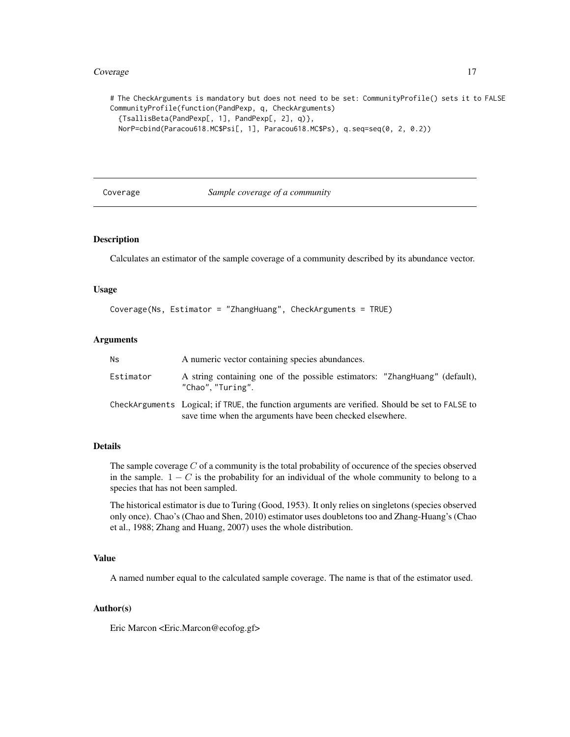#### <span id="page-16-0"></span>Coverage 17

# The CheckArguments is mandatory but does not need to be set: CommunityProfile() sets it to FALSE CommunityProfile(function(PandPexp, q, CheckArguments) {TsallisBeta(PandPexp[, 1], PandPexp[, 2], q)}, NorP=cbind(Paracou618.MC\$Psi[, 1], Paracou618.MC\$Ps), q.seq=seq(0, 2, 0.2))

<span id="page-16-1"></span>

Coverage *Sample coverage of a community*

#### Description

Calculates an estimator of the sample coverage of a community described by its abundance vector.

#### Usage

```
Coverage(Ns, Estimator = "ZhangHuang", CheckArguments = TRUE)
```
#### **Arguments**

| Ns.       | A numeric vector containing species abundances.                                                                                                              |
|-----------|--------------------------------------------------------------------------------------------------------------------------------------------------------------|
| Estimator | A string containing one of the possible estimators: "ZhangHuang" (default),<br>"Chao", "Turing".                                                             |
|           | CheckArguments—Logical; if TRUE, the function arguments are verified. Should be set to FALSE to<br>save time when the arguments have been checked elsewhere. |

#### Details

The sample coverage  $C$  of a community is the total probability of occurence of the species observed in the sample.  $1 - C$  is the probability for an individual of the whole community to belong to a species that has not been sampled.

The historical estimator is due to Turing (Good, 1953). It only relies on singletons (species observed only once). Chao's (Chao and Shen, 2010) estimator uses doubletons too and Zhang-Huang's (Chao et al., 1988; Zhang and Huang, 2007) uses the whole distribution.

# Value

A named number equal to the calculated sample coverage. The name is that of the estimator used.

#### Author(s)

Eric Marcon <Eric.Marcon@ecofog.gf>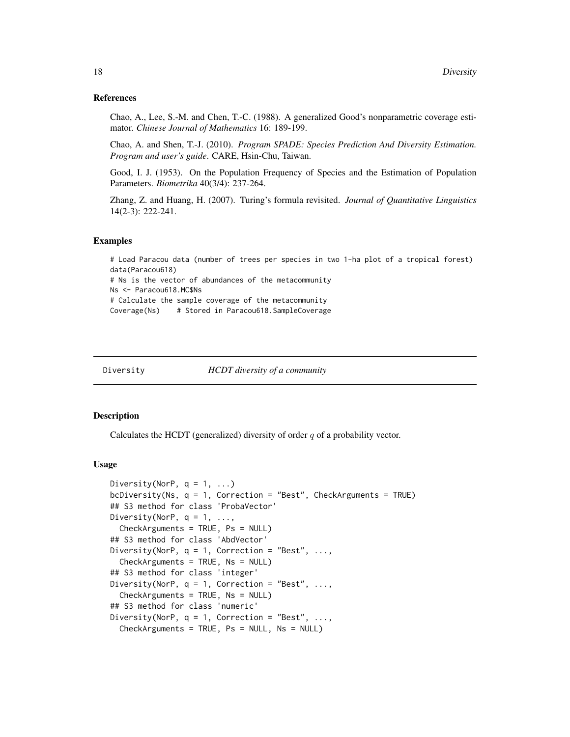#### References

Chao, A., Lee, S.-M. and Chen, T.-C. (1988). A generalized Good's nonparametric coverage estimator. *Chinese Journal of Mathematics* 16: 189-199.

Chao, A. and Shen, T.-J. (2010). *Program SPADE: Species Prediction And Diversity Estimation. Program and user's guide*. CARE, Hsin-Chu, Taiwan.

Good, I. J. (1953). On the Population Frequency of Species and the Estimation of Population Parameters. *Biometrika* 40(3/4): 237-264.

Zhang, Z. and Huang, H. (2007). Turing's formula revisited. *Journal of Quantitative Linguistics* 14(2-3): 222-241.

#### Examples

# Load Paracou data (number of trees per species in two 1-ha plot of a tropical forest) data(Paracou618) # Ns is the vector of abundances of the metacommunity Ns <- Paracou618.MC\$Ns # Calculate the sample coverage of the metacommunity Coverage(Ns) # Stored in Paracou618.SampleCoverage

<span id="page-17-1"></span>

Diversity *HCDT diversity of a community*

#### **Description**

Calculates the HCDT (generalized) diversity of order  $q$  of a probability vector.

```
Diversity(NorP, q = 1, ...)
bcDiversity(Ns, q = 1, Correction = "Best", CheckArguments = TRUE)
## S3 method for class 'ProbaVector'
Diversity(NorP, q = 1, \ldots,
  CheckArguments = TRUE, Ps = NULL)
## S3 method for class 'AbdVector'
Diversity(NorP, q = 1, Correction = "Best", ...,
  CheckArguments = TRUE, Ns = NULL)
## S3 method for class 'integer'
Diversity(NorP, q = 1, Correction = "Best", ...,
  CheckArguments = TRUE, Ns = NULL)
## S3 method for class 'numeric'
Diversity(NorP, q = 1, Correction = "Best", ...,
  CheckArguments = TRUE, Ps = NULL, Ns = NULL)
```
<span id="page-17-0"></span>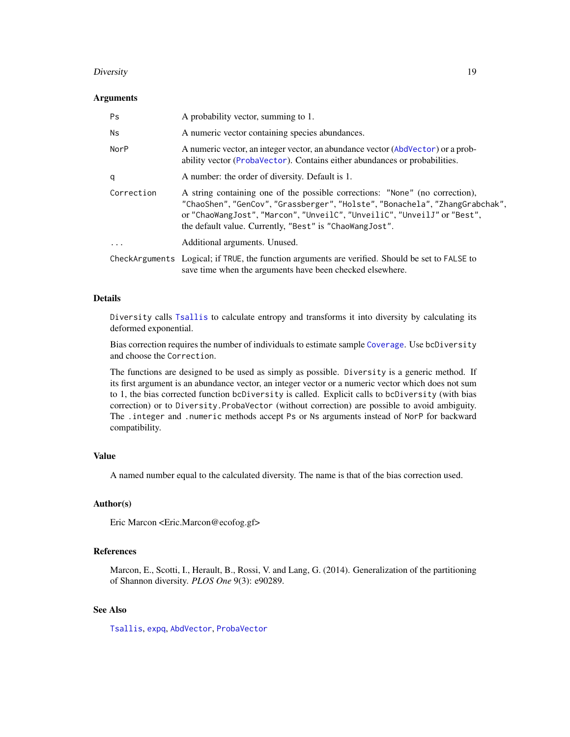#### Diversity that the contract of the contract of the contract of the contract of the contract of the contract of the contract of the contract of the contract of the contract of the contract of the contract of the contract of

#### Arguments

| Ps         | A probability vector, summing to 1.                                                                                                                                                                                                                                                            |  |
|------------|------------------------------------------------------------------------------------------------------------------------------------------------------------------------------------------------------------------------------------------------------------------------------------------------|--|
| <b>Ns</b>  | A numeric vector containing species abundances.                                                                                                                                                                                                                                                |  |
| NorP       | A numeric vector, an integer vector, an abundance vector (AbdVector) or a prob-<br>ability vector (ProbaVector). Contains either abundances or probabilities.                                                                                                                                  |  |
| q          | A number: the order of diversity. Default is 1.                                                                                                                                                                                                                                                |  |
| Correction | A string containing one of the possible corrections: "None" (no correction),<br>"ChaoShen","GenCov","Grassberger","Holste","Bonachela","ZhangGrabchak",<br>or "ChaoWangJost", "Marcon", "UnveilC", "UnveiliC", "UnveilJ" or "Best",<br>the default value. Currently, "Best" is "ChaoWangJost". |  |
| $\ddotsc$  | Additional arguments. Unused.                                                                                                                                                                                                                                                                  |  |
|            | CheckArguments Logical; if TRUE, the function arguments are verified. Should be set to FALSE to<br>save time when the arguments have been checked elsewhere.                                                                                                                                   |  |

# Details

Diversity calls [Tsallis](#page-88-1) to calculate entropy and transforms it into diversity by calculating its deformed exponential.

Bias correction requires the number of individuals to estimate sample [Coverage](#page-16-1). Use bcDiversity and choose the Correction.

The functions are designed to be used as simply as possible. Diversity is a generic method. If its first argument is an abundance vector, an integer vector or a numeric vector which does not sum to 1, the bias corrected function bcDiversity is called. Explicit calls to bcDiversity (with bias correction) or to Diversity.ProbaVector (without correction) are possible to avoid ambiguity. The .integer and .numeric methods accept Ps or Ns arguments instead of NorP for backward compatibility.

# Value

A named number equal to the calculated diversity. The name is that of the bias correction used.

#### Author(s)

Eric Marcon <Eric.Marcon@ecofog.gf>

# References

Marcon, E., Scotti, I., Herault, B., Rossi, V. and Lang, G. (2014). Generalization of the partitioning of Shannon diversity. *PLOS One* 9(3): e90289.

# See Also

[Tsallis](#page-88-1), [expq](#page-31-1), [AbdVector](#page-85-1), [ProbaVector](#page-85-1)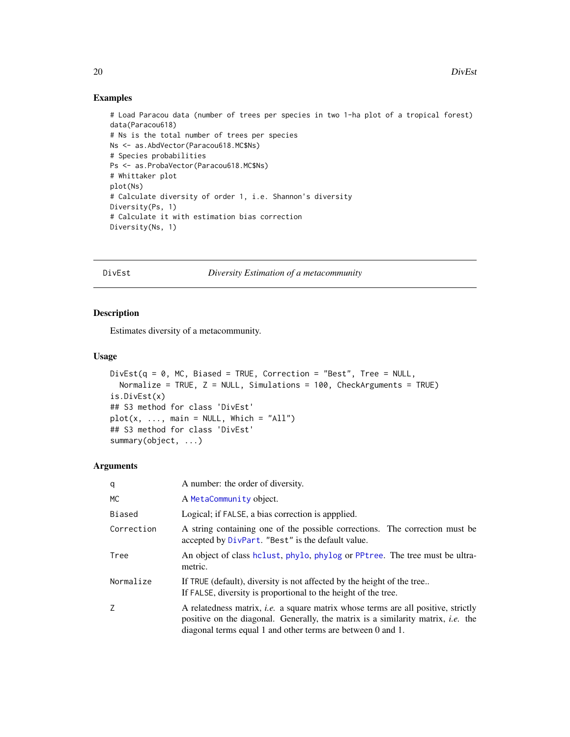#### <span id="page-19-0"></span>Examples

```
# Load Paracou data (number of trees per species in two 1-ha plot of a tropical forest)
data(Paracou618)
# Ns is the total number of trees per species
Ns <- as.AbdVector(Paracou618.MC$Ns)
# Species probabilities
Ps <- as.ProbaVector(Paracou618.MC$Ns)
# Whittaker plot
plot(Ns)
# Calculate diversity of order 1, i.e. Shannon's diversity
Diversity(Ps, 1)
# Calculate it with estimation bias correction
Diversity(Ns, 1)
```
<span id="page-19-1"></span>

DivEst *Diversity Estimation of a metacommunity*

#### Description

Estimates diversity of a metacommunity.

#### Usage

```
DivEst(q = 0, MC, Biased = TRUE, Correction = "Best", Tree = NULL,Normalize = TRUE, Z = NULL, Simulations = 100, CheckArguments = TRUE)
is.DivEst(x)
## S3 method for class 'DivEst'
plot(x, ..., main = NULL, Which = "All")## S3 method for class 'DivEst'
summary(object, ...)
```
#### Arguments

| q          | A number: the order of diversity.                                                                                                                                                                                                                  |  |
|------------|----------------------------------------------------------------------------------------------------------------------------------------------------------------------------------------------------------------------------------------------------|--|
| МC         | A MetaCommunity object.                                                                                                                                                                                                                            |  |
| Biased     | Logical; if FALSE, a bias correction is appplied.                                                                                                                                                                                                  |  |
| Correction | A string containing one of the possible corrections. The correction must be<br>accepted by DivPart. "Best" is the default value.                                                                                                                   |  |
| Tree       | An object of class holust, phylo, phylog or PPtree. The tree must be ultra-<br>metric.                                                                                                                                                             |  |
| Normalize  | If TRUE (default), diversity is not affected by the height of the tree<br>If FALSE, diversity is proportional to the height of the tree.                                                                                                           |  |
| Ζ          | A relatedness matrix, <i>i.e.</i> a square matrix whose terms are all positive, strictly<br>positive on the diagonal. Generally, the matrix is a similarity matrix, <i>i.e.</i> the<br>diagonal terms equal 1 and other terms are between 0 and 1. |  |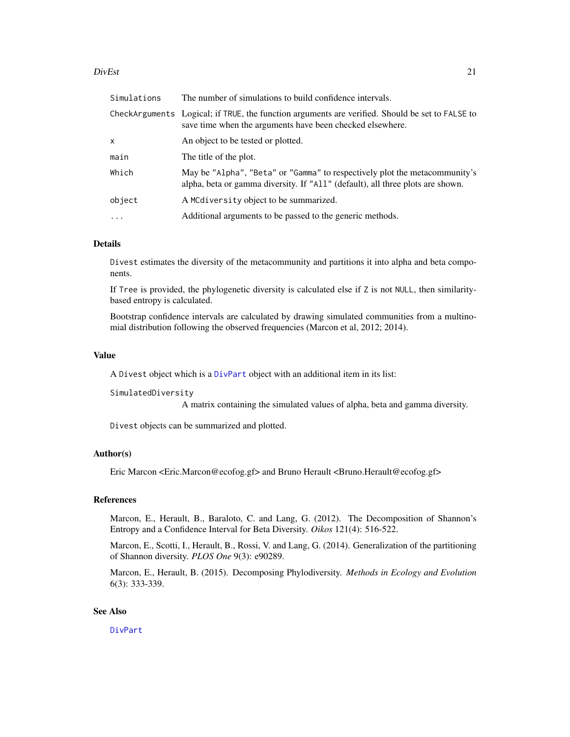#### DivEst 21

| Simulations | The number of simulations to build confidence intervals.                                                                                                     |  |
|-------------|--------------------------------------------------------------------------------------------------------------------------------------------------------------|--|
|             | CheckArguments Logical; if TRUE, the function arguments are verified. Should be set to FALSE to<br>save time when the arguments have been checked elsewhere. |  |
| x           | An object to be tested or plotted.                                                                                                                           |  |
| main        | The title of the plot.                                                                                                                                       |  |
| Which       | May be "Alpha", "Beta" or "Gamma" to respectively plot the metacommunity's<br>alpha, beta or gamma diversity. If "All" (default), all three plots are shown. |  |
| object      | A MCdiversity object to be summarized.                                                                                                                       |  |
| $\ddots$ .  | Additional arguments to be passed to the generic methods.                                                                                                    |  |

# Details

Divest estimates the diversity of the metacommunity and partitions it into alpha and beta components.

If Tree is provided, the phylogenetic diversity is calculated else if Z is not NULL, then similaritybased entropy is calculated.

Bootstrap confidence intervals are calculated by drawing simulated communities from a multinomial distribution following the observed frequencies (Marcon et al, 2012; 2014).

#### Value

A Divest object which is a [DivPart](#page-21-1) object with an additional item in its list:

```
SimulatedDiversity
```
A matrix containing the simulated values of alpha, beta and gamma diversity.

Divest objects can be summarized and plotted.

#### Author(s)

Eric Marcon <Eric.Marcon@ecofog.gf> and Bruno Herault <Bruno.Herault@ecofog.gf>

# **References**

Marcon, E., Herault, B., Baraloto, C. and Lang, G. (2012). The Decomposition of Shannon's Entropy and a Confidence Interval for Beta Diversity. *Oikos* 121(4): 516-522.

Marcon, E., Scotti, I., Herault, B., Rossi, V. and Lang, G. (2014). Generalization of the partitioning of Shannon diversity. *PLOS One* 9(3): e90289.

Marcon, E., Herault, B. (2015). Decomposing Phylodiversity. *Methods in Ecology and Evolution* 6(3): 333-339.

#### See Also

[DivPart](#page-21-1)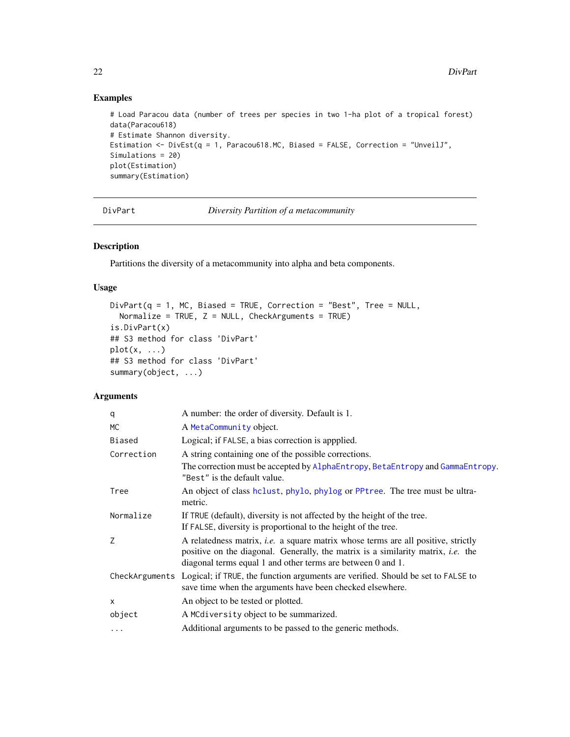# Examples

```
# Load Paracou data (number of trees per species in two 1-ha plot of a tropical forest)
data(Paracou618)
# Estimate Shannon diversity.
Estimation <- DivEst(q = 1, Paracou618.MC, Biased = FALSE, Correction = "UnveilJ",
Simulations = 20)
plot(Estimation)
summary(Estimation)
```
<span id="page-21-1"></span>DivPart *Diversity Partition of a metacommunity*

# Description

Partitions the diversity of a metacommunity into alpha and beta components.

# Usage

```
DivPart(q = 1, MC, Biased = TRUE, Correction = "Best", Tree = NULL,Normalize = TRUE, Z = NULL, CheckArguments = TRUE)
is.DivPart(x)
## S3 method for class 'DivPart'
plot(x, \ldots)## S3 method for class 'DivPart'
summary(object, ...)
```
# Arguments

| A number: the order of diversity. Default is 1.                                                                                                                                                                                                    |  |
|----------------------------------------------------------------------------------------------------------------------------------------------------------------------------------------------------------------------------------------------------|--|
| A MetaCommunity object.                                                                                                                                                                                                                            |  |
| Logical; if FALSE, a bias correction is appplied.                                                                                                                                                                                                  |  |
| A string containing one of the possible corrections.                                                                                                                                                                                               |  |
| The correction must be accepted by AlphaEntropy, BetaEntropy and GammaEntropy.<br>"Best" is the default value.                                                                                                                                     |  |
| An object of class holust, phylo, phylog or PPtree. The tree must be ultra-<br>metric.                                                                                                                                                             |  |
| If TRUE (default), diversity is not affected by the height of the tree.                                                                                                                                                                            |  |
| If FALSE, diversity is proportional to the height of the tree.                                                                                                                                                                                     |  |
| A relatedness matrix, <i>i.e.</i> a square matrix whose terms are all positive, strictly<br>positive on the diagonal. Generally, the matrix is a similarity matrix, <i>i.e.</i> the<br>diagonal terms equal 1 and other terms are between 0 and 1. |  |
| CheckArguments Logical; if TRUE, the function arguments are verified. Should be set to FALSE to<br>save time when the arguments have been checked elsewhere.                                                                                       |  |
| An object to be tested or plotted.                                                                                                                                                                                                                 |  |
| A MCdiversity object to be summarized.                                                                                                                                                                                                             |  |
| Additional arguments to be passed to the generic methods.                                                                                                                                                                                          |  |
|                                                                                                                                                                                                                                                    |  |

<span id="page-21-0"></span>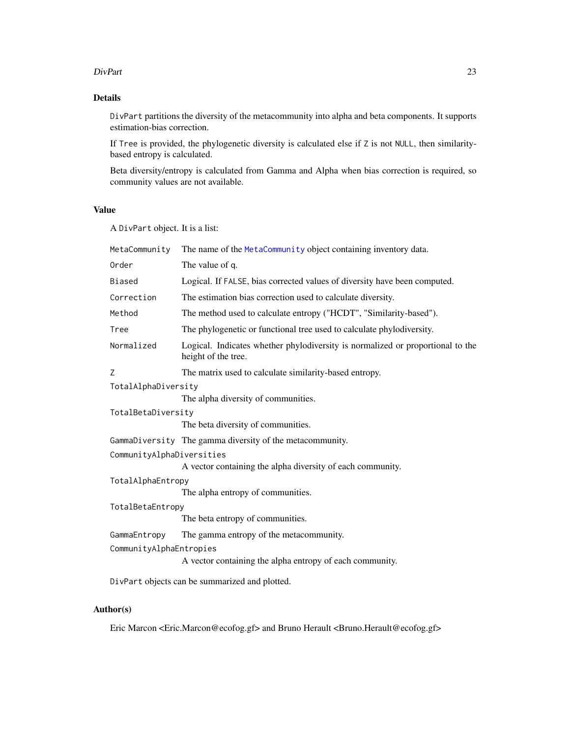#### DivPart 23

# Details

DivPart partitions the diversity of the metacommunity into alpha and beta components. It supports estimation-bias correction.

If Tree is provided, the phylogenetic diversity is calculated else if Z is not NULL, then similaritybased entropy is calculated.

Beta diversity/entropy is calculated from Gamma and Alpha when bias correction is required, so community values are not available.

# Value

A DivPart object. It is a list:

| MetaCommunity             | The name of the MetaCommunity object containing inventory data.                                       |  |
|---------------------------|-------------------------------------------------------------------------------------------------------|--|
| Order                     | The value of q.                                                                                       |  |
| Biased                    | Logical. If FALSE, bias corrected values of diversity have been computed.                             |  |
| Correction                | The estimation bias correction used to calculate diversity.                                           |  |
| Method                    | The method used to calculate entropy ("HCDT", "Similarity-based").                                    |  |
| Tree                      | The phylogenetic or functional tree used to calculate phylodiversity.                                 |  |
| Normalized                | Logical. Indicates whether phylodiversity is normalized or proportional to the<br>height of the tree. |  |
| Z                         | The matrix used to calculate similarity-based entropy.                                                |  |
| TotalAlphaDiversity       |                                                                                                       |  |
|                           | The alpha diversity of communities.                                                                   |  |
| TotalBetaDiversity        |                                                                                                       |  |
|                           | The beta diversity of communities.                                                                    |  |
|                           | GammaDiversity The gamma diversity of the metacommunity.                                              |  |
| CommunityAlphaDiversities |                                                                                                       |  |
|                           | A vector containing the alpha diversity of each community.                                            |  |
| TotalAlphaEntropy         |                                                                                                       |  |
|                           | The alpha entropy of communities.                                                                     |  |
| TotalBetaEntropy          |                                                                                                       |  |
|                           | The beta entropy of communities.                                                                      |  |
| GammaEntropy              | The gamma entropy of the metacommunity.                                                               |  |
| CommunityAlphaEntropies   |                                                                                                       |  |
|                           | A vector containing the alpha entropy of each community.                                              |  |
|                           | DivPart objects can be summarized and plotted.                                                        |  |

# Author(s)

Eric Marcon <Eric.Marcon@ecofog.gf> and Bruno Herault <Bruno.Herault@ecofog.gf>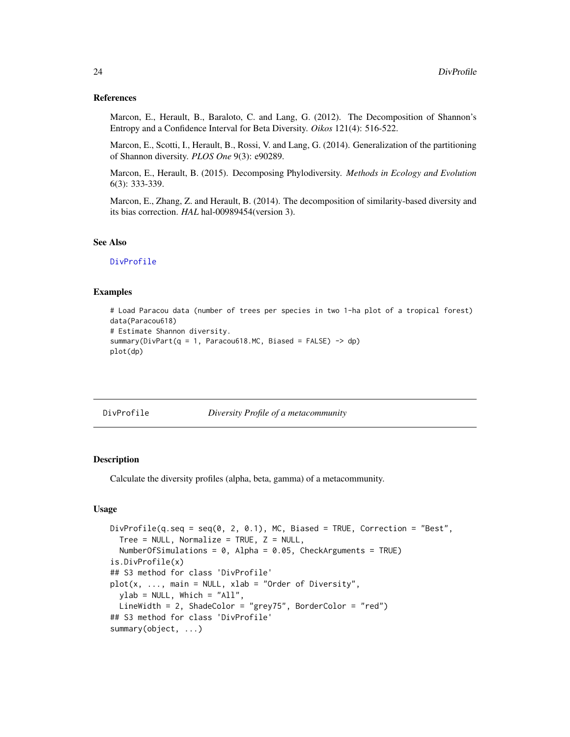#### References

Marcon, E., Herault, B., Baraloto, C. and Lang, G. (2012). The Decomposition of Shannon's Entropy and a Confidence Interval for Beta Diversity. *Oikos* 121(4): 516-522.

Marcon, E., Scotti, I., Herault, B., Rossi, V. and Lang, G. (2014). Generalization of the partitioning of Shannon diversity. *PLOS One* 9(3): e90289.

Marcon, E., Herault, B. (2015). Decomposing Phylodiversity. *Methods in Ecology and Evolution* 6(3): 333-339.

Marcon, E., Zhang, Z. and Herault, B. (2014). The decomposition of similarity-based diversity and its bias correction. *HAL* hal-00989454(version 3).

# See Also

[DivProfile](#page-23-1)

#### Examples

```
# Load Paracou data (number of trees per species in two 1-ha plot of a tropical forest)
data(Paracou618)
# Estimate Shannon diversity.
summary(DivPart(q = 1, Paracou618.MC, Biased = FALSE) -> dp)
plot(dp)
```
<span id="page-23-1"></span>DivProfile *Diversity Profile of a metacommunity*

# Description

Calculate the diversity profiles (alpha, beta, gamma) of a metacommunity.

```
DivProfile(q.seq = seq(0, 2, 0.1), MC, Biased = TRUE, Correction = "Best",
 Tree = NULL, Normalize = TRUE, Z = NULL,
 NumberOfSimulations = 0, Alpha = 0.05, CheckArguments = TRUE)
is.DivProfile(x)
## S3 method for class 'DivProfile'
plot(x, ..., main = NULL, xlab = "Order of Diversity",ylab = NULL, Which = "All",
 LineWidth = 2, ShadeColor = "grey75", BorderColor = "red")
## S3 method for class 'DivProfile'
summary(object, ...)
```
<span id="page-23-0"></span>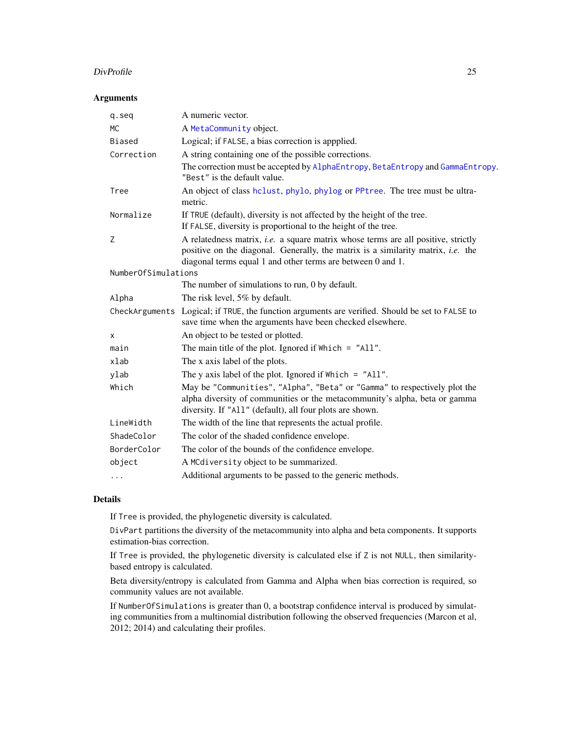#### DivProfile 25

# Arguments

| q.seq               | A numeric vector.                                                                                                                                                                                                                                  |  |
|---------------------|----------------------------------------------------------------------------------------------------------------------------------------------------------------------------------------------------------------------------------------------------|--|
| МC                  | A MetaCommunity object.                                                                                                                                                                                                                            |  |
| Biased              | Logical; if FALSE, a bias correction is appplied.                                                                                                                                                                                                  |  |
| Correction          | A string containing one of the possible corrections.                                                                                                                                                                                               |  |
|                     | The correction must be accepted by AlphaEntropy, BetaEntropy and GammaEntropy.<br>"Best" is the default value.                                                                                                                                     |  |
| Tree                | An object of class hclust, phylo, phylog or PPtree. The tree must be ultra-<br>metric.                                                                                                                                                             |  |
| Normalize           | If TRUE (default), diversity is not affected by the height of the tree.<br>If FALSE, diversity is proportional to the height of the tree.                                                                                                          |  |
| Z                   | A relatedness matrix, <i>i.e.</i> a square matrix whose terms are all positive, strictly<br>positive on the diagonal. Generally, the matrix is a similarity matrix, <i>i.e.</i> the<br>diagonal terms equal 1 and other terms are between 0 and 1. |  |
| NumberOfSimulations |                                                                                                                                                                                                                                                    |  |
|                     | The number of simulations to run, 0 by default.                                                                                                                                                                                                    |  |
| Alpha               | The risk level, 5% by default.                                                                                                                                                                                                                     |  |
|                     | CheckArguments Logical; if TRUE, the function arguments are verified. Should be set to FALSE to<br>save time when the arguments have been checked elsewhere.                                                                                       |  |
| X                   | An object to be tested or plotted.                                                                                                                                                                                                                 |  |
| main                | The main title of the plot. Ignored if $Which = "All".$                                                                                                                                                                                            |  |
| xlab                | The x axis label of the plots.                                                                                                                                                                                                                     |  |
| ylab                | The y axis label of the plot. Ignored if $Which = "All".$                                                                                                                                                                                          |  |
| Which               | May be "Communities", "Alpha", "Beta" or "Gamma" to respectively plot the<br>alpha diversity of communities or the metacommunity's alpha, beta or gamma<br>diversity. If "All" (default), all four plots are shown.                                |  |
| LineWidth           | The width of the line that represents the actual profile.                                                                                                                                                                                          |  |
| ShadeColor          | The color of the shaded confidence envelope.                                                                                                                                                                                                       |  |
| BorderColor         | The color of the bounds of the confidence envelope.                                                                                                                                                                                                |  |
| object              | A MCdiversity object to be summarized.                                                                                                                                                                                                             |  |
|                     | Additional arguments to be passed to the generic methods.                                                                                                                                                                                          |  |

# Details

If Tree is provided, the phylogenetic diversity is calculated.

DivPart partitions the diversity of the metacommunity into alpha and beta components. It supports estimation-bias correction.

If Tree is provided, the phylogenetic diversity is calculated else if Z is not NULL, then similaritybased entropy is calculated.

Beta diversity/entropy is calculated from Gamma and Alpha when bias correction is required, so community values are not available.

If NumberOfSimulations is greater than 0, a bootstrap confidence interval is produced by simulating communities from a multinomial distribution following the observed frequencies (Marcon et al, 2012; 2014) and calculating their profiles.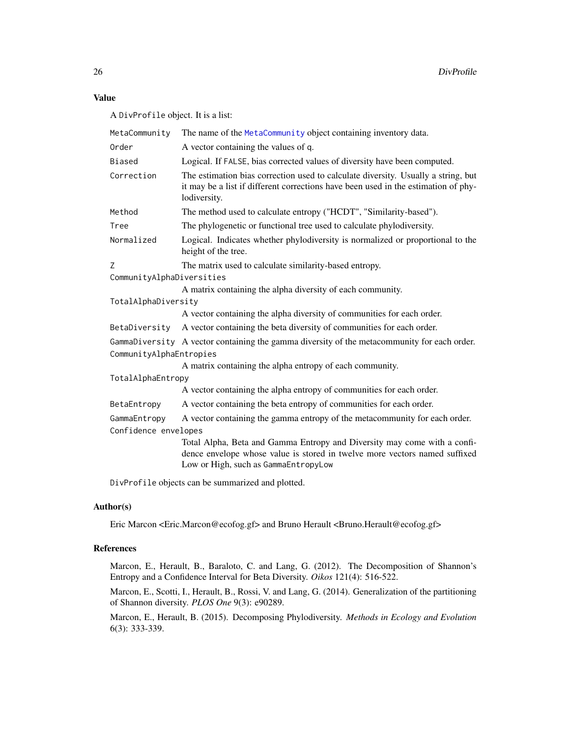# Value

A DivProfile object. It is a list:

| MetaCommunity             | The name of the MetaCommunity object containing inventory data.                                                                                                                                |  |
|---------------------------|------------------------------------------------------------------------------------------------------------------------------------------------------------------------------------------------|--|
| Order                     | A vector containing the values of q.                                                                                                                                                           |  |
| Biased                    | Logical. If FALSE, bias corrected values of diversity have been computed.                                                                                                                      |  |
| Correction                | The estimation bias correction used to calculate diversity. Usually a string, but<br>it may be a list if different corrections have been used in the estimation of phy-<br>lodiversity.        |  |
| Method                    | The method used to calculate entropy ("HCDT", "Similarity-based").                                                                                                                             |  |
| Tree                      | The phylogenetic or functional tree used to calculate phylodiversity.                                                                                                                          |  |
| Normalized                | Logical. Indicates whether phylodiversity is normalized or proportional to the<br>height of the tree.                                                                                          |  |
| Z                         | The matrix used to calculate similarity-based entropy.                                                                                                                                         |  |
| CommunityAlphaDiversities |                                                                                                                                                                                                |  |
|                           | A matrix containing the alpha diversity of each community.                                                                                                                                     |  |
| TotalAlphaDiversity       |                                                                                                                                                                                                |  |
|                           | A vector containing the alpha diversity of communities for each order.                                                                                                                         |  |
| BetaDiversity             | A vector containing the beta diversity of communities for each order.                                                                                                                          |  |
|                           | GammaDiversity A vector containing the gamma diversity of the metacommunity for each order.                                                                                                    |  |
| CommunityAlphaEntropies   |                                                                                                                                                                                                |  |
|                           | A matrix containing the alpha entropy of each community.                                                                                                                                       |  |
| TotalAlphaEntropy         |                                                                                                                                                                                                |  |
|                           | A vector containing the alpha entropy of communities for each order.                                                                                                                           |  |
| BetaEntropy               | A vector containing the beta entropy of communities for each order.                                                                                                                            |  |
| GammaEntropy              | A vector containing the gamma entropy of the metacommunity for each order.                                                                                                                     |  |
| Confidence envelopes      |                                                                                                                                                                                                |  |
|                           | Total Alpha, Beta and Gamma Entropy and Diversity may come with a confi-<br>dence envelope whose value is stored in twelve more vectors named suffixed<br>Low or High, such as GammaEntropyLow |  |
|                           |                                                                                                                                                                                                |  |

DivProfile objects can be summarized and plotted.

# Author(s)

Eric Marcon <Eric.Marcon@ecofog.gf> and Bruno Herault <Bruno.Herault@ecofog.gf>

# References

Marcon, E., Herault, B., Baraloto, C. and Lang, G. (2012). The Decomposition of Shannon's Entropy and a Confidence Interval for Beta Diversity. *Oikos* 121(4): 516-522.

Marcon, E., Scotti, I., Herault, B., Rossi, V. and Lang, G. (2014). Generalization of the partitioning of Shannon diversity. *PLOS One* 9(3): e90289.

Marcon, E., Herault, B. (2015). Decomposing Phylodiversity. *Methods in Ecology and Evolution* 6(3): 333-339.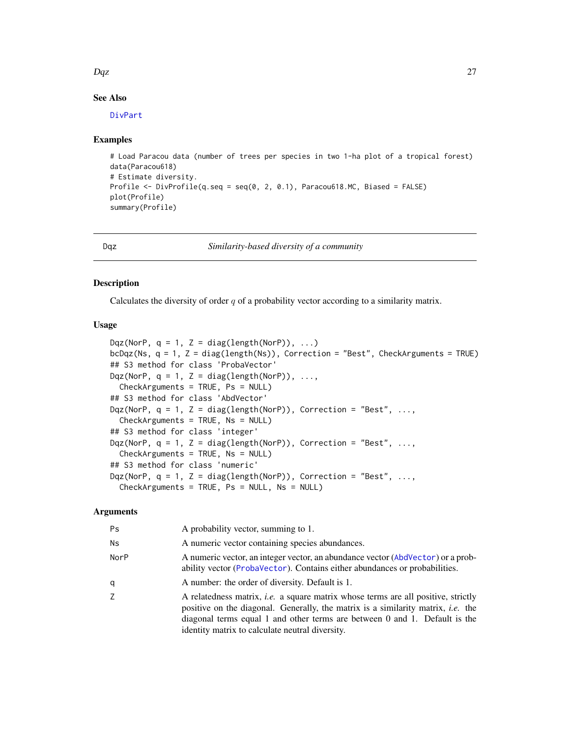#### <span id="page-26-0"></span>Dqz 27

# See Also

[DivPart](#page-21-1)

#### Examples

```
# Load Paracou data (number of trees per species in two 1-ha plot of a tropical forest)
data(Paracou618)
# Estimate diversity.
Profile <- DivProfile(q.seq = seq(0, 2, 0.1), Paracou618.MC, Biased = FALSE)
plot(Profile)
summary(Profile)
```
<span id="page-26-1"></span>Dqz *Similarity-based diversity of a community*

#### Description

Calculates the diversity of order  $q$  of a probability vector according to a similarity matrix.

# Usage

```
Dqz(NorP, q = 1, Z = diag(length(NorP)), ...)bcDqz(Ns, q = 1, Z = diag(length(Ns)), Correction = "Best", CheckArguments = TRUE)
## S3 method for class 'ProbaVector'
Dqz(NorP, q = 1, Z = diag(length(NorP)), ...,
 CheckArguments = TRUE, Ps = NULL)
## S3 method for class 'AbdVector'
Dqz(NorP, q = 1, Z = diag(length(NorP)), Correction = "Best", ...,
  CheckArguments = TRUE, Ns = NULL)
## S3 method for class 'integer'
Dqz(NorP, q = 1, Z = diag(length(NorP)), Correction = "Best", ...,
  CheckArguments = TRUE, Ns = NULL)
## S3 method for class 'numeric'
Dqz(NorP, q = 1, Z = diag(length(NorP)), Correction = "Best", ...,
  CheckArguments = TRUE, Ps = NULL, Ns = NULL)
```
# Arguments

| Ps   | A probability vector, summing to 1.                                                                                                                                                                                                                                                                                  |  |
|------|----------------------------------------------------------------------------------------------------------------------------------------------------------------------------------------------------------------------------------------------------------------------------------------------------------------------|--|
| Ns   | A numeric vector containing species abundances.                                                                                                                                                                                                                                                                      |  |
| NorP | A numeric vector, an integer vector, an abundance vector (AbdVector) or a prob-<br>ability vector (ProbaVector). Contains either abundances or probabilities.                                                                                                                                                        |  |
| q    | A number: the order of diversity. Default is 1.                                                                                                                                                                                                                                                                      |  |
| Ζ    | A relatedness matrix, <i>i.e.</i> a square matrix whose terms are all positive, strictly<br>positive on the diagonal. Generally, the matrix is a similarity matrix, <i>i.e.</i> the<br>diagonal terms equal 1 and other terms are between 0 and 1. Default is the<br>identity matrix to calculate neutral diversity. |  |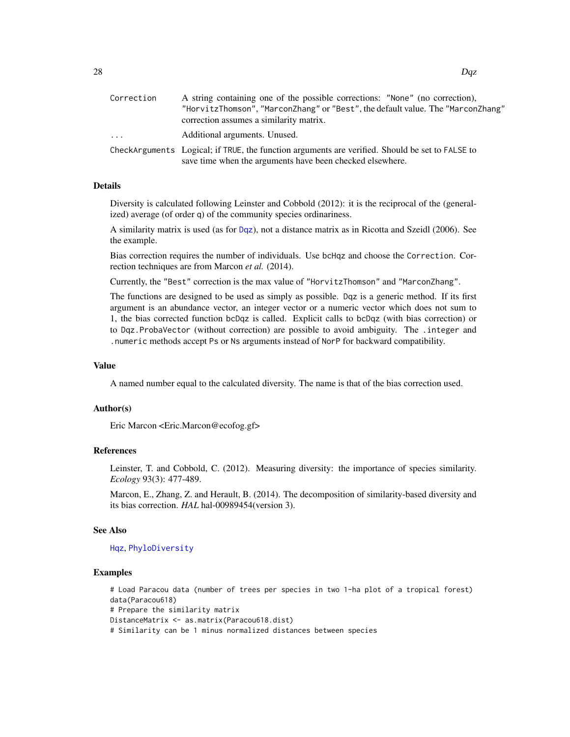| Correction | A string containing one of the possible corrections: "None" (no correction),                                                                                 |  |
|------------|--------------------------------------------------------------------------------------------------------------------------------------------------------------|--|
|            | "HorvitzThomson", "MarconZhang" or "Best", the default value. The "MarconZhang"                                                                              |  |
|            | correction assumes a similarity matrix.                                                                                                                      |  |
| $\cdots$   | Additional arguments. Unused.                                                                                                                                |  |
|            | CheckArguments—Logical; if TRUE, the function arguments are verified. Should be set to FALSE to<br>save time when the arguments have been checked elsewhere. |  |
|            |                                                                                                                                                              |  |

# Details

Diversity is calculated following Leinster and Cobbold (2012): it is the reciprocal of the (generalized) average (of order q) of the community species ordinariness.

A similarity matrix is used (as for [Dqz](#page-26-1)), not a distance matrix as in Ricotta and Szeidl (2006). See the example.

Bias correction requires the number of individuals. Use bcHqz and choose the Correction. Correction techniques are from Marcon *et al.* (2014).

Currently, the "Best" correction is the max value of "HorvitzThomson" and "MarconZhang".

The functions are designed to be used as simply as possible. Dqz is a generic method. If its first argument is an abundance vector, an integer vector or a numeric vector which does not sum to 1, the bias corrected function bcDqz is called. Explicit calls to bcDqz (with bias correction) or to Dqz.ProbaVector (without correction) are possible to avoid ambiguity. The .integer and .numeric methods accept Ps or Ns arguments instead of NorP for backward compatibility.

#### Value

A named number equal to the calculated diversity. The name is that of the bias correction used.

#### Author(s)

Eric Marcon <Eric.Marcon@ecofog.gf>

# References

Leinster, T. and Cobbold, C. (2012). Measuring diversity: the importance of species similarity. *Ecology* 93(3): 477-489.

Marcon, E., Zhang, Z. and Herault, B. (2014). The decomposition of similarity-based diversity and its bias correction. *HAL* hal-00989454(version 3).

#### See Also

[Hqz](#page-37-2), [PhyloDiversity](#page-61-1)

# Examples

# Load Paracou data (number of trees per species in two 1-ha plot of a tropical forest) data(Paracou618) # Prepare the similarity matrix DistanceMatrix <- as.matrix(Paracou618.dist) # Similarity can be 1 minus normalized distances between species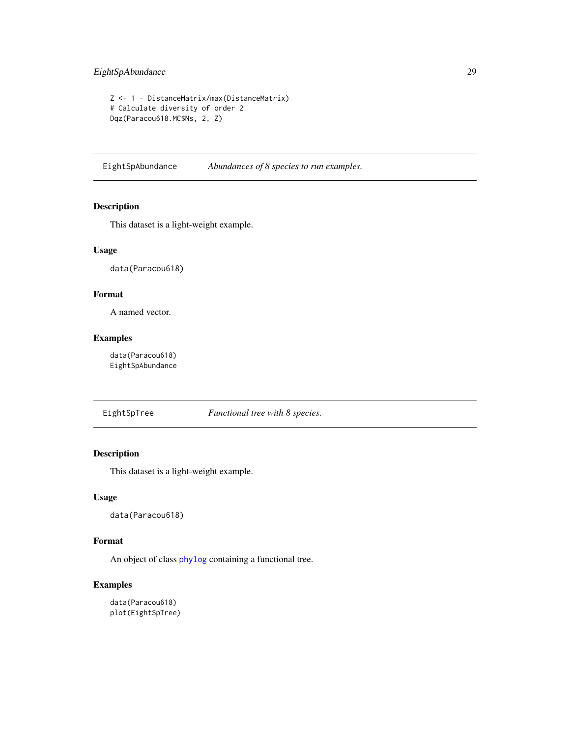# <span id="page-28-0"></span>EightSpAbundance 29

```
Z <- 1 - DistanceMatrix/max(DistanceMatrix)
# Calculate diversity of order 2
Dqz(Paracou618.MC$Ns, 2, Z)
```
EightSpAbundance *Abundances of 8 species to run examples.*

# Description

This dataset is a light-weight example.

# Usage

data(Paracou618)

# Format

A named vector.

# Examples

data(Paracou618) EightSpAbundance

EightSpTree *Functional tree with 8 species.*

# Description

This dataset is a light-weight example.

# Usage

data(Paracou618)

# Format

An object of class [phylog](#page-0-0) containing a functional tree.

# Examples

data(Paracou618) plot(EightSpTree)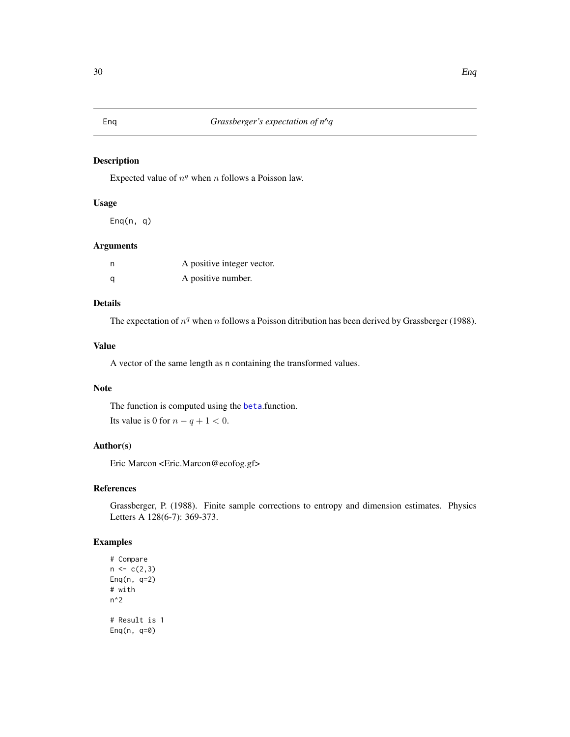# <span id="page-29-0"></span>Description

Expected value of  $n<sup>q</sup>$  when n follows a Poisson law.

# Usage

Enq(n, q)

# Arguments

| n | A positive integer vector. |
|---|----------------------------|
| a | A positive number.         |

# Details

The expectation of  $n<sup>q</sup>$  when n follows a Poisson ditribution has been derived by Grassberger (1988).

#### Value

A vector of the same length as n containing the transformed values.

# Note

The function is computed using the [beta](#page-0-0).function. Its value is 0 for  $n - q + 1 < 0$ .

# Author(s)

Eric Marcon <Eric.Marcon@ecofog.gf>

#### References

Grassberger, P. (1988). Finite sample corrections to entropy and dimension estimates. Physics Letters A 128(6-7): 369-373.

# Examples

# Compare  $n \leq c(2,3)$ Enq(n, q=2) # with n^2 # Result is 1 Enq(n, q=0)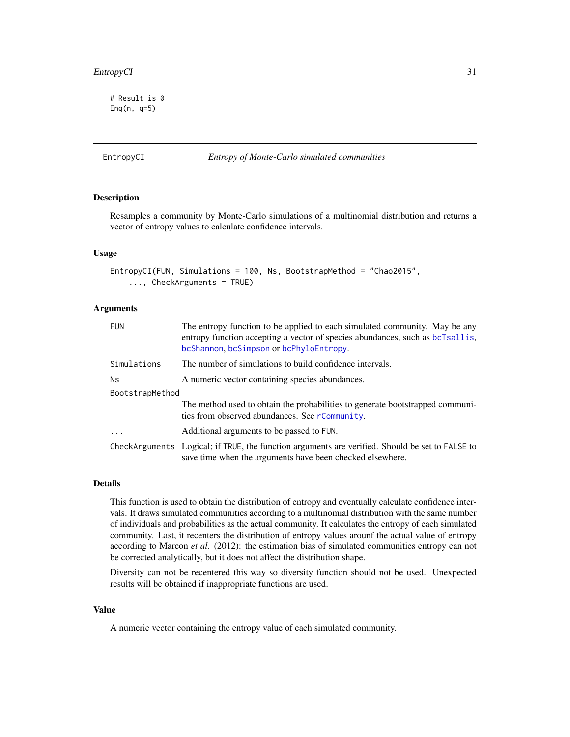# <span id="page-30-0"></span>EntropyCI 31

# Result is 0 Enq(n, q=5)

#### EntropyCI *Entropy of Monte-Carlo simulated communities*

#### Description

Resamples a community by Monte-Carlo simulations of a multinomial distribution and returns a vector of entropy values to calculate confidence intervals.

#### Usage

```
EntropyCI(FUN, Simulations = 100, Ns, BootstrapMethod = "Chao2015",
    ..., CheckArguments = TRUE)
```
# Arguments

| <b>FUN</b>      | The entropy function to be applied to each simulated community. May be any<br>entropy function accepting a vector of species abundances, such as bcTsallis,<br>bcShannon, bcSimpson or bcPhyloEntropy. |  |
|-----------------|--------------------------------------------------------------------------------------------------------------------------------------------------------------------------------------------------------|--|
| Simulations     | The number of simulations to build confidence intervals.                                                                                                                                               |  |
| <b>Ns</b>       | A numeric vector containing species abundances.                                                                                                                                                        |  |
| BootstrapMethod |                                                                                                                                                                                                        |  |
|                 | The method used to obtain the probabilities to generate bootstrapped communi-<br>ties from observed abundances. See rCommunity.                                                                        |  |
| $\cdot$         | Additional arguments to be passed to FUN.                                                                                                                                                              |  |
|                 | CheckArguments Logical; if TRUE, the function arguments are verified. Should be set to FALSE to<br>save time when the arguments have been checked elsewhere.                                           |  |

#### Details

This function is used to obtain the distribution of entropy and eventually calculate confidence intervals. It draws simulated communities according to a multinomial distribution with the same number of individuals and probabilities as the actual community. It calculates the entropy of each simulated community. Last, it recenters the distribution of entropy values arounf the actual value of entropy according to Marcon *et al.* (2012): the estimation bias of simulated communities entropy can not be corrected analytically, but it does not affect the distribution shape.

Diversity can not be recentered this way so diversity function should not be used. Unexpected results will be obtained if inappropriate functions are used.

# Value

A numeric vector containing the entropy value of each simulated community.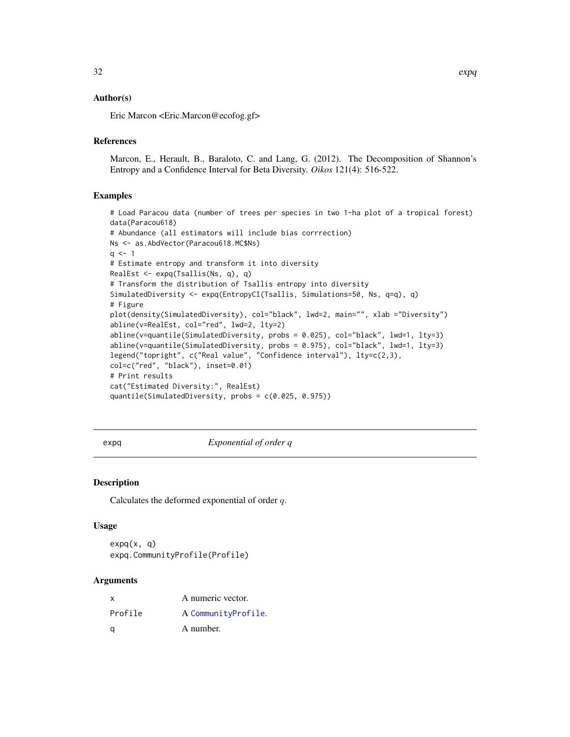#### <span id="page-31-0"></span>Author(s)

Eric Marcon <Eric.Marcon@ecofog.gf>

#### **References**

Marcon, E., Herault, B., Baraloto, C. and Lang, G. (2012). The Decomposition of Shannon's Entropy and a Confidence Interval for Beta Diversity. *Oikos* 121(4): 516-522.

#### Examples

```
# Load Paracou data (number of trees per species in two 1-ha plot of a tropical forest)
data(Paracou618)
# Abundance (all estimators will include bias corrrection)
Ns <- as.AbdVector(Paracou618.MC$Ns)
q \le -1# Estimate entropy and transform it into diversity
RealEst <- expq(Tsallis(Ns, q), q)
# Transform the distribution of Tsallis entropy into diversity
SimulatedDiversity <- expq(EntropyCI(Tsallis, Simulations=50, Ns, q=q), q)
# Figure
plot(density(SimulatedDiversity), col="black", lwd=2, main="", xlab ="Diversity")
abline(v=RealEst, col="red", lwd=2, lty=2)
abline(v=quantile(SimulatedDiversity, probs = 0.025), col="black", lwd=1, lty=3)
abline(v=quantile(SimulatedDiversity, probs = 0.975), col="black", lwd=1, lty=3)
legend("topright", c("Real value", "Confidence interval"), lty=c(2,3),
col=c("red", "black"), inset=0.01)
# Print results
cat("Estimated Diversity:", RealEst)
quantile(SimulatedDiversity, probs = c(0.025, 0.975))
```
<span id="page-31-1"></span>expq *Exponential of order q*

#### Description

Calculates the deformed exponential of order q.

#### Usage

 $expq(x, q)$ expq.CommunityProfile(Profile)

#### Arguments

| x       | A numeric vector.   |
|---------|---------------------|
| Profile | A CommunityProfile. |
| a       | A number.           |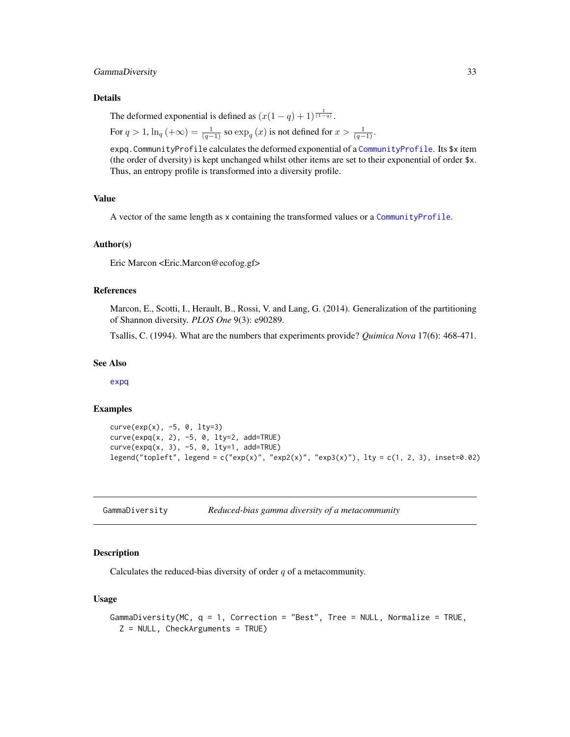# <span id="page-32-0"></span>GammaDiversity 33

#### Details

The deformed exponential is defined as  $(x(1-q)+1)^{\frac{1}{(1-q)}}$ .

For 
$$
q > 1
$$
,  $\ln_q(\alpha) = \frac{1}{(q-1)}$  so  $\exp_q(x)$  is not defined for  $x > \frac{1}{(q-1)}$ .

expq.CommunityProfile calculates the deformed exponential of a [CommunityProfile](#page-13-1). Its \$x item (the order of dversity) is kept unchanged whilst other items are set to their exponential of order \$x. Thus, an entropy profile is transformed into a diversity profile.

#### Value

A vector of the same length as x containing the transformed values or a [CommunityProfile](#page-13-1).

# Author(s)

Eric Marcon <Eric.Marcon@ecofog.gf>

#### References

Marcon, E., Scotti, I., Herault, B., Rossi, V. and Lang, G. (2014). Generalization of the partitioning of Shannon diversity. *PLOS One* 9(3): e90289.

Tsallis, C. (1994). What are the numbers that experiments provide? *Quimica Nova* 17(6): 468-471.

#### See Also

[expq](#page-31-1)

# Examples

```
curve(exp(x), -5, 0, 1ty=3)curve(expq(x, 2), -5, 0, lty=2, add=TRUE)
curve(expq(x, 3), -5, 0, lty=1, add=TRUE)
legend("topleft", legend = c("exp(x)", "exp2(x)", "exp3(x)"), lty = c(1, 2, 3), inset=0.02)
```
GammaDiversity *Reduced-bias gamma diversity of a metacommunity*

# Description

Calculates the reduced-bias diversity of order  $q$  of a metacommunity.

```
GammaDiversity(MC, q = 1, Correction = "Best", Tree = NULL, Normalize = TRUE,
 Z = NULL, CheckArguments = TRUE)
```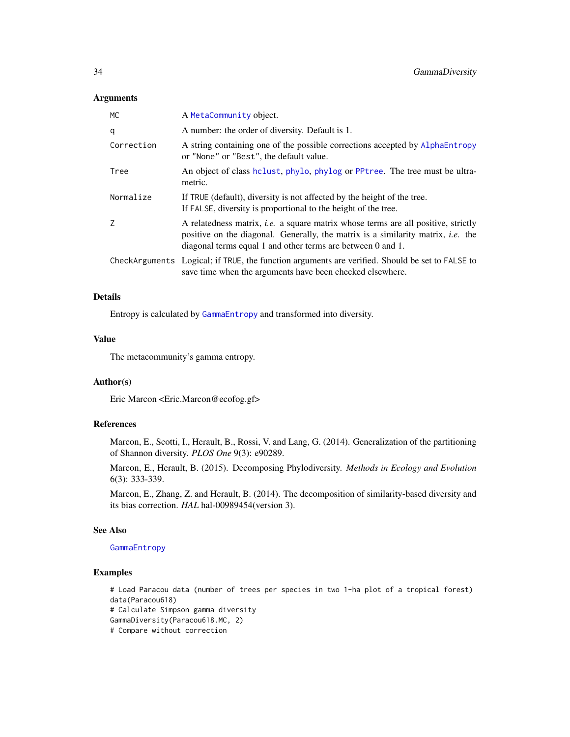#### Arguments

| MC         | A MetaCommunity object.                                                                                                                                                                                                                            |
|------------|----------------------------------------------------------------------------------------------------------------------------------------------------------------------------------------------------------------------------------------------------|
| q          | A number: the order of diversity. Default is 1.                                                                                                                                                                                                    |
| Correction | A string containing one of the possible corrections accepted by AlphaEntropy<br>or "None" or "Best", the default value.                                                                                                                            |
| Tree       | An object of class holust, phylo, phylog or PPtree. The tree must be ultra-<br>metric.                                                                                                                                                             |
| Normalize  | If TRUE (default), diversity is not affected by the height of the tree.<br>If FALSE, diversity is proportional to the height of the tree.                                                                                                          |
| Z          | A relatedness matrix, <i>i.e.</i> a square matrix whose terms are all positive, strictly<br>positive on the diagonal. Generally, the matrix is a similarity matrix, <i>i.e.</i> the<br>diagonal terms equal 1 and other terms are between 0 and 1. |
|            | CheckArguments Logical; if TRUE, the function arguments are verified. Should be set to FALSE to<br>save time when the arguments have been checked elsewhere.                                                                                       |

# Details

Entropy is calculated by [GammaEntropy](#page-34-1) and transformed into diversity.

#### Value

The metacommunity's gamma entropy.

# Author(s)

Eric Marcon <Eric.Marcon@ecofog.gf>

# References

Marcon, E., Scotti, I., Herault, B., Rossi, V. and Lang, G. (2014). Generalization of the partitioning of Shannon diversity. *PLOS One* 9(3): e90289.

Marcon, E., Herault, B. (2015). Decomposing Phylodiversity. *Methods in Ecology and Evolution* 6(3): 333-339.

Marcon, E., Zhang, Z. and Herault, B. (2014). The decomposition of similarity-based diversity and its bias correction. *HAL* hal-00989454(version 3).

## See Also

#### [GammaEntropy](#page-34-1)

# Examples

# Load Paracou data (number of trees per species in two 1-ha plot of a tropical forest) data(Paracou618) # Calculate Simpson gamma diversity GammaDiversity(Paracou618.MC, 2) # Compare without correction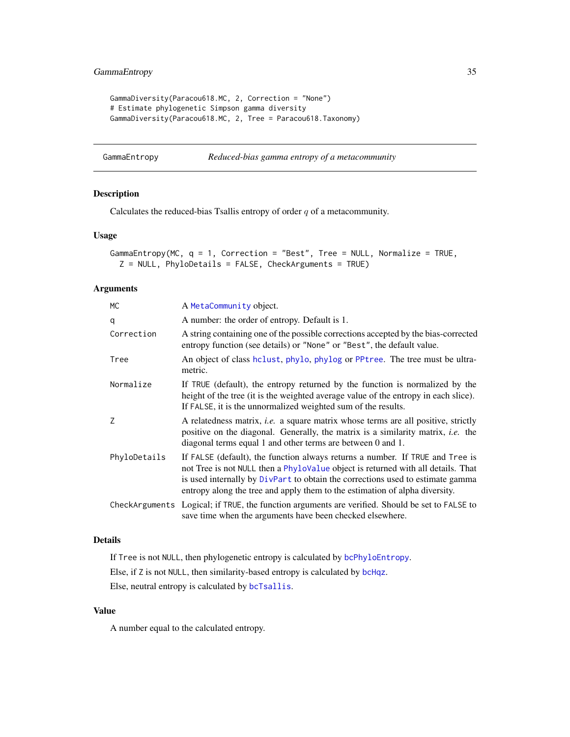# <span id="page-34-0"></span>GammaEntropy 35

```
GammaDiversity(Paracou618.MC, 2, Correction = "None")
# Estimate phylogenetic Simpson gamma diversity
GammaDiversity(Paracou618.MC, 2, Tree = Paracou618.Taxonomy)
```
<span id="page-34-1"></span>GammaEntropy *Reduced-bias gamma entropy of a metacommunity*

# Description

Calculates the reduced-bias Tsallis entropy of order  $q$  of a metacommunity.

# Usage

```
GammaEntropy(MC, q = 1, Correction = "Best", Tree = NULL, Normalize = TRUE,
 Z = NULL, PhyloDetails = FALSE, CheckArguments = TRUE)
```
#### Arguments

| <b>MC</b>    | A MetaCommunity object.                                                                                                                                                                                                                                                                                                            |
|--------------|------------------------------------------------------------------------------------------------------------------------------------------------------------------------------------------------------------------------------------------------------------------------------------------------------------------------------------|
| q            | A number: the order of entropy. Default is 1.                                                                                                                                                                                                                                                                                      |
| Correction   | A string containing one of the possible corrections accepted by the bias-corrected<br>entropy function (see details) or "None" or "Best", the default value.                                                                                                                                                                       |
| Tree         | An object of class hclust, phylo, phylog or PPtree. The tree must be ultra-<br>metric.                                                                                                                                                                                                                                             |
| Normalize    | If TRUE (default), the entropy returned by the function is normalized by the<br>height of the tree (it is the weighted average value of the entropy in each slice).<br>If FALSE, it is the unnormalized weighted sum of the results.                                                                                               |
| Z            | A relatedness matrix, <i>i.e.</i> a square matrix whose terms are all positive, strictly<br>positive on the diagonal. Generally, the matrix is a similarity matrix, <i>i.e.</i> the<br>diagonal terms equal 1 and other terms are between 0 and 1.                                                                                 |
| PhyloDetails | If FALSE (default), the function always returns a number. If TRUE and Tree is<br>not Tree is not NULL then a PhyloValue object is returned with all details. That<br>is used internally by DivPart to obtain the corrections used to estimate gamma<br>entropy along the tree and apply them to the estimation of alpha diversity. |
|              | CheckArguments Logical; if TRUE, the function arguments are verified. Should be set to FALSE to<br>save time when the arguments have been checked elsewhere.                                                                                                                                                                       |

# Details

If Tree is not NULL, then phylogenetic entropy is calculated by [bcPhyloEntropy](#page-64-2). Else, if Z is not NULL, then similarity-based entropy is calculated by [bcHqz](#page-37-1). Else, neutral entropy is calculated by [bcTsallis](#page-88-2).

# Value

A number equal to the calculated entropy.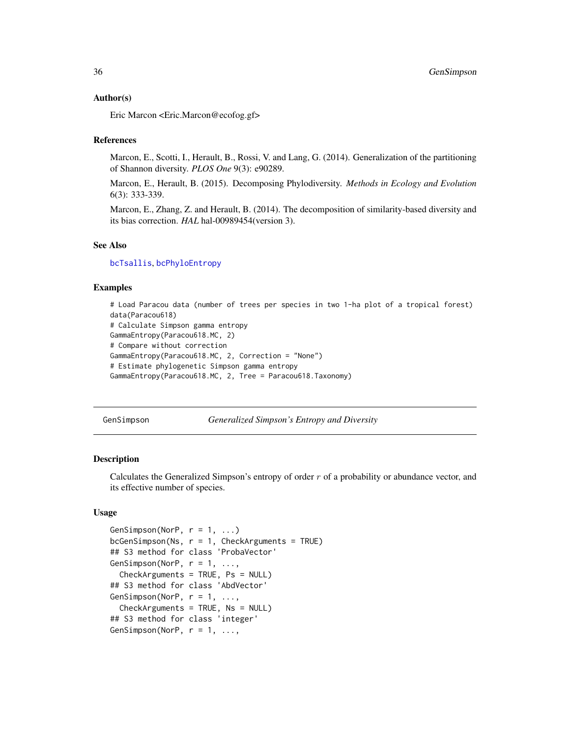#### <span id="page-35-0"></span>Author(s)

Eric Marcon <Eric.Marcon@ecofog.gf>

#### References

Marcon, E., Scotti, I., Herault, B., Rossi, V. and Lang, G. (2014). Generalization of the partitioning of Shannon diversity. *PLOS One* 9(3): e90289.

Marcon, E., Herault, B. (2015). Decomposing Phylodiversity. *Methods in Ecology and Evolution* 6(3): 333-339.

Marcon, E., Zhang, Z. and Herault, B. (2014). The decomposition of similarity-based diversity and its bias correction. *HAL* hal-00989454(version 3).

#### See Also

[bcTsallis](#page-88-2), [bcPhyloEntropy](#page-64-2)

#### Examples

```
# Load Paracou data (number of trees per species in two 1-ha plot of a tropical forest)
data(Paracou618)
# Calculate Simpson gamma entropy
GammaEntropy(Paracou618.MC, 2)
# Compare without correction
GammaEntropy(Paracou618.MC, 2, Correction = "None")
# Estimate phylogenetic Simpson gamma entropy
GammaEntropy(Paracou618.MC, 2, Tree = Paracou618.Taxonomy)
```
<span id="page-35-1"></span>GenSimpson *Generalized Simpson's Entropy and Diversity*

#### **Description**

Calculates the Generalized Simpson's entropy of order  $r$  of a probability or abundance vector, and its effective number of species.

```
GenSimpson(NorP, r = 1, ...)
bcGenSimpson(Ns, r = 1, CheckArguments = TRUE)## S3 method for class 'ProbaVector'
GenSimpson(NorP, r = 1, \ldots,
  CheckArguments = TRUE, Ps = NULL)
## S3 method for class 'AbdVector'
GenSimpson(NorP, r = 1, \ldotsCheckArguments = TRUE, Ns = NULL)
## S3 method for class 'integer'
GenSimpson(NorP, r = 1, \ldots,
```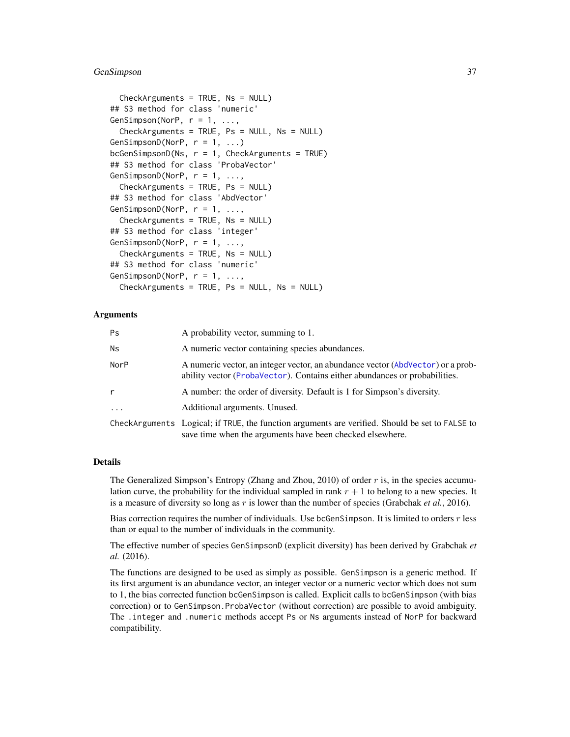### GenSimpson 37

```
CheckArguments = TRUE, Ns = NULL)
## S3 method for class 'numeric'
GenSimpson(NorP, r = 1, \ldots,CheckArguments = TRUE, Ps = NULL, Ns = NULL)
GenSimpsonD(NorP, r = 1, ...)
bcGenSimpsonD(Ns, r = 1, CheckArguments = TRUE)## S3 method for class 'ProbaVector'
GenSimpsonD(NorP, r = 1, \ldots,
  CheckArguments = TRUE, Ps = NULL)
## S3 method for class 'AbdVector'
GenSimpsonD(NorP, r = 1, \ldots,
 CheckArguments = TRUE, Ns = NULL)
## S3 method for class 'integer'
GenSimpsonD(NorP, r = 1, ...CheckArguments = TRUE, Ns = NULL)
## S3 method for class 'numeric'
GenSimpsonD(NorP, r = 1, \ldots,
  CheckArguments = TRUE, Ps = NULL, Ns = NULL)
```
# Arguments

| Ps         | A probability vector, summing to 1.                                                                                                                           |
|------------|---------------------------------------------------------------------------------------------------------------------------------------------------------------|
| Ns         | A numeric vector containing species abundances.                                                                                                               |
| NorP       | A numeric vector, an integer vector, an abundance vector (AbdVector) or a prob-<br>ability vector (ProbaVector). Contains either abundances or probabilities. |
| r          | A number: the order of diversity. Default is 1 for Simpson's diversity.                                                                                       |
| $\ddots$ . | Additional arguments. Unused.                                                                                                                                 |
|            | CheckArguments Logical; if TRUE, the function arguments are verified. Should be set to FALSE to<br>save time when the arguments have been checked elsewhere.  |

### Details

The Generalized Simpson's Entropy (Zhang and Zhou, 2010) of order  $r$  is, in the species accumulation curve, the probability for the individual sampled in rank  $r + 1$  to belong to a new species. It is a measure of diversity so long as r is lower than the number of species (Grabchak *et al.*, 2016).

Bias correction requires the number of individuals. Use bcGenSimpson. It is limited to orders r less than or equal to the number of individuals in the community.

The effective number of species GenSimpsonD (explicit diversity) has been derived by Grabchak *et al.* (2016).

The functions are designed to be used as simply as possible. GenSimpson is a generic method. If its first argument is an abundance vector, an integer vector or a numeric vector which does not sum to 1, the bias corrected function bcGenSimpson is called. Explicit calls to bcGenSimpson (with bias correction) or to GenSimpson.ProbaVector (without correction) are possible to avoid ambiguity. The .integer and .numeric methods accept Ps or Ns arguments instead of NorP for backward compatibility.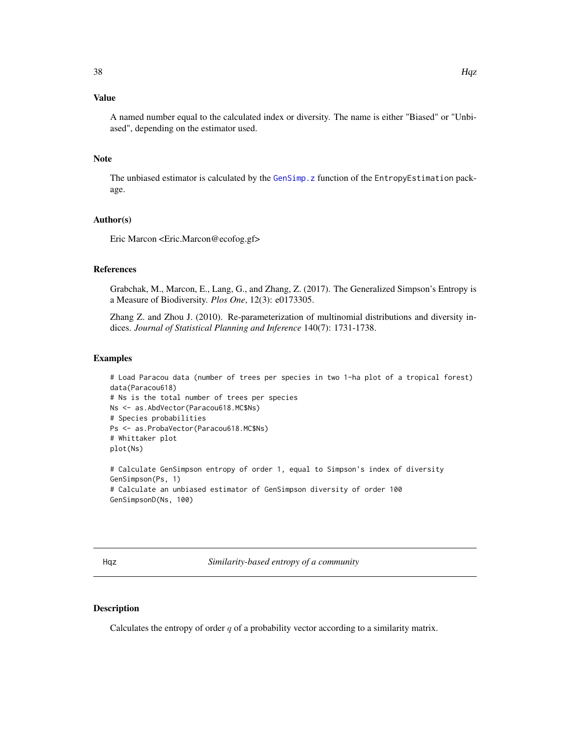# Value

A named number equal to the calculated index or diversity. The name is either "Biased" or "Unbiased", depending on the estimator used.

### Note

The unbiased estimator is calculated by the [GenSimp.z](#page-0-0) function of the EntropyEstimation package.

# Author(s)

Eric Marcon <Eric.Marcon@ecofog.gf>

# References

Grabchak, M., Marcon, E., Lang, G., and Zhang, Z. (2017). The Generalized Simpson's Entropy is a Measure of Biodiversity. *Plos One*, 12(3): e0173305.

Zhang Z. and Zhou J. (2010). Re-parameterization of multinomial distributions and diversity indices. *Journal of Statistical Planning and Inference* 140(7): 1731-1738.

### Examples

```
# Load Paracou data (number of trees per species in two 1-ha plot of a tropical forest)
data(Paracou618)
# Ns is the total number of trees per species
Ns <- as.AbdVector(Paracou618.MC$Ns)
# Species probabilities
Ps <- as.ProbaVector(Paracou618.MC$Ns)
# Whittaker plot
plot(Ns)
```
# Calculate GenSimpson entropy of order 1, equal to Simpson's index of diversity GenSimpson(Ps, 1) # Calculate an unbiased estimator of GenSimpson diversity of order 100 GenSimpsonD(Ns, 100)

Hqz *Similarity-based entropy of a community*

### Description

Calculates the entropy of order  $q$  of a probability vector according to a similarity matrix.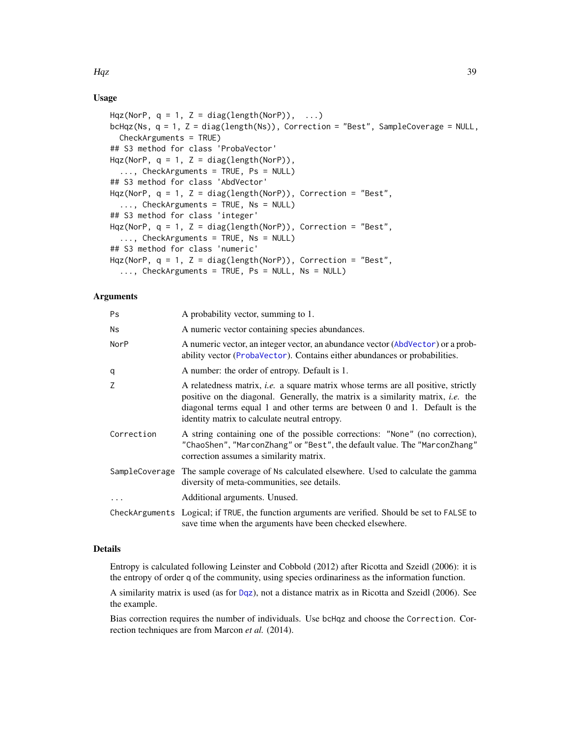Hqz 39

# Usage

```
Hqz(NorP, q = 1, Z = diag(length(NorP)), ...)
bcHqz(Ns, q = 1, Z = diag(length(Ns)), Correction = "Best", SampleCoverage = NULL,
  CheckArguments = TRUE)
## S3 method for class 'ProbaVector'
Hqz(NorP, q = 1, Z = diag(length(NorP)),
  ..., CheckArguments = TRUE, Ps = NULL)
## S3 method for class 'AbdVector'
Hqz(NorP, q = 1, Z = diag(length(NorP)), Correction = "Best",
  ..., CheckArguments = TRUE, Ns = NULL)
## S3 method for class 'integer'
Hqz(NorP, q = 1, Z = diag(length(NorP)), Correction = "Best",
  \ldots, CheckArguments = TRUE, Ns = NULL)
## S3 method for class 'numeric'
Hqz(NorP, q = 1, Z = diag(length(NorP)), Correction = "Best",
  ..., CheckArguments = TRUE, Ps = NULL, Ns = NULL)
```
# Arguments

| Ps         | A probability vector, summing to 1.                                                                                                                                                                                                                                                                                |
|------------|--------------------------------------------------------------------------------------------------------------------------------------------------------------------------------------------------------------------------------------------------------------------------------------------------------------------|
| Ns         | A numeric vector containing species abundances.                                                                                                                                                                                                                                                                    |
| NorP       | A numeric vector, an integer vector, an abundance vector (AbdVector) or a prob-<br>ability vector (ProbaVector). Contains either abundances or probabilities.                                                                                                                                                      |
| q          | A number: the order of entropy. Default is 1.                                                                                                                                                                                                                                                                      |
| Ζ          | A relatedness matrix, <i>i.e.</i> a square matrix whose terms are all positive, strictly<br>positive on the diagonal. Generally, the matrix is a similarity matrix, <i>i.e.</i> the<br>diagonal terms equal 1 and other terms are between 0 and 1. Default is the<br>identity matrix to calculate neutral entropy. |
| Correction | A string containing one of the possible corrections: "None" (no correction),<br>"ChaoShen", "MarconZhang" or "Best", the default value. The "MarconZhang"<br>correction assumes a similarity matrix.                                                                                                               |
|            | SampleCoverage The sample coverage of Ns calculated elsewhere. Used to calculate the gamma<br>diversity of meta-communities, see details.                                                                                                                                                                          |
| $\ddots$   | Additional arguments. Unused.                                                                                                                                                                                                                                                                                      |
|            | CheckArguments Logical; if TRUE, the function arguments are verified. Should be set to FALSE to<br>save time when the arguments have been checked elsewhere.                                                                                                                                                       |

# Details

Entropy is calculated following Leinster and Cobbold (2012) after Ricotta and Szeidl (2006): it is the entropy of order q of the community, using species ordinariness as the information function.

A similarity matrix is used (as for [Dqz](#page-26-0)), not a distance matrix as in Ricotta and Szeidl (2006). See the example.

Bias correction requires the number of individuals. Use bcHqz and choose the Correction. Correction techniques are from Marcon *et al.* (2014).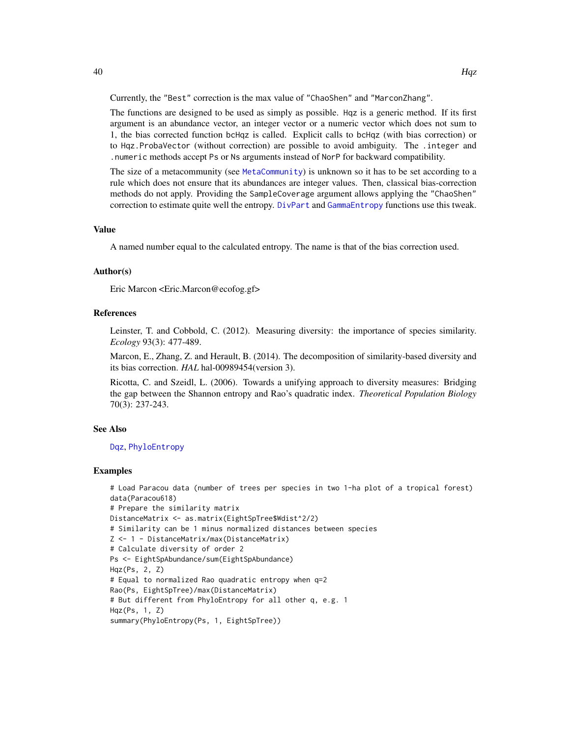The functions are designed to be used as simply as possible. Hqz is a generic method. If its first argument is an abundance vector, an integer vector or a numeric vector which does not sum to 1, the bias corrected function bcHqz is called. Explicit calls to bcHqz (with bias correction) or to Hqz.ProbaVector (without correction) are possible to avoid ambiguity. The .integer and .numeric methods accept Ps or Ns arguments instead of NorP for backward compatibility.

The size of a metacommunity (see [MetaCommunity](#page-50-0)) is unknown so it has to be set according to a rule which does not ensure that its abundances are integer values. Then, classical bias-correction methods do not apply. Providing the SampleCoverage argument allows applying the "ChaoShen" correction to estimate quite well the entropy. [DivPart](#page-21-0) and [GammaEntropy](#page-34-0) functions use this tweak.

# Value

A named number equal to the calculated entropy. The name is that of the bias correction used.

### Author(s)

Eric Marcon <Eric.Marcon@ecofog.gf>

### References

Leinster, T. and Cobbold, C. (2012). Measuring diversity: the importance of species similarity. *Ecology* 93(3): 477-489.

Marcon, E., Zhang, Z. and Herault, B. (2014). The decomposition of similarity-based diversity and its bias correction. *HAL* hal-00989454(version 3).

Ricotta, C. and Szeidl, L. (2006). Towards a unifying approach to diversity measures: Bridging the gap between the Shannon entropy and Rao's quadratic index. *Theoretical Population Biology* 70(3): 237-243.

### See Also

[Dqz](#page-26-0), [PhyloEntropy](#page-64-0)

#### Examples

```
# Load Paracou data (number of trees per species in two 1-ha plot of a tropical forest)
data(Paracou618)
# Prepare the similarity matrix
DistanceMatrix <- as.matrix(EightSpTree$Wdist^2/2)
# Similarity can be 1 minus normalized distances between species
Z <- 1 - DistanceMatrix/max(DistanceMatrix)
# Calculate diversity of order 2
Ps <- EightSpAbundance/sum(EightSpAbundance)
Hqz(Ps, 2, Z)
# Equal to normalized Rao quadratic entropy when q=2
Rao(Ps, EightSpTree)/max(DistanceMatrix)
# But different from PhyloEntropy for all other q, e.g. 1
Hqz(Ps, 1, Z)
summary(PhyloEntropy(Ps, 1, EightSpTree))
```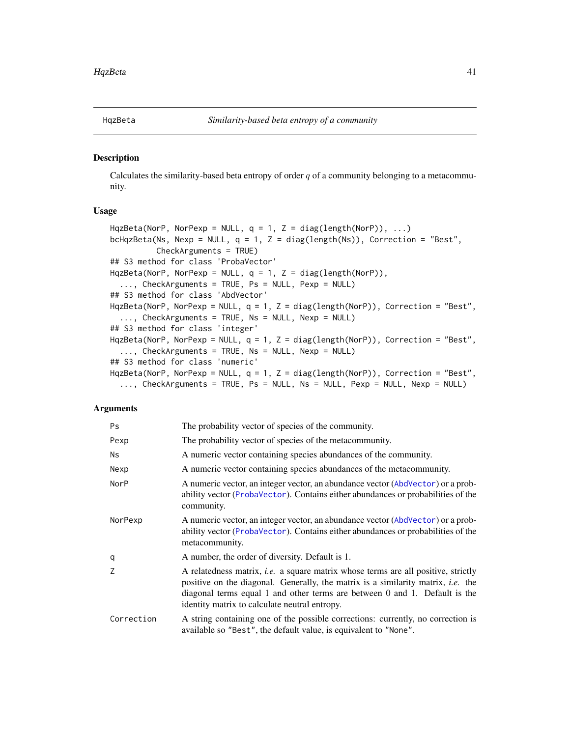### Description

Calculates the similarity-based beta entropy of order  $q$  of a community belonging to a metacommunity.

### Usage

```
HqzBeta(NorP, NorPexp = NULL, q = 1, Z = diag(length(NorP)), ...)
bcHqzBeta(Ns, Nexp = NULL, q = 1, Z = diag(length(Ns)), Correction = "Best",
          CheckArguments = TRUE)
## S3 method for class 'ProbaVector'
HqzBeta(NorP, NorPexp = NULL, q = 1, Z = diag(length(NorP)),
  ..., CheckArguments = TRUE, Ps = NULL, Pexp = NULL)
## S3 method for class 'AbdVector'
HqzBeta(NorP, NorPexp = NULL, q = 1, Z = diag(length(NorP)), Correction = "Best",
  ..., CheckArguments = TRUE, Ns = NULL, Nexp = NULL)
## S3 method for class 'integer'
HqzBeta(NorP, NorPexp = NULL, q = 1, Z = diag(length(NorP)), Correction = "Best",
 ..., CheckArguments = TRUE, Ns = NULL, Nexp = NULL)
## S3 method for class 'numeric'
HqzBeta(NorP, NorPexp = NULL, q = 1, Z = diag(length(NorP)), Correction = "Best",
  ..., CheckArguments = TRUE, Ps = NULL, Ns = NULL, Pexp = NULL, Nexp = NULL)
```
# Arguments

| <b>Ps</b>   | The probability vector of species of the community.                                                                                                                                                                                                                                                                     |
|-------------|-------------------------------------------------------------------------------------------------------------------------------------------------------------------------------------------------------------------------------------------------------------------------------------------------------------------------|
| Pexp        | The probability vector of species of the metacommunity.                                                                                                                                                                                                                                                                 |
| <b>Ns</b>   | A numeric vector containing species abundances of the community.                                                                                                                                                                                                                                                        |
| Nexp        | A numeric vector containing species abundances of the metacommunity.                                                                                                                                                                                                                                                    |
| <b>NorP</b> | A numeric vector, an integer vector, an abundance vector (AbdVector) or a prob-<br>ability vector (ProbaVector). Contains either abundances or probabilities of the<br>community.                                                                                                                                       |
| NorPexp     | A numeric vector, an integer vector, an abundance vector (AbdVector) or a prob-<br>ability vector (ProbaVector). Contains either abundances or probabilities of the<br>metacommunity.                                                                                                                                   |
| q           | A number, the order of diversity. Default is 1.                                                                                                                                                                                                                                                                         |
| Z           | A relatedness matrix, <i>i.e.</i> a square matrix whose terms are all positive, strictly<br>positive on the diagonal. Generally, the matrix is a similarity matrix, <i>i.e.</i> the<br>diagonal terms equal 1 and other terms are between $0$ and $1$ . Default is the<br>identity matrix to calculate neutral entropy. |
| Correction  | A string containing one of the possible corrections: currently, no correction is<br>available so "Best", the default value, is equivalent to "None".                                                                                                                                                                    |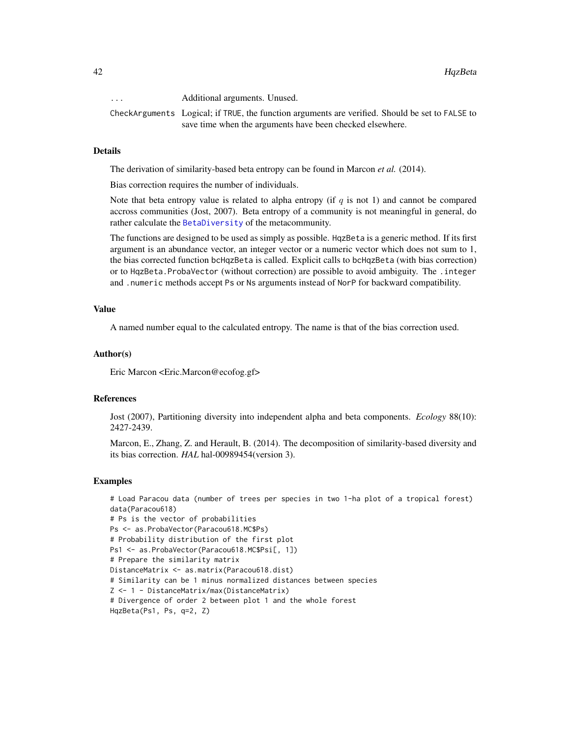... Additional arguments. Unused.

CheckArguments Logical; if TRUE, the function arguments are verified. Should be set to FALSE to save time when the arguments have been checked elsewhere.

### Details

The derivation of similarity-based beta entropy can be found in Marcon *et al.* (2014).

Bias correction requires the number of individuals.

Note that beta entropy value is related to alpha entropy (if  $q$  is not 1) and cannot be compared accross communities (Jost, 2007). Beta entropy of a community is not meaningful in general, do rather calculate the [BetaDiversity](#page-9-0) of the metacommunity.

The functions are designed to be used as simply as possible. HqzBeta is a generic method. If its first argument is an abundance vector, an integer vector or a numeric vector which does not sum to 1, the bias corrected function bcHqzBeta is called. Explicit calls to bcHqzBeta (with bias correction) or to HqzBeta.ProbaVector (without correction) are possible to avoid ambiguity. The .integer and .numeric methods accept Ps or Ns arguments instead of NorP for backward compatibility.

### Value

A named number equal to the calculated entropy. The name is that of the bias correction used.

### Author(s)

Eric Marcon <Eric.Marcon@ecofog.gf>

# References

Jost (2007), Partitioning diversity into independent alpha and beta components. *Ecology* 88(10): 2427-2439.

Marcon, E., Zhang, Z. and Herault, B. (2014). The decomposition of similarity-based diversity and its bias correction. *HAL* hal-00989454(version 3).

### Examples

# Load Paracou data (number of trees per species in two 1-ha plot of a tropical forest) data(Paracou618) # Ps is the vector of probabilities Ps <- as.ProbaVector(Paracou618.MC\$Ps) # Probability distribution of the first plot Ps1 <- as.ProbaVector(Paracou618.MC\$Psi[, 1]) # Prepare the similarity matrix DistanceMatrix <- as.matrix(Paracou618.dist) # Similarity can be 1 minus normalized distances between species Z <- 1 - DistanceMatrix/max(DistanceMatrix) # Divergence of order 2 between plot 1 and the whole forest HqzBeta(Ps1, Ps, q=2, Z)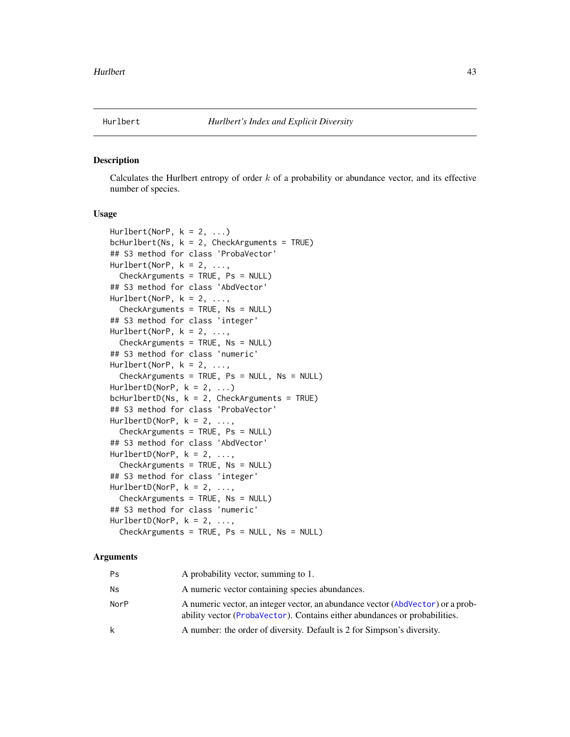### Description

Calculates the Hurlbert entropy of order  $k$  of a probability or abundance vector, and its effective number of species.

# Usage

```
Hurlbert(NorP, k = 2, ...)
bcHurlbert(Ns, k = 2, CheckArguments = TRUE)
## S3 method for class 'ProbaVector'
Hurlbert(NorP, k = 2, \ldots,
  CheckArguments = TRUE, Ps = NULL)
## S3 method for class 'AbdVector'
Hurlbert(NorP, k = 2, \ldots,
  CheckArguments = TRUE, Ns = NULL)
## S3 method for class 'integer'
Hurlbert(NorP, k = 2, \ldots,
  CheckArguments = TRUE, Ns = NULL)
## S3 method for class 'numeric'
Hurlbert(NorP, k = 2, \ldots,
  CheckArguments = TRUE, Ps = NULL, Ns = NULL)
HurlbertD(NorP, k = 2, ...)
bcHurlbertD(Ns, k = 2, CheckArguments = TRUE)
## S3 method for class 'ProbaVector'
HurlbertD(NorP, k = 2, ...,CheckArguments = TRUE, Ps = NULL)
## S3 method for class 'AbdVector'
HurlbertD(NorP, k = 2, \ldotsCheckArguments = TRUE, Ns = NULL)
## S3 method for class 'integer'
HurlbertD(NorP, k = 2, ...,CheckArguments = TRUE, Ns = NULL)
## S3 method for class 'numeric'
HurlbertD(NorP, k = 2, \ldots,
  CheckArguments = TRUE, Ps = NULL, Ns = NULL)
```
### Arguments

| Ps   | A probability vector, summing to 1.                                                                                                                           |
|------|---------------------------------------------------------------------------------------------------------------------------------------------------------------|
| Ns   | A numeric vector containing species abundances.                                                                                                               |
| NorP | A numeric vector, an integer vector, an abundance vector (AbdVector) or a prob-<br>ability vector (ProbaVector). Contains either abundances or probabilities. |
| k    | A number: the order of diversity. Default is 2 for Simpson's diversity.                                                                                       |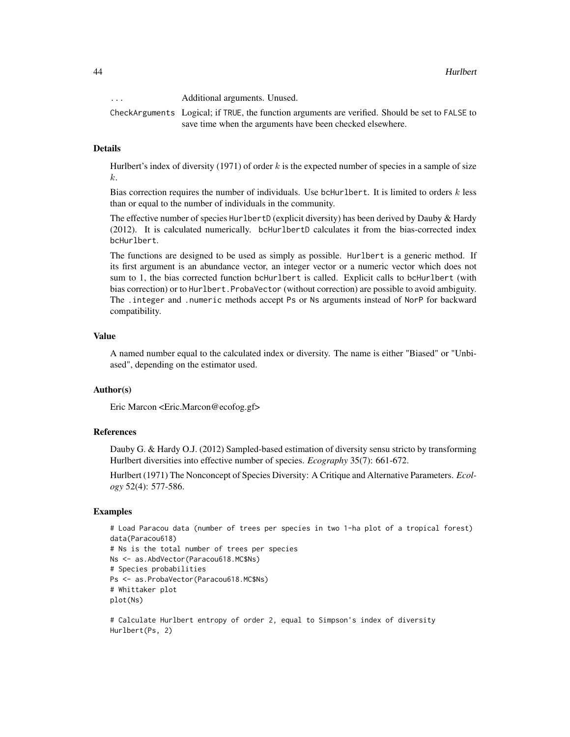... Additional arguments. Unused.

CheckArguments Logical; if TRUE, the function arguments are verified. Should be set to FALSE to save time when the arguments have been checked elsewhere.

### Details

Hurlbert's index of diversity (1971) of order k is the expected number of species in a sample of size k.

Bias correction requires the number of individuals. Use bcHurlbert. It is limited to orders k less than or equal to the number of individuals in the community.

The effective number of species HurlbertD (explicit diversity) has been derived by Dauby & Hardy (2012). It is calculated numerically. bcHurlbertD calculates it from the bias-corrected index bcHurlbert.

The functions are designed to be used as simply as possible. Hurlbert is a generic method. If its first argument is an abundance vector, an integer vector or a numeric vector which does not sum to 1, the bias corrected function bcHurlbert is called. Explicit calls to bcHurlbert (with bias correction) or to Hurlbert.ProbaVector (without correction) are possible to avoid ambiguity. The .integer and .numeric methods accept Ps or Ns arguments instead of NorP for backward compatibility.

### Value

A named number equal to the calculated index or diversity. The name is either "Biased" or "Unbiased", depending on the estimator used.

### Author(s)

Eric Marcon <Eric.Marcon@ecofog.gf>

#### References

Dauby G. & Hardy O.J. (2012) Sampled-based estimation of diversity sensu stricto by transforming Hurlbert diversities into effective number of species. *Ecography* 35(7): 661-672.

Hurlbert (1971) The Nonconcept of Species Diversity: A Critique and Alternative Parameters. *Ecology* 52(4): 577-586.

### Examples

```
# Load Paracou data (number of trees per species in two 1-ha plot of a tropical forest)
data(Paracou618)
# Ns is the total number of trees per species
Ns <- as.AbdVector(Paracou618.MC$Ns)
# Species probabilities
Ps <- as.ProbaVector(Paracou618.MC$Ns)
# Whittaker plot
plot(Ns)
```
# Calculate Hurlbert entropy of order 2, equal to Simpson's index of diversity Hurlbert(Ps, 2)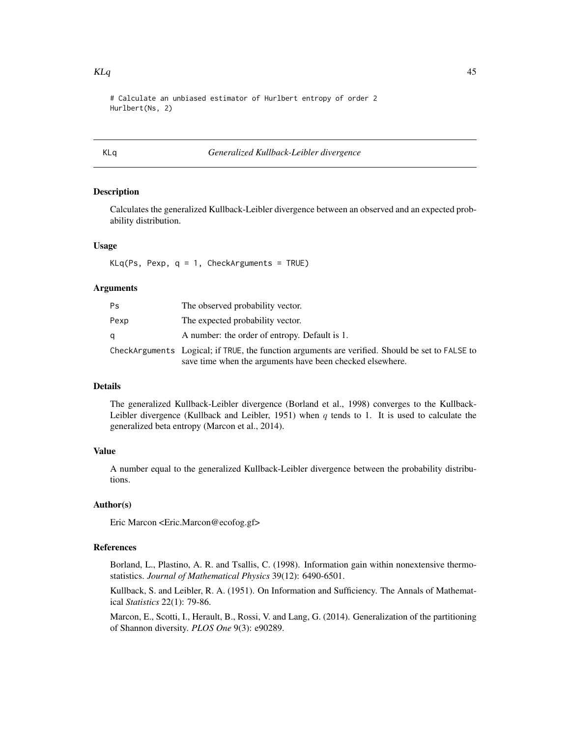# Calculate an unbiased estimator of Hurlbert entropy of order 2 Hurlbert(Ns, 2)

### KLq *Generalized Kullback-Leibler divergence*

### Description

Calculates the generalized Kullback-Leibler divergence between an observed and an expected probability distribution.

### Usage

 $KLq(Ps, Pexp, q = 1, CheckArguments = TRUE)$ 

### Arguments

| Ps   | The observed probability vector.                                                                                                                             |
|------|--------------------------------------------------------------------------------------------------------------------------------------------------------------|
| Pexp | The expected probability vector.                                                                                                                             |
|      | A number: the order of entropy. Default is 1.                                                                                                                |
|      | CheckArguments Logical; if TRUE, the function arguments are verified. Should be set to FALSE to<br>save time when the arguments have been checked elsewhere. |

# Details

The generalized Kullback-Leibler divergence (Borland et al., 1998) converges to the Kullback-Leibler divergence (Kullback and Leibler, 1951) when  $q$  tends to 1. It is used to calculate the generalized beta entropy (Marcon et al., 2014).

# Value

A number equal to the generalized Kullback-Leibler divergence between the probability distributions.

# Author(s)

Eric Marcon <Eric.Marcon@ecofog.gf>

# References

Borland, L., Plastino, A. R. and Tsallis, C. (1998). Information gain within nonextensive thermostatistics. *Journal of Mathematical Physics* 39(12): 6490-6501.

Kullback, S. and Leibler, R. A. (1951). On Information and Sufficiency. The Annals of Mathematical *Statistics* 22(1): 79-86.

Marcon, E., Scotti, I., Herault, B., Rossi, V. and Lang, G. (2014). Generalization of the partitioning of Shannon diversity. *PLOS One* 9(3): e90289.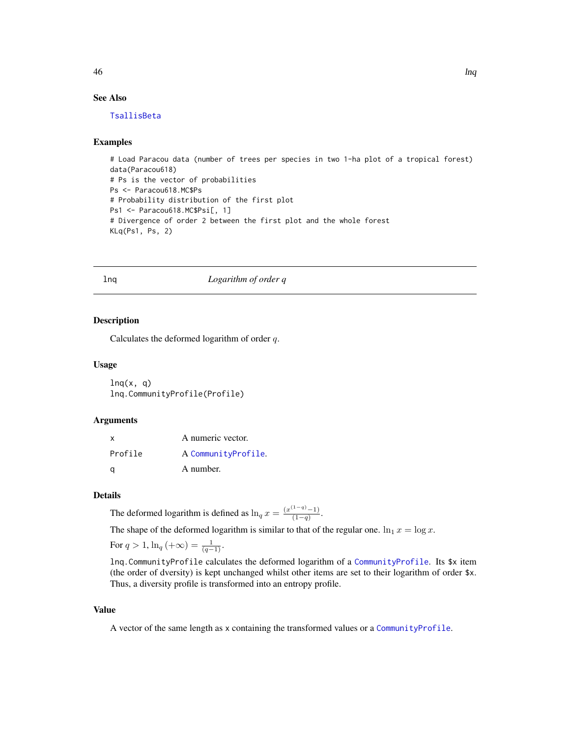# See Also

[TsallisBeta](#page-90-0)

### Examples

# Load Paracou data (number of trees per species in two 1-ha plot of a tropical forest) data(Paracou618) # Ps is the vector of probabilities Ps <- Paracou618.MC\$Ps # Probability distribution of the first plot Ps1 <- Paracou618.MC\$Psi[, 1] # Divergence of order 2 between the first plot and the whole forest KLq(Ps1, Ps, 2)

#### lnq *Logarithm of order q*

### Description

Calculates the deformed logarithm of order  $q$ .

### Usage

 $lnq(x, q)$ lnq.CommunityProfile(Profile)

### Arguments

| $\times$ | A numeric vector.   |
|----------|---------------------|
| Profile  | A CommunityProfile. |
| ി        | A number.           |

### Details

The deformed logarithm is defined as  $\ln_q x = \frac{(x^{(1-q)}-1)}{(1-q)}$  $\frac{(1-q)}{(1-q)}$ .

The shape of the deformed logarithm is similar to that of the regular one.  $\ln_1 x = \log x$ .

For  $q > 1$ ,  $\ln_q(\alpha) = \frac{1}{(q-1)}$ .

lnq.CommunityProfile calculates the deformed logarithm of a [CommunityProfile](#page-13-0). Its \$x item (the order of dversity) is kept unchanged whilst other items are set to their logarithm of order \$x. Thus, a diversity profile is transformed into an entropy profile.

### Value

A vector of the same length as x containing the transformed values or a [CommunityProfile](#page-13-0).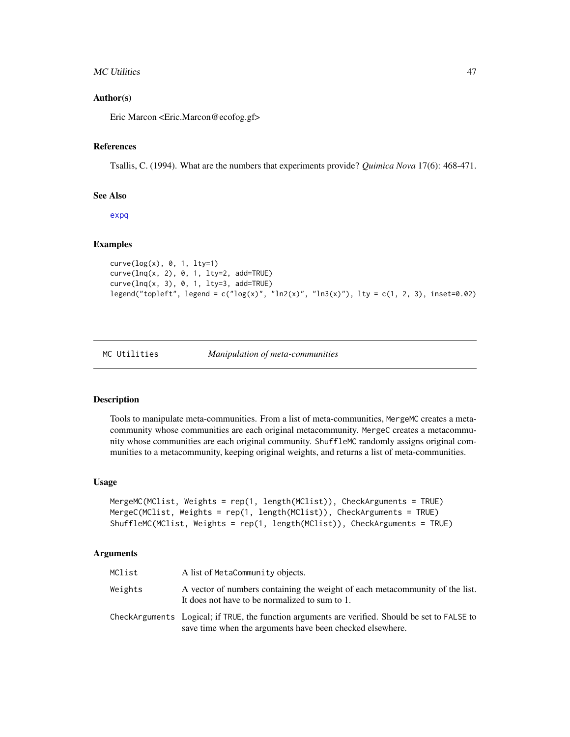### MC Utilities **47**

### Author(s)

Eric Marcon <Eric.Marcon@ecofog.gf>

### References

Tsallis, C. (1994). What are the numbers that experiments provide? *Quimica Nova* 17(6): 468-471.

### See Also

[expq](#page-31-0)

# Examples

```
curve(log(x), 0, 1, lty=1)
curve(lnq(x, 2), 0, 1, lty=2, add=TRUE)
curve(lnq(x, 3), 0, 1, lty=3, add=TRUE)
legend("topleft", legend = c("log(x)", "ln2(x)", "ln3(x)", lty = c(1, 2, 3), inset=0.02)
```
MC Utilities *Manipulation of meta-communities*

### Description

Tools to manipulate meta-communities. From a list of meta-communities, MergeMC creates a metacommunity whose communities are each original metacommunity. MergeC creates a metacommunity whose communities are each original community. ShuffleMC randomly assigns original communities to a metacommunity, keeping original weights, and returns a list of meta-communities.

### Usage

```
MergeMC(MClist, Weights = rep(1, length(MClist)), CheckArguments = TRUE)
MergeC(MClist, Weights = rep(1, length(MClist)), CheckArguments = TRUE)
ShuffleMC(MClist, Weights = rep(1, length(MClist)), CheckArguments = TRUE)
```
# Arguments

| MClist  | A list of MetaCommunity objects.                                                                                                                             |
|---------|--------------------------------------------------------------------------------------------------------------------------------------------------------------|
| Weights | A vector of numbers containing the weight of each metacommunity of the list.<br>It does not have to be normalized to sum to 1.                               |
|         | CheckArguments Logical; if TRUE, the function arguments are verified. Should be set to FALSE to<br>save time when the arguments have been checked elsewhere. |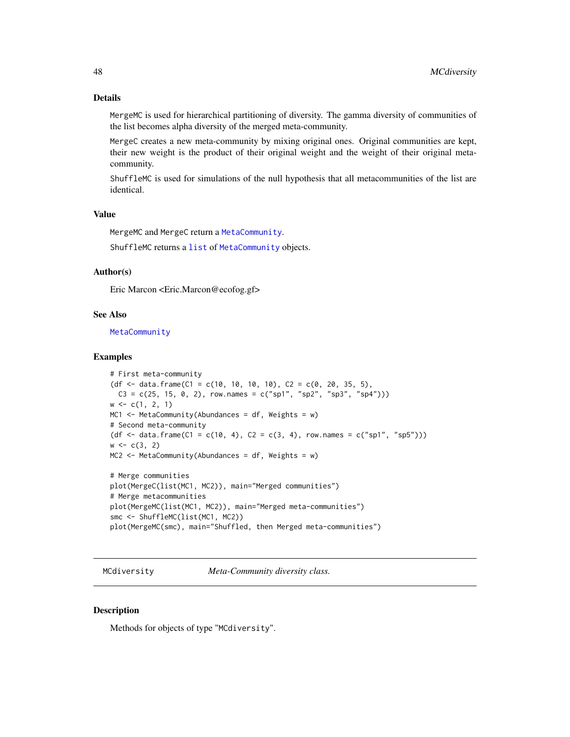# Details

MergeMC is used for hierarchical partitioning of diversity. The gamma diversity of communities of the list becomes alpha diversity of the merged meta-community.

MergeC creates a new meta-community by mixing original ones. Original communities are kept, their new weight is the product of their original weight and the weight of their original metacommunity.

ShuffleMC is used for simulations of the null hypothesis that all metacommunities of the list are identical.

# Value

MergeMC and MergeC return a [MetaCommunity](#page-50-0).

ShuffleMC returns a [list](#page-0-0) of [MetaCommunity](#page-50-0) objects.

# Author(s)

Eric Marcon <Eric.Marcon@ecofog.gf>

### See Also

**[MetaCommunity](#page-50-0)** 

### Examples

```
# First meta-community
(df <- data.frame(C1 = c(10, 10, 10, 10), C2 = c(0, 20, 35, 5),
 C3 = c(25, 15, 0, 2), row.names = c("spl", "sp2", "sp3", "sp4"))w \leftarrow c(1, 2, 1)MC1 \leq- MetaCommunity(Abundances = df, Weights = w)
# Second meta-community
(df <- data.frame(C1 = c(10, 4), C2 = c(3, 4), row.names = c("sp1", "sp5")))
w \leq c(3, 2)MC2 \leq MetaCommunity(Abundances = df, Weights = w)
# Merge communities
plot(MergeC(list(MC1, MC2)), main="Merged communities")
# Merge metacommunities
plot(MergeMC(list(MC1, MC2)), main="Merged meta-communities")
smc <- ShuffleMC(list(MC1, MC2))
```

```
plot(MergeMC(smc), main="Shuffled, then Merged meta-communities")
```
MCdiversity *Meta-Community diversity class.*

### **Description**

Methods for objects of type "MCdiversity".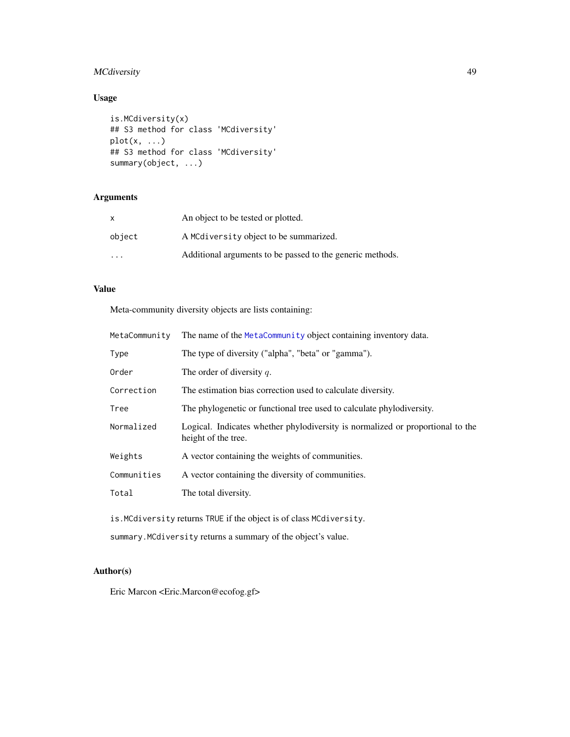# MCdiversity 49

# Usage

```
is.MCdiversity(x)
## S3 method for class 'MCdiversity'
plot(x, \ldots)## S3 method for class 'MCdiversity'
summary(object, ...)
```
# Arguments

| X                    | An object to be tested or plotted.                        |
|----------------------|-----------------------------------------------------------|
| object               | A MCdiversity object to be summarized.                    |
| $\ddot{\phantom{0}}$ | Additional arguments to be passed to the generic methods. |

# Value

Meta-community diversity objects are lists containing:

| MetaCommunity                                                       | The name of the MetaCommunity object containing inventory data.                                       |
|---------------------------------------------------------------------|-------------------------------------------------------------------------------------------------------|
| Type                                                                | The type of diversity ("alpha", "beta" or "gamma").                                                   |
| Order                                                               | The order of diversity $q$ .                                                                          |
| Correction                                                          | The estimation bias correction used to calculate diversity.                                           |
| Tree                                                                | The phylogenetic or functional tree used to calculate phylodiversity.                                 |
| Normalized                                                          | Logical. Indicates whether phylodiversity is normalized or proportional to the<br>height of the tree. |
| Weights                                                             | A vector containing the weights of communities.                                                       |
| Communities                                                         | A vector containing the diversity of communities.                                                     |
| Total                                                               | The total diversity.                                                                                  |
| is. MCdiversity returns TRUE if the object is of class MCdiversity. |                                                                                                       |

summary.MCdiversity returns a summary of the object's value.

# Author(s)

Eric Marcon <Eric.Marcon@ecofog.gf>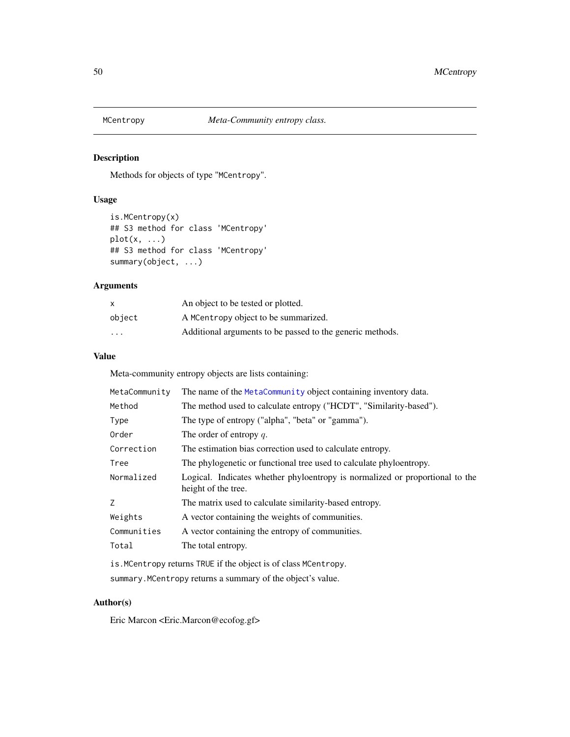# Description

Methods for objects of type "MCentropy".

# Usage

```
is.MCentropy(x)
## S3 method for class 'MCentropy'
plot(x, ...)
## S3 method for class 'MCentropy'
summary(object, ...)
```
# Arguments

| $\times$ | An object to be tested or plotted.                        |
|----------|-----------------------------------------------------------|
| object   | A MCentropy object to be summarized.                      |
| .        | Additional arguments to be passed to the generic methods. |

# Value

Meta-community entropy objects are lists containing:

| MetaCommunity | The name of the MetaCommunity object containing inventory data.                                     |
|---------------|-----------------------------------------------------------------------------------------------------|
| Method        | The method used to calculate entropy ("HCDT", "Similarity-based").                                  |
| Type          | The type of entropy ("alpha", "beta" or "gamma").                                                   |
| Order         | The order of entropy $q$ .                                                                          |
| Correction    | The estimation bias correction used to calculate entropy.                                           |
| Tree          | The phylogenetic or functional tree used to calculate phyloentropy.                                 |
| Normalized    | Logical. Indicates whether phyloentropy is normalized or proportional to the<br>height of the tree. |
| Z             | The matrix used to calculate similarity-based entropy.                                              |
| Weights       | A vector containing the weights of communities.                                                     |
| Communities   | A vector containing the entropy of communities.                                                     |
| Total         | The total entropy.                                                                                  |
|               | is. MCentropy returns TRUE if the object is of class MCentropy.                                     |

summary.MCentropy returns a summary of the object's value.

# Author(s)

Eric Marcon <Eric.Marcon@ecofog.gf>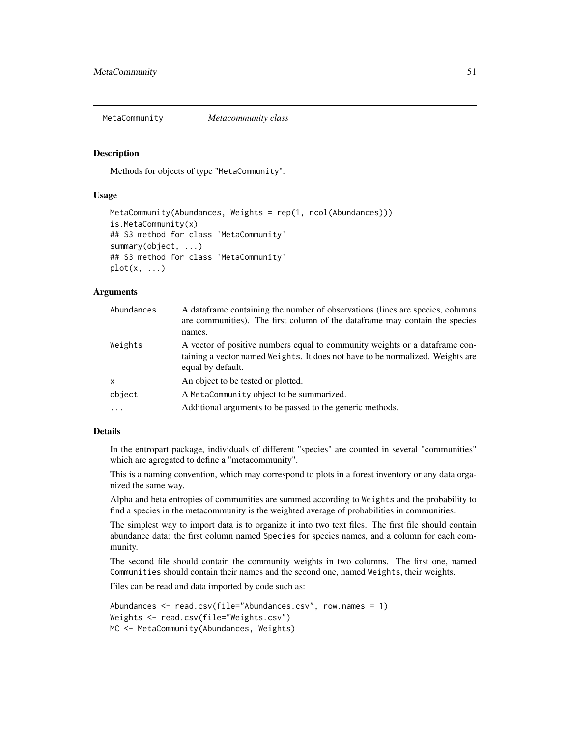<span id="page-50-0"></span>MetaCommunity *Metacommunity class*

### Description

Methods for objects of type "MetaCommunity".

# Usage

```
MetaCommunity(Abundances, Weights = rep(1, ncol(Abundances)))
is.MetaCommunity(x)
## S3 method for class 'MetaCommunity'
summary(object, ...)
## S3 method for class 'MetaCommunity'
plot(x, \ldots)
```
# Arguments

| Abundances   | A data frame containing the number of observations (lines are species, columns<br>are communities). The first column of the dataframe may contain the species<br>names.             |
|--------------|-------------------------------------------------------------------------------------------------------------------------------------------------------------------------------------|
| Weights      | A vector of positive numbers equal to community weights or a data frame con-<br>taining a vector named Weights. It does not have to be normalized. Weights are<br>equal by default. |
| $\mathsf{x}$ | An object to be tested or plotted.                                                                                                                                                  |
| object       | A MetaCommunity object to be summarized.                                                                                                                                            |
|              | Additional arguments to be passed to the generic methods.                                                                                                                           |

# Details

In the entropart package, individuals of different "species" are counted in several "communities" which are agregated to define a "metacommunity".

This is a naming convention, which may correspond to plots in a forest inventory or any data organized the same way.

Alpha and beta entropies of communities are summed according to Weights and the probability to find a species in the metacommunity is the weighted average of probabilities in communities.

The simplest way to import data is to organize it into two text files. The first file should contain abundance data: the first column named Species for species names, and a column for each community.

The second file should contain the community weights in two columns. The first one, named Communities should contain their names and the second one, named Weights, their weights.

Files can be read and data imported by code such as:

```
Abundances <- read.csv(file="Abundances.csv", row.names = 1)
Weights <- read.csv(file="Weights.csv")
MC <- MetaCommunity(Abundances, Weights)
```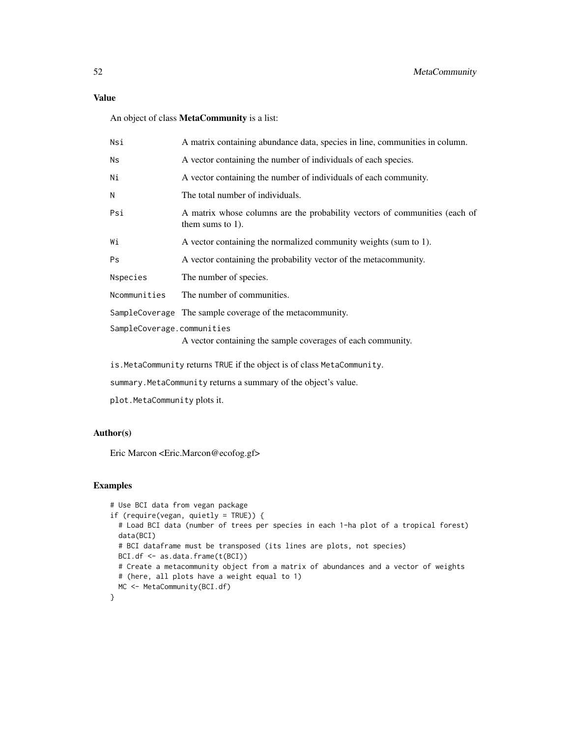### Value

An object of class MetaCommunity is a list:

| Nsi                        | A matrix containing abundance data, species in line, communities in column.                       |
|----------------------------|---------------------------------------------------------------------------------------------------|
| Ns                         | A vector containing the number of individuals of each species.                                    |
| Ni                         | A vector containing the number of individuals of each community.                                  |
| N                          | The total number of individuals.                                                                  |
| Psi                        | A matrix whose columns are the probability vectors of communities (each of<br>them sums to $1$ ). |
| Wi                         | A vector containing the normalized community weights (sum to 1).                                  |
| Ps                         | A vector containing the probability vector of the metacommunity.                                  |
| Nspecies                   | The number of species.                                                                            |
| Ncommunities               | The number of communities.                                                                        |
|                            | SampleCoverage The sample coverage of the metacommunity.                                          |
| SampleCoverage.communities | A vector containing the sample coverages of each community.                                       |

is.MetaCommunity returns TRUE if the object is of class MetaCommunity.

summary.MetaCommunity returns a summary of the object's value.

plot.MetaCommunity plots it.

# Author(s)

Eric Marcon <Eric.Marcon@ecofog.gf>

### Examples

```
# Use BCI data from vegan package
if (require(vegan, quietly = TRUE)) {
 # Load BCI data (number of trees per species in each 1-ha plot of a tropical forest)
 data(BCI)
 # BCI dataframe must be transposed (its lines are plots, not species)
 BCI.df <- as.data.frame(t(BCI))
 # Create a metacommunity object from a matrix of abundances and a vector of weights
 # (here, all plots have a weight equal to 1)
 MC <- MetaCommunity(BCI.df)
}
```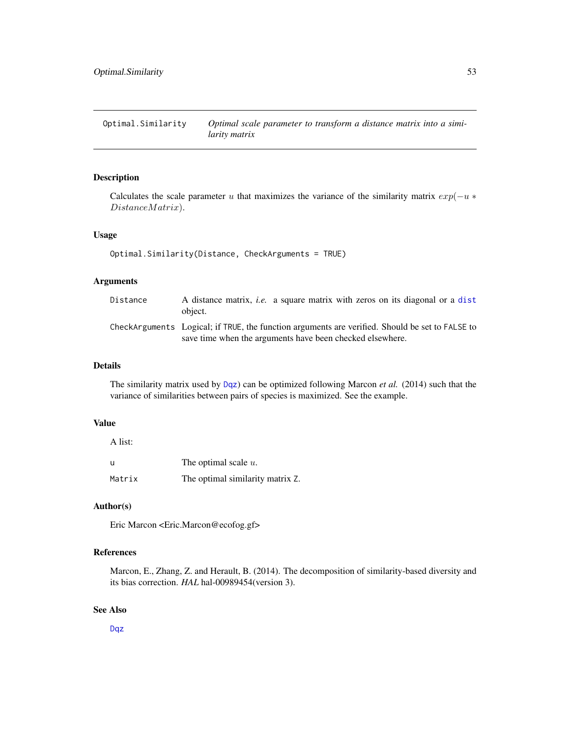Optimal.Similarity *Optimal scale parameter to transform a distance matrix into a similarity matrix*

# Description

Calculates the scale parameter u that maximizes the variance of the similarity matrix  $exp(-u *$ DistanceMatrix).

# Usage

```
Optimal.Similarity(Distance, CheckArguments = TRUE)
```
# Arguments

| Distance | A distance matrix, <i>i.e.</i> a square matrix with zeros on its diagonal or a dist<br>object.                                                               |
|----------|--------------------------------------------------------------------------------------------------------------------------------------------------------------|
|          | CheckArguments Logical; if TRUE, the function arguments are verified. Should be set to FALSE to<br>save time when the arguments have been checked elsewhere. |

#### Details

The similarity matrix used by [Dqz](#page-26-0)) can be optimized following Marcon *et al.* (2014) such that the variance of similarities between pairs of species is maximized. See the example.

# Value

A list:

| u      | The optimal scale $u$ .          |
|--------|----------------------------------|
| Matrix | The optimal similarity matrix Z. |

# Author(s)

Eric Marcon <Eric.Marcon@ecofog.gf>

# References

Marcon, E., Zhang, Z. and Herault, B. (2014). The decomposition of similarity-based diversity and its bias correction. *HAL* hal-00989454(version 3).

# See Also

[Dqz](#page-26-0)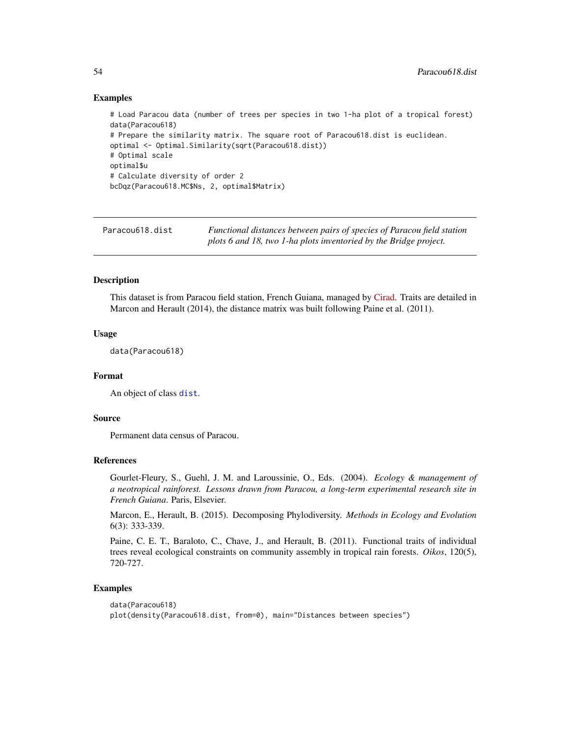### Examples

```
# Load Paracou data (number of trees per species in two 1-ha plot of a tropical forest)
data(Paracou618)
# Prepare the similarity matrix. The square root of Paracou618.dist is euclidean.
optimal <- Optimal.Similarity(sqrt(Paracou618.dist))
# Optimal scale
optimal$u
# Calculate diversity of order 2
bcDqz(Paracou618.MC$Ns, 2, optimal$Matrix)
```
<span id="page-53-0"></span>Paracou618.dist *Functional distances between pairs of species of Paracou field station plots 6 and 18, two 1-ha plots inventoried by the Bridge project.*

### **Description**

This dataset is from Paracou field station, French Guiana, managed by [Cirad.](http://www.cirad.fr) Traits are detailed in Marcon and Herault (2014), the distance matrix was built following Paine et al. (2011).

### Usage

data(Paracou618)

### Format

An object of class [dist](#page-0-0).

### Source

Permanent data census of Paracou.

### References

Gourlet-Fleury, S., Guehl, J. M. and Laroussinie, O., Eds. (2004). *Ecology & management of a neotropical rainforest. Lessons drawn from Paracou, a long-term experimental research site in French Guiana*. Paris, Elsevier.

Marcon, E., Herault, B. (2015). Decomposing Phylodiversity. *Methods in Ecology and Evolution* 6(3): 333-339.

Paine, C. E. T., Baraloto, C., Chave, J., and Herault, B. (2011). Functional traits of individual trees reveal ecological constraints on community assembly in tropical rain forests. *Oikos*, 120(5), 720-727.

# Examples

```
data(Paracou618)
plot(density(Paracou618.dist, from=0), main="Distances between species")
```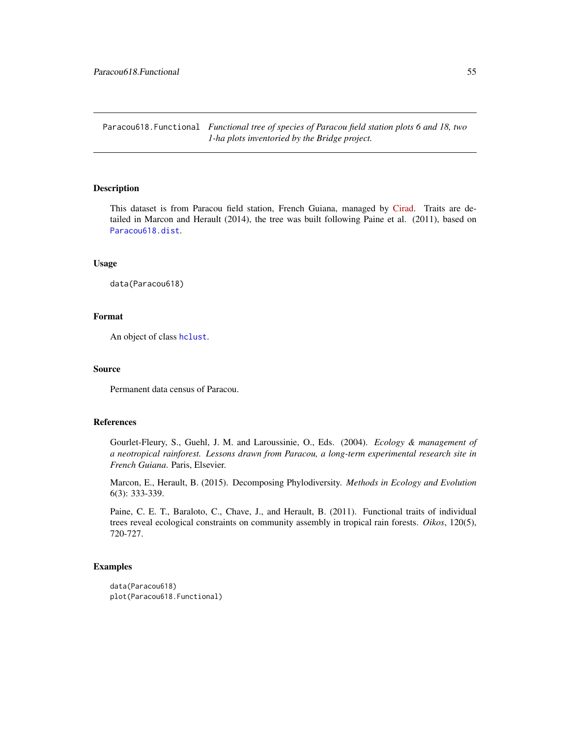Paracou618.Functional *Functional tree of species of Paracou field station plots 6 and 18, two 1-ha plots inventoried by the Bridge project.*

# Description

This dataset is from Paracou field station, French Guiana, managed by [Cirad.](http://www.cirad.fr) Traits are detailed in Marcon and Herault (2014), the tree was built following Paine et al. (2011), based on [Paracou618.dist](#page-53-0).

### Usage

data(Paracou618)

# Format

An object of class [hclust](#page-0-0).

### Source

Permanent data census of Paracou.

### References

Gourlet-Fleury, S., Guehl, J. M. and Laroussinie, O., Eds. (2004). *Ecology & management of a neotropical rainforest. Lessons drawn from Paracou, a long-term experimental research site in French Guiana*. Paris, Elsevier.

Marcon, E., Herault, B. (2015). Decomposing Phylodiversity. *Methods in Ecology and Evolution* 6(3): 333-339.

Paine, C. E. T., Baraloto, C., Chave, J., and Herault, B. (2011). Functional traits of individual trees reveal ecological constraints on community assembly in tropical rain forests. *Oikos*, 120(5), 720-727.

### Examples

```
data(Paracou618)
plot(Paracou618.Functional)
```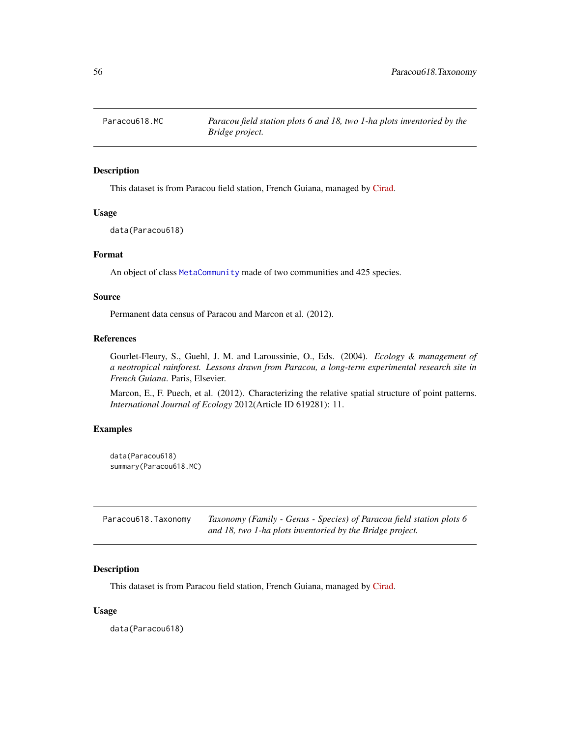# Description

This dataset is from Paracou field station, French Guiana, managed by [Cirad.](http://www.cirad.fr)

#### Usage

data(Paracou618)

### Format

An object of class [MetaCommunity](#page-50-0) made of two communities and 425 species.

### Source

Permanent data census of Paracou and Marcon et al. (2012).

### References

Gourlet-Fleury, S., Guehl, J. M. and Laroussinie, O., Eds. (2004). *Ecology & management of a neotropical rainforest. Lessons drawn from Paracou, a long-term experimental research site in French Guiana*. Paris, Elsevier.

Marcon, E., F. Puech, et al. (2012). Characterizing the relative spatial structure of point patterns. *International Journal of Ecology* 2012(Article ID 619281): 11.

# Examples

data(Paracou618) summary(Paracou618.MC)

| Paracou618.Taxonomy | Taxonomy (Family - Genus - Species) of Paracou field station plots 6 |
|---------------------|----------------------------------------------------------------------|
|                     | and 18, two 1-ha plots inventoried by the Bridge project.            |

### Description

This dataset is from Paracou field station, French Guiana, managed by [Cirad.](http://www.cirad.fr)

### Usage

data(Paracou618)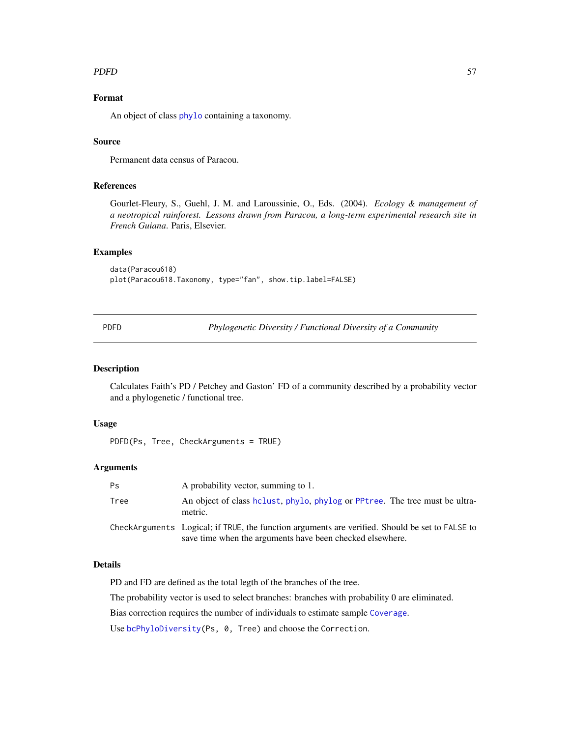### PDFD 57

# Format

An object of class [phylo](#page-0-0) containing a taxonomy.

### Source

Permanent data census of Paracou.

### References

Gourlet-Fleury, S., Guehl, J. M. and Laroussinie, O., Eds. (2004). *Ecology & management of a neotropical rainforest. Lessons drawn from Paracou, a long-term experimental research site in French Guiana*. Paris, Elsevier.

## Examples

```
data(Paracou618)
plot(Paracou618.Taxonomy, type="fan", show.tip.label=FALSE)
```
PDFD *Phylogenetic Diversity / Functional Diversity of a Community*

# **Description**

Calculates Faith's PD / Petchey and Gaston' FD of a community described by a probability vector and a phylogenetic / functional tree.

### Usage

```
PDFD(Ps, Tree, CheckArguments = TRUE)
```
# Arguments

| Ps   | A probability vector, summing to 1.                                                                                                                          |
|------|--------------------------------------------------------------------------------------------------------------------------------------------------------------|
| Tree | An object of class holust, phylo, phylog or PPtree. The tree must be ultra-<br>metric.                                                                       |
|      | CheckArguments Logical; if TRUE, the function arguments are verified. Should be set to FALSE to<br>save time when the arguments have been checked elsewhere. |

### Details

PD and FD are defined as the total legth of the branches of the tree.

The probability vector is used to select branches: branches with probability 0 are eliminated.

Bias correction requires the number of individuals to estimate sample [Coverage](#page-16-0).

Use [bcPhyloDiversity\(](#page-61-0)Ps, 0, Tree) and choose the Correction.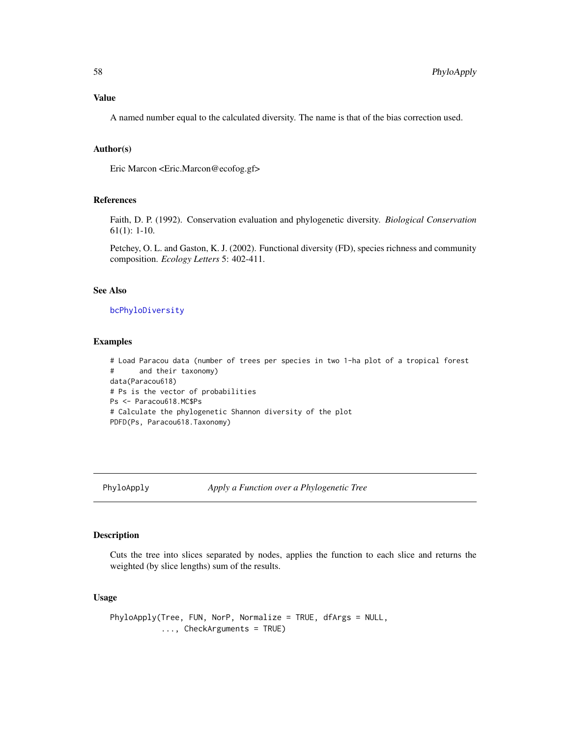# Value

A named number equal to the calculated diversity. The name is that of the bias correction used.

### Author(s)

Eric Marcon <Eric.Marcon@ecofog.gf>

# References

Faith, D. P. (1992). Conservation evaluation and phylogenetic diversity. *Biological Conservation* 61(1): 1-10.

Petchey, O. L. and Gaston, K. J. (2002). Functional diversity (FD), species richness and community composition. *Ecology Letters* 5: 402-411.

### See Also

### [bcPhyloDiversity](#page-61-0)

### Examples

# Load Paracou data (number of trees per species in two 1-ha plot of a tropical forest # and their taxonomy) data(Paracou618) # Ps is the vector of probabilities Ps <- Paracou618.MC\$Ps # Calculate the phylogenetic Shannon diversity of the plot PDFD(Ps, Paracou618.Taxonomy)

### <span id="page-57-0"></span>PhyloApply *Apply a Function over a Phylogenetic Tree*

# Description

Cuts the tree into slices separated by nodes, applies the function to each slice and returns the weighted (by slice lengths) sum of the results.

# Usage

```
PhyloApply(Tree, FUN, NorP, Normalize = TRUE, dfArgs = NULL,
           ..., CheckArguments = TRUE)
```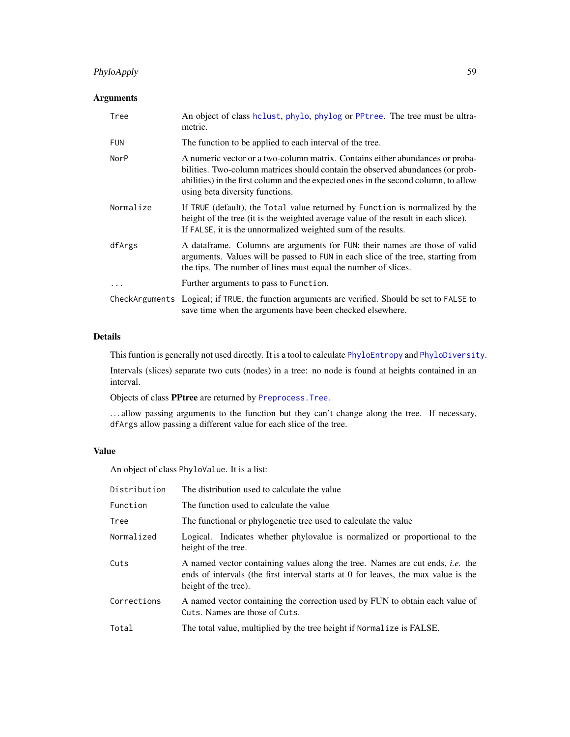# PhyloApply 59

# Arguments

| Tree        | An object of class hclust, phylo, phylog or PPtree. The tree must be ultra-<br>metric.                                                                                                                                                                                                    |
|-------------|-------------------------------------------------------------------------------------------------------------------------------------------------------------------------------------------------------------------------------------------------------------------------------------------|
| <b>FUN</b>  | The function to be applied to each interval of the tree.                                                                                                                                                                                                                                  |
| <b>NorP</b> | A numeric vector or a two-column matrix. Contains either abundances or proba-<br>bilities. Two-column matrices should contain the observed abundances (or prob-<br>abilities) in the first column and the expected ones in the second column, to allow<br>using beta diversity functions. |
| Normalize   | If TRUE (default), the Total value returned by Function is normalized by the<br>height of the tree (it is the weighted average value of the result in each slice).<br>If FALSE, it is the unnormalized weighted sum of the results.                                                       |
| dfArgs      | A dataframe. Columns are arguments for FUN: their names are those of valid<br>arguments. Values will be passed to FUN in each slice of the tree, starting from<br>the tips. The number of lines must equal the number of slices.                                                          |
| $\ddots$    | Further arguments to pass to Function.                                                                                                                                                                                                                                                    |
|             | CheckArguments Logical; if TRUE, the function arguments are verified. Should be set to FALSE to<br>save time when the arguments have been checked elsewhere.                                                                                                                              |

# Details

This funtion is generally not used directly. It is a tool to calculate [PhyloEntropy](#page-64-0) and [PhyloDiversity](#page-61-1).

Intervals (slices) separate two cuts (nodes) in a tree: no node is found at heights contained in an interval.

Objects of class PPtree are returned by [Preprocess.Tree](#page-0-0).

. . . allow passing arguments to the function but they can't change along the tree. If necessary, dfArgs allow passing a different value for each slice of the tree.

# Value

An object of class PhyloValue. It is a list:

| Distribution | The distribution used to calculate the value                                                                                                                                                       |
|--------------|----------------------------------------------------------------------------------------------------------------------------------------------------------------------------------------------------|
| Function     | The function used to calculate the value                                                                                                                                                           |
| Tree         | The functional or phylogenetic tree used to calculate the value                                                                                                                                    |
| Normalized   | Logical. Indicates whether phylovalue is normalized or proportional to the<br>height of the tree.                                                                                                  |
| Cuts         | A named vector containing values along the tree. Names are cut ends, <i>i.e.</i> the<br>ends of intervals (the first interval starts at 0 for leaves, the max value is the<br>height of the tree). |
| Corrections  | A named vector containing the correction used by FUN to obtain each value of<br>Cuts. Names are those of Cuts.                                                                                     |
| Total        | The total value, multiplied by the tree height if Normalize is FALSE.                                                                                                                              |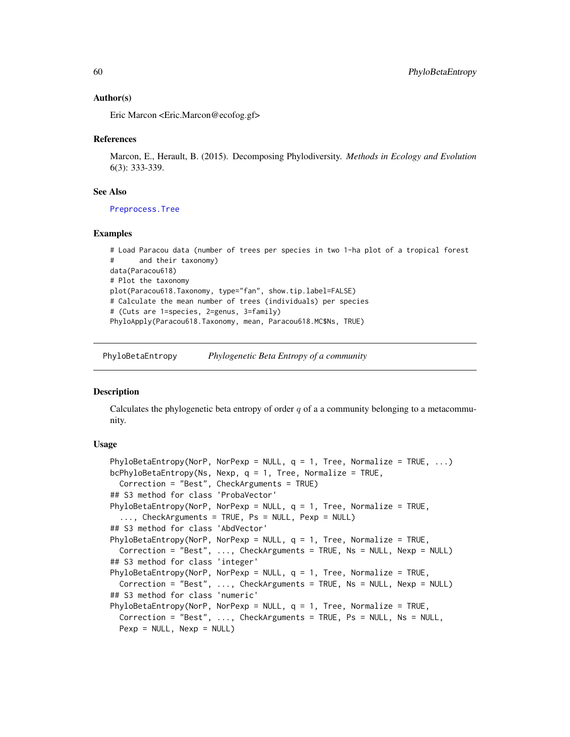### Author(s)

Eric Marcon <Eric.Marcon@ecofog.gf>

### References

Marcon, E., Herault, B. (2015). Decomposing Phylodiversity. *Methods in Ecology and Evolution* 6(3): 333-339.

### See Also

[Preprocess.Tree](#page-0-0)

### Examples

```
# Load Paracou data (number of trees per species in two 1-ha plot of a tropical forest
# and their taxonomy)
data(Paracou618)
# Plot the taxonomy
plot(Paracou618.Taxonomy, type="fan", show.tip.label=FALSE)
# Calculate the mean number of trees (individuals) per species
# (Cuts are 1=species, 2=genus, 3=family)
PhyloApply(Paracou618.Taxonomy, mean, Paracou618.MC$Ns, TRUE)
```
PhyloBetaEntropy *Phylogenetic Beta Entropy of a community*

#### <span id="page-59-0"></span>**Description**

Calculates the phylogenetic beta entropy of order  $q$  of a a community belonging to a metacommunity.

### Usage

```
PhyloBetaEntropy(NorP, NorPexp = NULL, q = 1, Tree, Normalize = TRUE, ...)
bcPhyloBetaEntropy(Ns, Nexp, q = 1, Tree, Normalize = TRUE,
 Correction = "Best", CheckArguments = TRUE)
## S3 method for class 'ProbaVector'
PhyloBetaEntropy(NorP, NorPexp = NULL, q = 1, Tree, Normalize = TRUE,
  ..., CheckArguments = TRUE, Ps = NULL, Pexp = NULL)
## S3 method for class 'AbdVector'
PhyloBetaEntropy(NorP, NorPexp = NULL, q = 1, Tree, Normalize = TRUE,
  Correction = "Best", ..., CheckArguments = TRUE, Ns = NULL, Nexp = NULL)
## S3 method for class 'integer'
PhyloBetaEntropy(NorP, NorPexp = NULL, q = 1, Tree, Normalize = TRUE,
  Correction = "Best", ..., CheckArguments = TRUE, Ns = NULL, Nexp = NULL)
## S3 method for class 'numeric'
PhyloBetaEntropy(NorP, NorPexp = NULL, q = 1, Tree, Normalize = TRUE,
  Correction = "Best", ..., CheckArguments = TRUE, Ps = NULL, Ns = NULL,
  Pexp = NULL, New = NULL)
```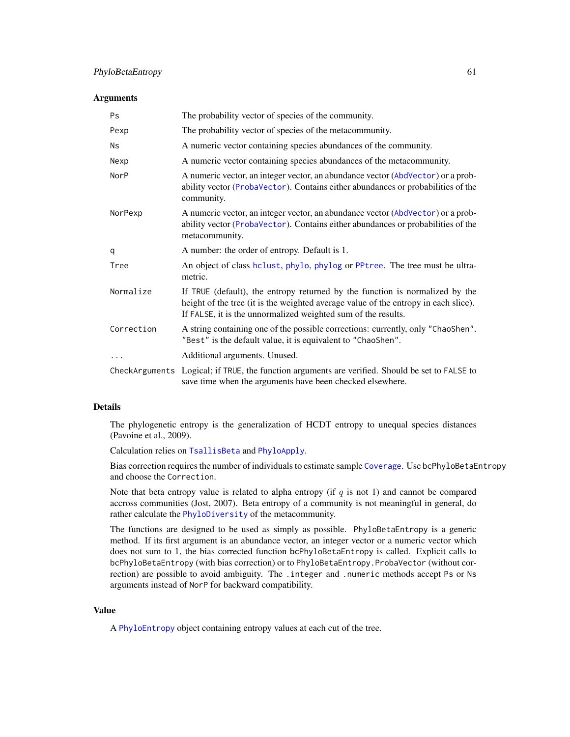#### **Arguments**

| Ps         | The probability vector of species of the community.                                                                                                                                                                                  |
|------------|--------------------------------------------------------------------------------------------------------------------------------------------------------------------------------------------------------------------------------------|
| Pexp       | The probability vector of species of the metacommunity.                                                                                                                                                                              |
| Ns         | A numeric vector containing species abundances of the community.                                                                                                                                                                     |
| Nexp       | A numeric vector containing species abundances of the metacommunity.                                                                                                                                                                 |
| NorP       | A numeric vector, an integer vector, an abundance vector (AbdVector) or a prob-<br>ability vector (ProbaVector). Contains either abundances or probabilities of the<br>community.                                                    |
| NorPexp    | A numeric vector, an integer vector, an abundance vector (AbdVector) or a prob-<br>ability vector (ProbaVector). Contains either abundances or probabilities of the<br>metacommunity.                                                |
| q          | A number: the order of entropy. Default is 1.                                                                                                                                                                                        |
| Tree       | An object of class hclust, phylo, phylog or PPtree. The tree must be ultra-<br>metric.                                                                                                                                               |
| Normalize  | If TRUE (default), the entropy returned by the function is normalized by the<br>height of the tree (it is the weighted average value of the entropy in each slice).<br>If FALSE, it is the unnormalized weighted sum of the results. |
| Correction | A string containing one of the possible corrections: currently, only "ChaoShen".<br>"Best" is the default value, it is equivalent to "ChaoShen".                                                                                     |
| .          | Additional arguments. Unused.                                                                                                                                                                                                        |
|            | CheckArguments Logical; if TRUE, the function arguments are verified. Should be set to FALSE to<br>save time when the arguments have been checked elsewhere.                                                                         |

# Details

The phylogenetic entropy is the generalization of HCDT entropy to unequal species distances (Pavoine et al., 2009).

Calculation relies on [TsallisBeta](#page-90-0) and [PhyloApply](#page-57-0).

Bias correction requires the number of individuals to estimate sample [Coverage](#page-16-0). Use bcPhyloBetaEntropy and choose the Correction.

Note that beta entropy value is related to alpha entropy (if  $q$  is not 1) and cannot be compared accross communities (Jost, 2007). Beta entropy of a community is not meaningful in general, do rather calculate the [PhyloDiversity](#page-61-1) of the metacommunity.

The functions are designed to be used as simply as possible. PhyloBetaEntropy is a generic method. If its first argument is an abundance vector, an integer vector or a numeric vector which does not sum to 1, the bias corrected function bcPhyloBetaEntropy is called. Explicit calls to bcPhyloBetaEntropy (with bias correction) or to PhyloBetaEntropy.ProbaVector (without correction) are possible to avoid ambiguity. The .integer and .numeric methods accept Ps or Ns arguments instead of NorP for backward compatibility.

# Value

A [PhyloEntropy](#page-64-0) object containing entropy values at each cut of the tree.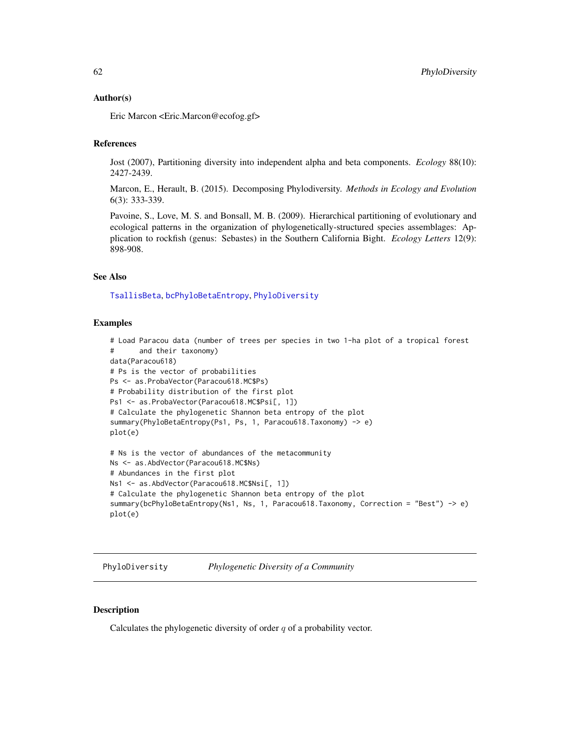### Author(s)

Eric Marcon <Eric.Marcon@ecofog.gf>

# References

Jost (2007), Partitioning diversity into independent alpha and beta components. *Ecology* 88(10): 2427-2439.

Marcon, E., Herault, B. (2015). Decomposing Phylodiversity. *Methods in Ecology and Evolution* 6(3): 333-339.

Pavoine, S., Love, M. S. and Bonsall, M. B. (2009). Hierarchical partitioning of evolutionary and ecological patterns in the organization of phylogenetically-structured species assemblages: Application to rockfish (genus: Sebastes) in the Southern California Bight. *Ecology Letters* 12(9): 898-908.

# See Also

[TsallisBeta](#page-90-0), [bcPhyloBetaEntropy](#page-59-0), [PhyloDiversity](#page-61-1)

# Examples

```
# Load Paracou data (number of trees per species in two 1-ha plot of a tropical forest
# and their taxonomy)
data(Paracou618)
# Ps is the vector of probabilities
Ps <- as.ProbaVector(Paracou618.MC$Ps)
# Probability distribution of the first plot
Ps1 <- as.ProbaVector(Paracou618.MC$Psi[, 1])
# Calculate the phylogenetic Shannon beta entropy of the plot
summary(PhyloBetaEntropy(Ps1, Ps, 1, Paracou618.Taxonomy) -> e)
plot(e)
# Ns is the vector of abundances of the metacommunity
Ns <- as.AbdVector(Paracou618.MC$Ns)
# Abundances in the first plot
Ns1 <- as.AbdVector(Paracou618.MC$Nsi[, 1])
# Calculate the phylogenetic Shannon beta entropy of the plot
summary(bcPhyloBetaEntropy(Ns1, Ns, 1, Paracou618.Taxonomy, Correction = "Best") -> e)
plot(e)
```
<span id="page-61-1"></span>PhyloDiversity *Phylogenetic Diversity of a Community*

# <span id="page-61-0"></span>**Description**

Calculates the phylogenetic diversity of order  $q$  of a probability vector.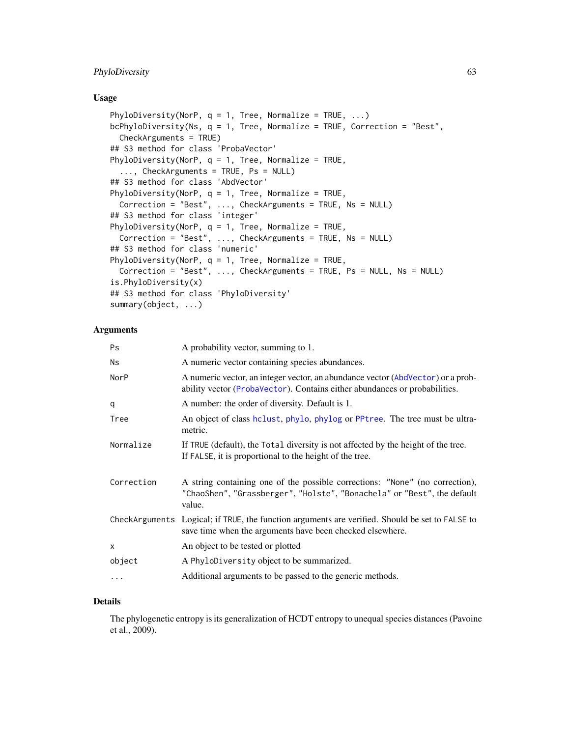# PhyloDiversity 63

### Usage

```
PhyloDiversity(NorP, q = 1, Tree, Normalize = TRUE, ...)
bcPhyloDiversity(Ns, q = 1, Tree, Normalize = TRUE, Correction = "Best",
 CheckArguments = TRUE)
## S3 method for class 'ProbaVector'
PhyloDiversity(NorP, q = 1, Tree, Normalize = TRUE,
  ..., CheckArguments = TRUE, Ps = NULL)
## S3 method for class 'AbdVector'
PhyloDiversity(NorP, q = 1, Tree, Normalize = TRUE,
 Correction = "Best", ..., CheckArguments = TRUE, Ns = NULL)
## S3 method for class 'integer'
PhyloDiversity(NorP, q = 1, Tree, Normalize = TRUE,
 Correction = "Best", ..., CheckArguments = TRUE, Ns = NULL)
## S3 method for class 'numeric'
PhyloDiversity(NorP, q = 1, Tree, Normalize = TRUE,
  Correction = "Best", ..., CheckArguments = TRUE, Ps = NULL, Ns = NULL)
is.PhyloDiversity(x)
## S3 method for class 'PhyloDiversity'
summary(object, ...)
```
### Arguments

| <b>Ps</b>  | A probability vector, summing to 1.                                                                                                                               |
|------------|-------------------------------------------------------------------------------------------------------------------------------------------------------------------|
| Ns         | A numeric vector containing species abundances.                                                                                                                   |
| NorP       | A numeric vector, an integer vector, an abundance vector (AbdVector) or a prob-<br>ability vector (ProbaVector). Contains either abundances or probabilities.     |
| q          | A number: the order of diversity. Default is 1.                                                                                                                   |
| Tree       | An object of class holust, phylo, phylog or PPtree. The tree must be ultra-<br>metric.                                                                            |
| Normalize  | If TRUE (default), the Total diversity is not affected by the height of the tree.<br>If FALSE, it is proportional to the height of the tree.                      |
| Correction | A string containing one of the possible corrections: "None" (no correction),<br>"ChaoShen", "Grassberger", "Holste", "Bonachela" or "Best", the default<br>value. |
|            | CheckArguments Logical; if TRUE, the function arguments are verified. Should be set to FALSE to<br>save time when the arguments have been checked elsewhere.      |
| $\times$   | An object to be tested or plotted                                                                                                                                 |
| object     | A PhyloDiversity object to be summarized.                                                                                                                         |
| $\ddots$   | Additional arguments to be passed to the generic methods.                                                                                                         |

### Details

The phylogenetic entropy is its generalization of HCDT entropy to unequal species distances (Pavoine et al., 2009).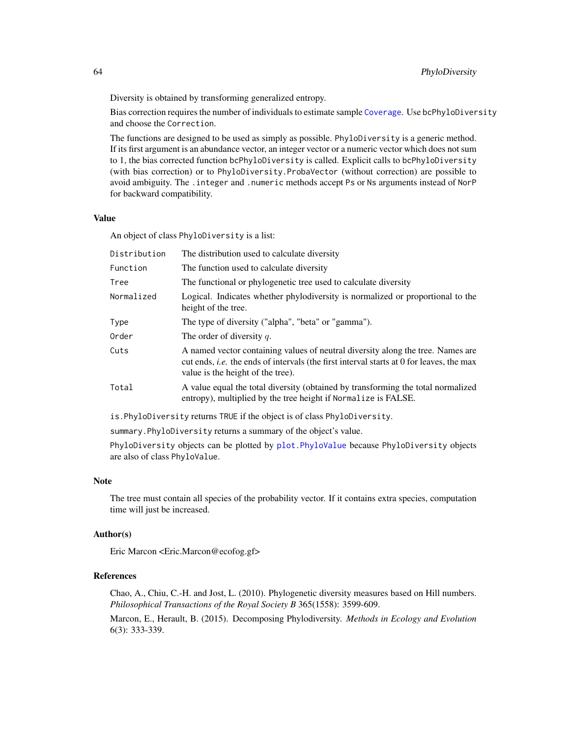Diversity is obtained by transforming generalized entropy.

Bias correction requires the number of individuals to estimate sample [Coverage](#page-16-0). Use bcPhyloDiversity and choose the Correction.

The functions are designed to be used as simply as possible. PhyloDiversity is a generic method. If its first argument is an abundance vector, an integer vector or a numeric vector which does not sum to 1, the bias corrected function bcPhyloDiversity is called. Explicit calls to bcPhyloDiversity (with bias correction) or to PhyloDiversity.ProbaVector (without correction) are possible to avoid ambiguity. The .integer and .numeric methods accept Ps or Ns arguments instead of NorP for backward compatibility.

### Value

An object of class PhyloDiversity is a list:

| Distribution | The distribution used to calculate diversity                                                                                                                                                                            |
|--------------|-------------------------------------------------------------------------------------------------------------------------------------------------------------------------------------------------------------------------|
| Function     | The function used to calculate diversity                                                                                                                                                                                |
| Tree         | The functional or phylogenetic tree used to calculate diversity                                                                                                                                                         |
| Normalized   | Logical. Indicates whether phylodiversity is normalized or proportional to the<br>height of the tree.                                                                                                                   |
| Type         | The type of diversity ("alpha", "beta" or "gamma").                                                                                                                                                                     |
| Order        | The order of diversity $q$ .                                                                                                                                                                                            |
| Cuts         | A named vector containing values of neutral diversity along the tree. Names are<br>cut ends, <i>i.e.</i> the ends of intervals (the first interval starts at 0 for leaves, the max<br>value is the height of the tree). |
| Total        | A value equal the total diversity (obtained by transforming the total normalized<br>entropy), multiplied by the tree height if Normalize is FALSE.                                                                      |
|              |                                                                                                                                                                                                                         |

is.PhyloDiversity returns TRUE if the object is of class PhyloDiversity.

summary.PhyloDiversity returns a summary of the object's value.

PhyloDiversity objects can be plotted by [plot.PhyloValue](#page-67-0) because PhyloDiversity objects are also of class PhyloValue.

### Note

The tree must contain all species of the probability vector. If it contains extra species, computation time will just be increased.

### Author(s)

Eric Marcon <Eric.Marcon@ecofog.gf>

# References

Chao, A., Chiu, C.-H. and Jost, L. (2010). Phylogenetic diversity measures based on Hill numbers. *Philosophical Transactions of the Royal Society B* 365(1558): 3599-609.

Marcon, E., Herault, B. (2015). Decomposing Phylodiversity. *Methods in Ecology and Evolution* 6(3): 333-339.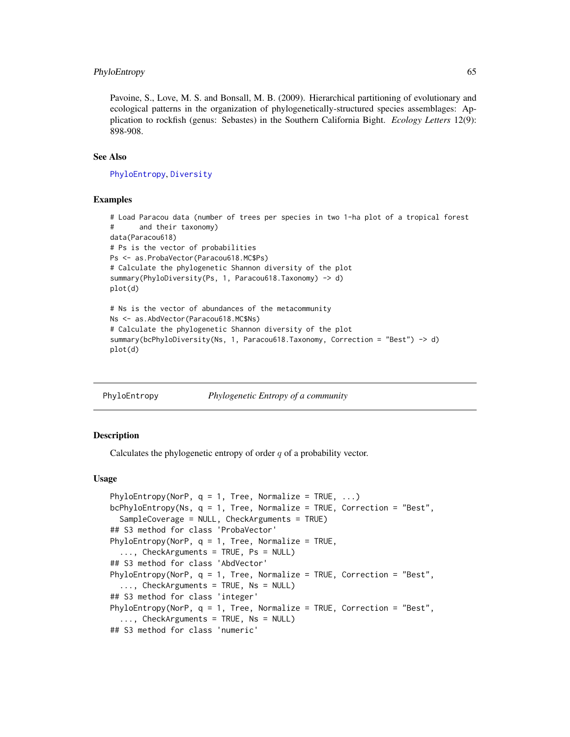### PhyloEntropy 65

Pavoine, S., Love, M. S. and Bonsall, M. B. (2009). Hierarchical partitioning of evolutionary and ecological patterns in the organization of phylogenetically-structured species assemblages: Application to rockfish (genus: Sebastes) in the Southern California Bight. *Ecology Letters* 12(9): 898-908.

#### See Also

### [PhyloEntropy](#page-64-0), [Diversity](#page-17-0)

### Examples

```
# Load Paracou data (number of trees per species in two 1-ha plot of a tropical forest
# and their taxonomy)
data(Paracou618)
# Ps is the vector of probabilities
Ps <- as.ProbaVector(Paracou618.MC$Ps)
# Calculate the phylogenetic Shannon diversity of the plot
summary(PhyloDiversity(Ps, 1, Paracou618.Taxonomy) -> d)
plot(d)
# Ns is the vector of abundances of the metacommunity
Ns <- as.AbdVector(Paracou618.MC$Ns)
# Calculate the phylogenetic Shannon diversity of the plot
summary(bcPhyloDiversity(Ns, 1, Paracou618.Taxonomy, Correction = "Best") -> d)
plot(d)
```
<span id="page-64-0"></span>PhyloEntropy *Phylogenetic Entropy of a community*

### Description

Calculates the phylogenetic entropy of order  $q$  of a probability vector.

# Usage

```
PhyloEntropy(NorP, q = 1, Tree, Normalize = TRUE, ...)
bcPhyloEntropy(Ns, q = 1, Tree, Normalize = TRUE, Correction = "Best",
  SampleCoverage = NULL, CheckArguments = TRUE)
## S3 method for class 'ProbaVector'
PhyloEntropy(NorP, q = 1, Tree, Normalize = TRUE,
  ..., CheckArguments = TRUE, Ps = NULL)
## S3 method for class 'AbdVector'
PhyloEntropy(NorP, q = 1, Tree, Normalize = TRUE, Correction = "Best",
  ..., CheckArguments = TRUE, Ns = NULL)
## S3 method for class 'integer'
PhyloEntropy(NorP, q = 1, Tree, Normalize = TRUE, Correction = "Best",
  ..., CheckArguments = TRUE, Ns = NULL)
## S3 method for class 'numeric'
```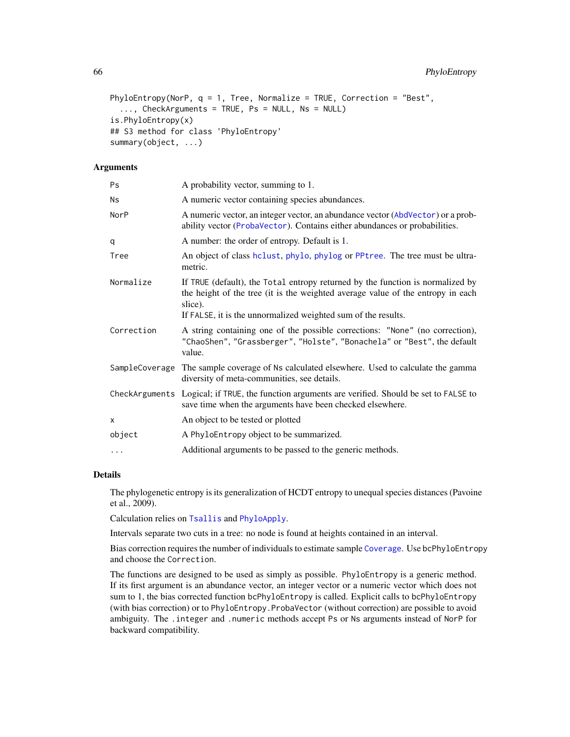```
PhyloEntropy(NorP, q = 1, Tree, Normalize = TRUE, Correction = "Best",
  ..., CheckArguments = TRUE, Ps = NULL, Ns = NULL)
is.PhyloEntropy(x)
## S3 method for class 'PhyloEntropy'
summary(object, ...)
```
### Arguments

| Ps         | A probability vector, summing to 1.                                                                                                                                                                                                           |
|------------|-----------------------------------------------------------------------------------------------------------------------------------------------------------------------------------------------------------------------------------------------|
| Ns         | A numeric vector containing species abundances.                                                                                                                                                                                               |
| NorP       | A numeric vector, an integer vector, an abundance vector (AbdVector) or a prob-<br>ability vector (ProbaVector). Contains either abundances or probabilities.                                                                                 |
| q          | A number: the order of entropy. Default is 1.                                                                                                                                                                                                 |
| Tree       | An object of class hclust, phylo, phylog or PPtree. The tree must be ultra-<br>metric.                                                                                                                                                        |
| Normalize  | If TRUE (default), the Total entropy returned by the function is normalized by<br>the height of the tree (it is the weighted average value of the entropy in each<br>slice).<br>If FALSE, it is the unnormalized weighted sum of the results. |
| Correction | A string containing one of the possible corrections: "None" (no correction),<br>"ChaoShen", "Grassberger", "Holste", "Bonachela" or "Best", the default<br>value.                                                                             |
|            | SampleCoverage The sample coverage of Ns calculated elsewhere. Used to calculate the gamma<br>diversity of meta-communities, see details.                                                                                                     |
|            | CheckArguments Logical; if TRUE, the function arguments are verified. Should be set to FALSE to<br>save time when the arguments have been checked elsewhere.                                                                                  |
| X          | An object to be tested or plotted                                                                                                                                                                                                             |
| object     | A PhyloEntropy object to be summarized.                                                                                                                                                                                                       |
| $\ddots$   | Additional arguments to be passed to the generic methods.                                                                                                                                                                                     |
|            |                                                                                                                                                                                                                                               |

# Details

The phylogenetic entropy is its generalization of HCDT entropy to unequal species distances (Pavoine et al., 2009).

Calculation relies on [Tsallis](#page-88-0) and [PhyloApply](#page-57-0).

Intervals separate two cuts in a tree: no node is found at heights contained in an interval.

Bias correction requires the number of individuals to estimate sample [Coverage](#page-16-0). Use bcPhyloEntropy and choose the Correction.

The functions are designed to be used as simply as possible. PhyloEntropy is a generic method. If its first argument is an abundance vector, an integer vector or a numeric vector which does not sum to 1, the bias corrected function bcPhyloEntropy is called. Explicit calls to bcPhyloEntropy (with bias correction) or to PhyloEntropy.ProbaVector (without correction) are possible to avoid ambiguity. The .integer and .numeric methods accept Ps or Ns arguments instead of NorP for backward compatibility.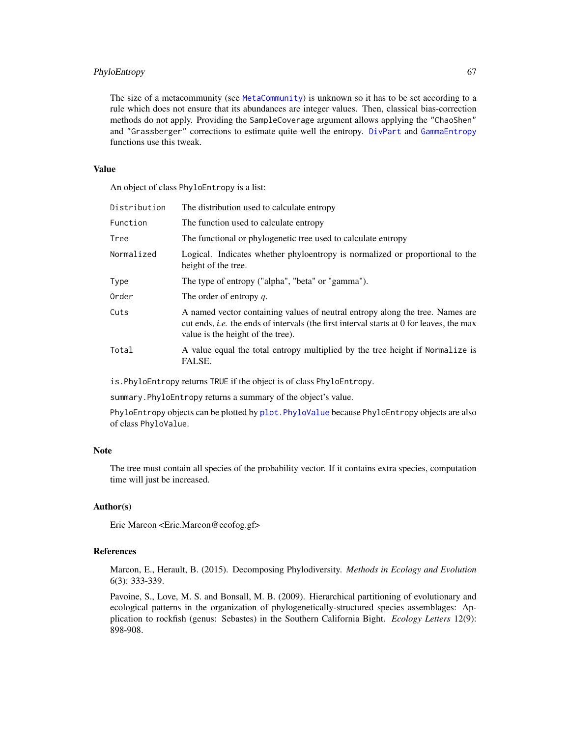# PhyloEntropy 67

The size of a metacommunity (see [MetaCommunity](#page-50-0)) is unknown so it has to be set according to a rule which does not ensure that its abundances are integer values. Then, classical bias-correction methods do not apply. Providing the SampleCoverage argument allows applying the "ChaoShen" and "Grassberger" corrections to estimate quite well the entropy. [DivPart](#page-21-0) and [GammaEntropy](#page-34-0) functions use this tweak.

### Value

An object of class PhyloEntropy is a list:

| Distribution | The distribution used to calculate entropy                                                                                                                                                                            |
|--------------|-----------------------------------------------------------------------------------------------------------------------------------------------------------------------------------------------------------------------|
| Function     | The function used to calculate entropy                                                                                                                                                                                |
| Tree         | The functional or phylogenetic tree used to calculate entropy                                                                                                                                                         |
| Normalized   | Logical. Indicates whether phyloentropy is normalized or proportional to the<br>height of the tree.                                                                                                                   |
| Type         | The type of entropy ("alpha", "beta" or "gamma").                                                                                                                                                                     |
| Order        | The order of entropy $q$ .                                                                                                                                                                                            |
| Cuts         | A named vector containing values of neutral entropy along the tree. Names are<br>cut ends, <i>i.e.</i> the ends of intervals (the first interval starts at 0 for leaves, the max<br>value is the height of the tree). |
| Total        | A value equal the total entropy multiplied by the tree height if Normalize is<br>FALSE.                                                                                                                               |

is.PhyloEntropy returns TRUE if the object is of class PhyloEntropy.

summary.PhyloEntropy returns a summary of the object's value.

PhyloEntropy objects can be plotted by [plot.PhyloValue](#page-67-0) because PhyloEntropy objects are also of class PhyloValue.

# Note

The tree must contain all species of the probability vector. If it contains extra species, computation time will just be increased.

### Author(s)

Eric Marcon <Eric.Marcon@ecofog.gf>

# References

Marcon, E., Herault, B. (2015). Decomposing Phylodiversity. *Methods in Ecology and Evolution* 6(3): 333-339.

Pavoine, S., Love, M. S. and Bonsall, M. B. (2009). Hierarchical partitioning of evolutionary and ecological patterns in the organization of phylogenetically-structured species assemblages: Application to rockfish (genus: Sebastes) in the Southern California Bight. *Ecology Letters* 12(9): 898-908.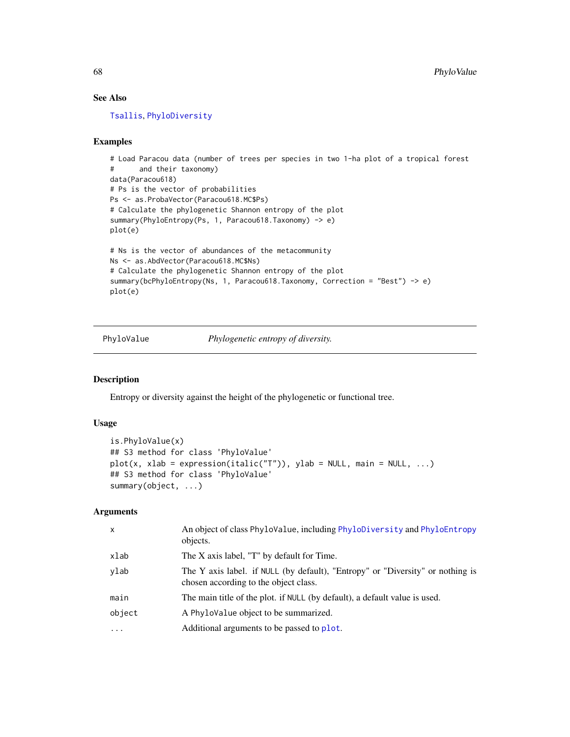# See Also

[Tsallis](#page-88-0), [PhyloDiversity](#page-61-1)

# Examples

```
# Load Paracou data (number of trees per species in two 1-ha plot of a tropical forest
# and their taxonomy)
data(Paracou618)
# Ps is the vector of probabilities
Ps <- as.ProbaVector(Paracou618.MC$Ps)
# Calculate the phylogenetic Shannon entropy of the plot
summary(PhyloEntropy(Ps, 1, Paracou618.Taxonomy) -> e)
plot(e)
# Ns is the vector of abundances of the metacommunity
Ns <- as.AbdVector(Paracou618.MC$Ns)
# Calculate the phylogenetic Shannon entropy of the plot
summary(bcPhyloEntropy(Ns, 1, Paracou618.Taxonomy, Correction = "Best") -> e)
plot(e)
```
PhyloValue *Phylogenetic entropy of diversity.*

# <span id="page-67-0"></span>Description

Entropy or diversity against the height of the phylogenetic or functional tree.

### Usage

```
is.PhyloValue(x)
## S3 method for class 'PhyloValue'
plot(x, xlab = expression(italic("T")), ylab = NULL, main = NULL, ...)## S3 method for class 'PhyloValue'
summary(object, ...)
```
# Arguments

| X        | An object of class PhyloValue, including PhyloDiversity and PhyloEntropy<br>objects.                                    |
|----------|-------------------------------------------------------------------------------------------------------------------------|
| xlab     | The X axis label, "T" by default for Time.                                                                              |
| ylab     | The Y axis label. if NULL (by default), "Entropy" or "Diversity" or nothing is<br>chosen according to the object class. |
| main     | The main title of the plot. if NULL (by default), a default value is used.                                              |
| object   | A PhyloValue object to be summarized.                                                                                   |
| $\cdots$ | Additional arguments to be passed to plot.                                                                              |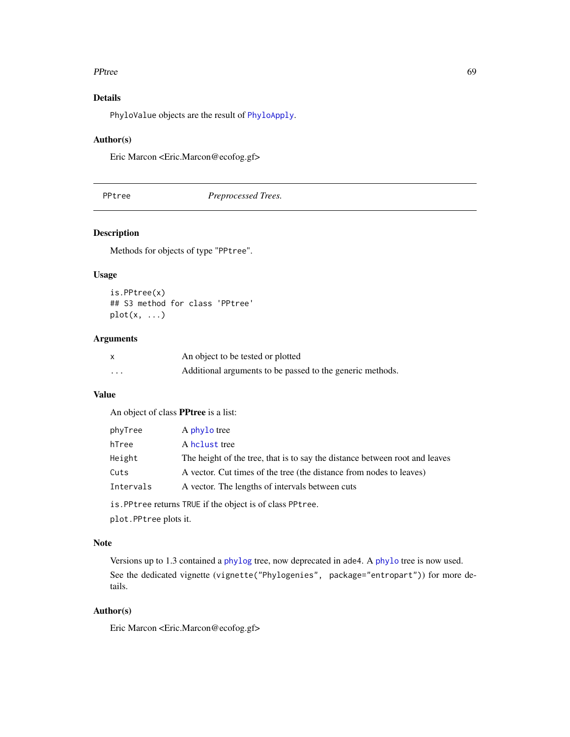### PPtree 69

# Details

PhyloValue objects are the result of [PhyloApply](#page-57-0).

# Author(s)

Eric Marcon <Eric.Marcon@ecofog.gf>

<span id="page-68-0"></span>PPtree *Preprocessed Trees.*

# Description

Methods for objects of type "PPtree".

### Usage

is.PPtree(x) ## S3 method for class 'PPtree'  $plot(x, \ldots)$ 

### Arguments

|          | An object to be tested or plotted                         |
|----------|-----------------------------------------------------------|
| $\cdots$ | Additional arguments to be passed to the generic methods. |

# Value

An object of class PPtree is a list:

| phyTree   | A phylo tree                                                                |
|-----------|-----------------------------------------------------------------------------|
| hTree     | A holust tree                                                               |
| Height    | The height of the tree, that is to say the distance between root and leaves |
| Cuts      | A vector. Cut times of the tree (the distance from nodes to leaves)         |
| Intervals | A vector. The lengths of intervals between cuts                             |
|           |                                                                             |

is.PPtree returns TRUE if the object is of class PPtree.

plot.PPtree plots it.

### Note

Versions up to 1.3 contained a [phylog](#page-0-0) tree, now deprecated in ade4. A [phylo](#page-0-0) tree is now used. See the dedicated vignette (vignette("Phylogenies", package="entropart")) for more details.

# Author(s)

Eric Marcon <Eric.Marcon@ecofog.gf>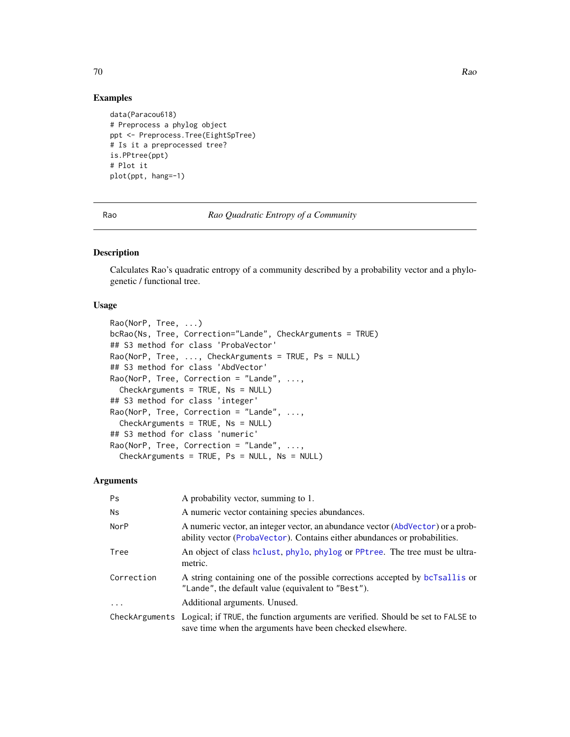# Examples

```
data(Paracou618)
# Preprocess a phylog object
ppt <- Preprocess.Tree(EightSpTree)
# Is it a preprocessed tree?
is.PPtree(ppt)
# Plot it
plot(ppt, hang=-1)
```
Rao *Rao Quadratic Entropy of a Community*

### Description

Calculates Rao's quadratic entropy of a community described by a probability vector and a phylogenetic / functional tree.

### Usage

```
Rao(NorP, Tree, ...)
bcRao(Ns, Tree, Correction="Lande", CheckArguments = TRUE)
## S3 method for class 'ProbaVector'
Rao(NorP, Tree, ..., CheckArguments = TRUE, Ps = NULL)
## S3 method for class 'AbdVector'
Rao(NorP, Tree, Correction = "Lande", ...,
  CheckArguments = TRUE, Ns = NULL)
## S3 method for class 'integer'
Rao(NorP, Tree, Correction = "Lande", \dots,
 CheckArguments = TRUE, Ns = NULL)
## S3 method for class 'numeric'
Rao(NorP, Tree, Correction = "Lande", ...,
  CheckArguments = TRUE, Ps = NULL, Ns = NULL)
```
# Arguments

| Ps         | A probability vector, summing to 1.                                                                                                                           |
|------------|---------------------------------------------------------------------------------------------------------------------------------------------------------------|
| <b>Ns</b>  | A numeric vector containing species abundances.                                                                                                               |
| NorP       | A numeric vector, an integer vector, an abundance vector (AbdVector) or a prob-<br>ability vector (ProbaVector). Contains either abundances or probabilities. |
| Tree       | An object of class holust, phylo, phylog or PPtree. The tree must be ultra-<br>metric.                                                                        |
| Correction | A string containing one of the possible corrections accepted by bcTsallis or<br>"Lande", the default value (equivalent to "Best").                            |
| $\cdots$   | Additional arguments. Unused.                                                                                                                                 |
|            | CheckArguments Logical; if TRUE, the function arguments are verified. Should be set to FALSE to<br>save time when the arguments have been checked elsewhere.  |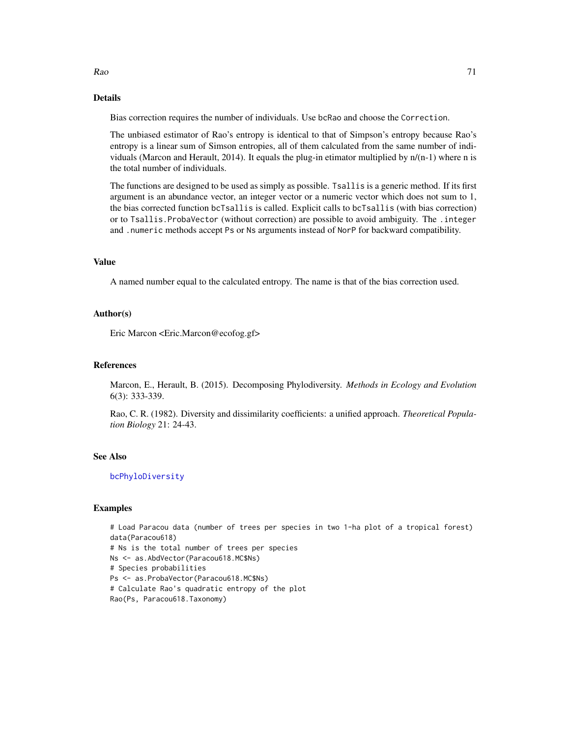# Details

Bias correction requires the number of individuals. Use bcRao and choose the Correction.

The unbiased estimator of Rao's entropy is identical to that of Simpson's entropy because Rao's entropy is a linear sum of Simson entropies, all of them calculated from the same number of individuals (Marcon and Herault, 2014). It equals the plug-in etimator multiplied by n/(n-1) where n is the total number of individuals.

The functions are designed to be used as simply as possible. Tsallis is a generic method. If its first argument is an abundance vector, an integer vector or a numeric vector which does not sum to 1, the bias corrected function bcTsallis is called. Explicit calls to bcTsallis (with bias correction) or to Tsallis.ProbaVector (without correction) are possible to avoid ambiguity. The .integer and .numeric methods accept Ps or Ns arguments instead of NorP for backward compatibility.

# Value

A named number equal to the calculated entropy. The name is that of the bias correction used.

#### Author(s)

Eric Marcon <Eric.Marcon@ecofog.gf>

#### References

Marcon, E., Herault, B. (2015). Decomposing Phylodiversity. *Methods in Ecology and Evolution* 6(3): 333-339.

Rao, C. R. (1982). Diversity and dissimilarity coefficients: a unified approach. *Theoretical Population Biology* 21: 24-43.

# See Also

[bcPhyloDiversity](#page-61-0)

### Examples

```
# Load Paracou data (number of trees per species in two 1-ha plot of a tropical forest)
data(Paracou618)
# Ns is the total number of trees per species
Ns <- as.AbdVector(Paracou618.MC$Ns)
# Species probabilities
Ps <- as.ProbaVector(Paracou618.MC$Ns)
# Calculate Rao's quadratic entropy of the plot
Rao(Ps, Paracou618.Taxonomy)
```
 $Rao$  71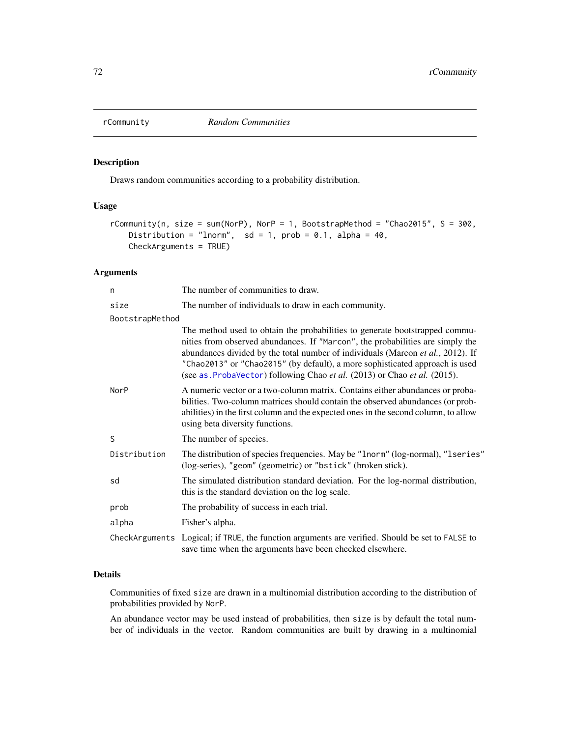### Description

Draws random communities according to a probability distribution.

# Usage

```
rCommunity(n, size = sum(NorP), NorP = 1, BootstrapMethod = "Chao2015", S = 300,
   Distribution = "lnorm", sd = 1, prob = 0.1, alpha = 40,
   CheckArguments = TRUE)
```
# Arguments

| n               | The number of communities to draw.                                                                                                                                                                                                                                                                                                                                                                           |
|-----------------|--------------------------------------------------------------------------------------------------------------------------------------------------------------------------------------------------------------------------------------------------------------------------------------------------------------------------------------------------------------------------------------------------------------|
| size            | The number of individuals to draw in each community.                                                                                                                                                                                                                                                                                                                                                         |
| BootstrapMethod |                                                                                                                                                                                                                                                                                                                                                                                                              |
|                 | The method used to obtain the probabilities to generate bootstrapped commu-<br>nities from observed abundances. If "Marcon", the probabilities are simply the<br>abundances divided by the total number of individuals (Marcon et al., 2012). If<br>"Chao2013" or "Chao2015" (by default), a more sophisticated approach is used<br>(see as ProbaVector) following Chao et al. (2013) or Chao et al. (2015). |
| NorP            | A numeric vector or a two-column matrix. Contains either abundances or proba-<br>bilities. Two-column matrices should contain the observed abundances (or prob-<br>abilities) in the first column and the expected ones in the second column, to allow<br>using beta diversity functions.                                                                                                                    |
| S               | The number of species.                                                                                                                                                                                                                                                                                                                                                                                       |
| Distribution    | The distribution of species frequencies. May be "1norm" (log-normal), "1series"<br>(log-series), "geom" (geometric) or "bstick" (broken stick).                                                                                                                                                                                                                                                              |
| sd              | The simulated distribution standard deviation. For the log-normal distribution,<br>this is the standard deviation on the log scale.                                                                                                                                                                                                                                                                          |
| prob            | The probability of success in each trial.                                                                                                                                                                                                                                                                                                                                                                    |
| alpha           | Fisher's alpha.                                                                                                                                                                                                                                                                                                                                                                                              |
|                 | CheckArguments Logical; if TRUE, the function arguments are verified. Should be set to FALSE to<br>save time when the arguments have been checked elsewhere.                                                                                                                                                                                                                                                 |

### Details

Communities of fixed size are drawn in a multinomial distribution according to the distribution of probabilities provided by NorP.

An abundance vector may be used instead of probabilities, then size is by default the total number of individuals in the vector. Random communities are built by drawing in a multinomial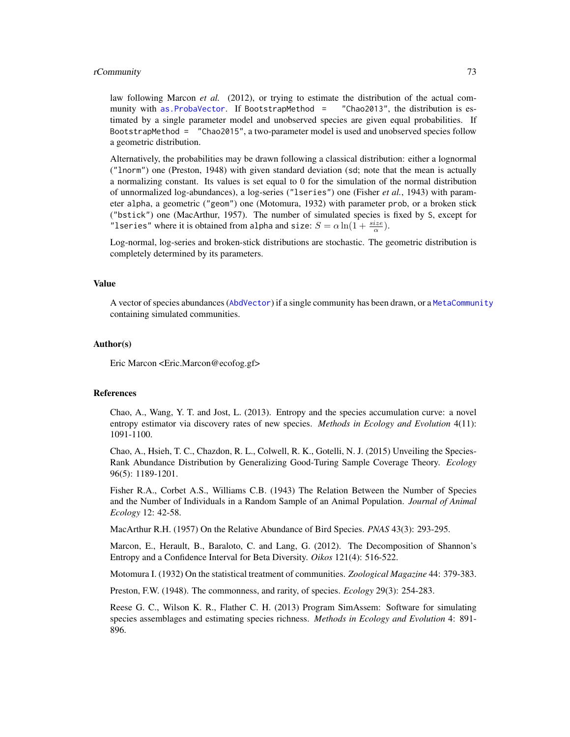### <span id="page-72-0"></span>rCommunity 73

law following Marcon *et al.* (2012), or trying to estimate the distribution of the actual community with [as.ProbaVector](#page-85-0). If BootstrapMethod = "Chao2013", the distribution is estimated by a single parameter model and unobserved species are given equal probabilities. If BootstrapMethod = "Chao2015", a two-parameter model is used and unobserved species follow a geometric distribution.

Alternatively, the probabilities may be drawn following a classical distribution: either a lognormal ("lnorm") one (Preston, 1948) with given standard deviation (sd; note that the mean is actually a normalizing constant. Its values is set equal to 0 for the simulation of the normal distribution of unnormalized log-abundances), a log-series ("lseries") one (Fisher *et al.*, 1943) with parameter alpha, a geometric ("geom") one (Motomura, 1932) with parameter prob, or a broken stick ("bstick") one (MacArthur, 1957). The number of simulated species is fixed by S, except for "lseries" where it is obtained from alpha and size:  $S = \alpha \ln(1 + \frac{size}{\alpha})$ .

Log-normal, log-series and broken-stick distributions are stochastic. The geometric distribution is completely determined by its parameters.

#### Value

A vector of species abundances ([AbdVector](#page-85-0)) if a single community has been drawn, or a [MetaCommunity](#page-50-0) containing simulated communities.

# Author(s)

Eric Marcon <Eric.Marcon@ecofog.gf>

# References

Chao, A., Wang, Y. T. and Jost, L. (2013). Entropy and the species accumulation curve: a novel entropy estimator via discovery rates of new species. *Methods in Ecology and Evolution* 4(11): 1091-1100.

Chao, A., Hsieh, T. C., Chazdon, R. L., Colwell, R. K., Gotelli, N. J. (2015) Unveiling the Species-Rank Abundance Distribution by Generalizing Good-Turing Sample Coverage Theory. *Ecology* 96(5): 1189-1201.

Fisher R.A., Corbet A.S., Williams C.B. (1943) The Relation Between the Number of Species and the Number of Individuals in a Random Sample of an Animal Population. *Journal of Animal Ecology* 12: 42-58.

MacArthur R.H. (1957) On the Relative Abundance of Bird Species. *PNAS* 43(3): 293-295.

Marcon, E., Herault, B., Baraloto, C. and Lang, G. (2012). The Decomposition of Shannon's Entropy and a Confidence Interval for Beta Diversity. *Oikos* 121(4): 516-522.

Motomura I. (1932) On the statistical treatment of communities. *Zoological Magazine* 44: 379-383.

Preston, F.W. (1948). The commonness, and rarity, of species. *Ecology* 29(3): 254-283.

Reese G. C., Wilson K. R., Flather C. H. (2013) Program SimAssem: Software for simulating species assemblages and estimating species richness. *Methods in Ecology and Evolution* 4: 891- 896.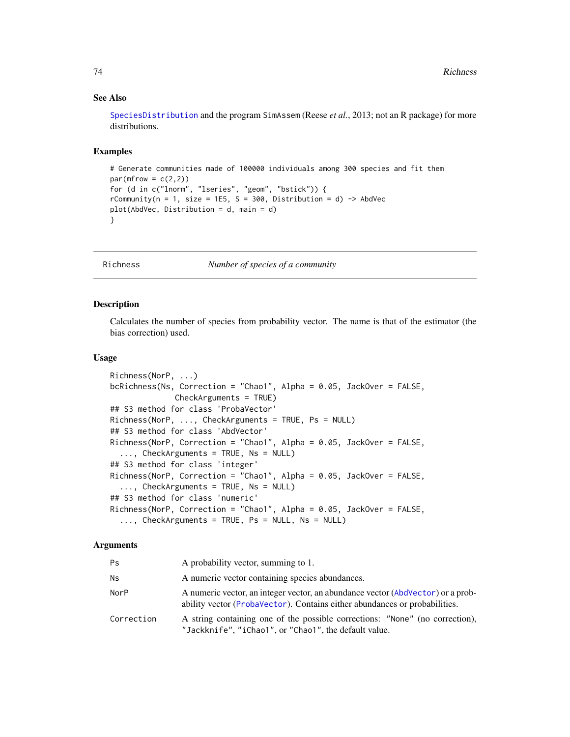# See Also

[SpeciesDistribution](#page-85-1) and the program SimAssem (Reese *et al.*, 2013; not an R package) for more distributions.

# Examples

```
# Generate communities made of 100000 individuals among 300 species and fit them
par(mfrow = c(2,2))for (d in c("lnorm", "lseries", "geom", "bstick")) {
rCommunity(n = 1, size = 1E5, S = 300, Distribution = d) -> AbdVec
plot(AbdVec, Distribution = d, main = d)
}
```
<span id="page-73-0"></span>

Richness *Number of species of a community*

# **Description**

Calculates the number of species from probability vector. The name is that of the estimator (the bias correction) used.

# Usage

```
Richness(NorP, ...)
bcRichness(Ns, Correction = "Chao1", Alpha = 0.05, JackOver = FALSE,
              CheckArguments = TRUE)
## S3 method for class 'ProbaVector'
Richness(NorP, ..., CheckArguments = TRUE, Ps = NULL)
## S3 method for class 'AbdVector'
Richness(NorP, Correction = "Chao1", Alpha = 0.05, JackOver = FALSE,
  ..., CheckArguments = TRUE, Ns = NULL)
## S3 method for class 'integer'
Richness(NorP, Correction = "Chao1", Alpha = 0.05, JackOver = FALSE,
  ..., CheckArguments = TRUE, Ns = NULL)
## S3 method for class 'numeric'
Richness(NorP, Correction = "Chao1", Alpha = 0.05, JackOver = FALSE,
  ..., CheckArguments = TRUE, Ps = NULL, Ns = NULL)
```
# Arguments

| Ps         | A probability vector, summing to 1.                                                                                                                           |
|------------|---------------------------------------------------------------------------------------------------------------------------------------------------------------|
| Ns         | A numeric vector containing species abundances.                                                                                                               |
| NorP       | A numeric vector, an integer vector, an abundance vector (AbdVector) or a prob-<br>ability vector (ProbaVector). Contains either abundances or probabilities. |
| Correction | A string containing one of the possible corrections: "None" (no correction),<br>"Jackknife", "iChao1", or "Chao1", the default value.                         |

<span id="page-73-1"></span>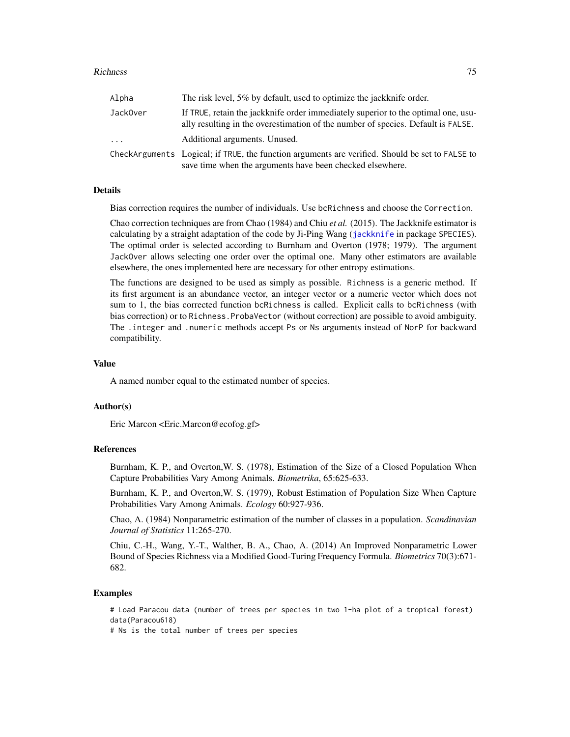#### <span id="page-74-0"></span>Richness 75

| Alpha    | The risk level, 5% by default, used to optimize the jackknife order.                                                                                                  |
|----------|-----------------------------------------------------------------------------------------------------------------------------------------------------------------------|
| JackOver | If TRUE, retain the jackknife order immediately superior to the optimal one, usu-<br>ally resulting in the overestimation of the number of species. Default is FALSE. |
| $\ddots$ | Additional arguments. Unused.                                                                                                                                         |
|          | CheckArguments Logical; if TRUE, the function arguments are verified. Should be set to FALSE to<br>save time when the arguments have been checked elsewhere.          |

# Details

Bias correction requires the number of individuals. Use bcRichness and choose the Correction.

Chao correction techniques are from Chao (1984) and Chiu *et al.* (2015). The Jackknife estimator is calculating by a straight adaptation of the code by Ji-Ping Wang ([jackknife](#page-0-0) in package SPECIES). The optimal order is selected according to Burnham and Overton (1978; 1979). The argument JackOver allows selecting one order over the optimal one. Many other estimators are available elsewhere, the ones implemented here are necessary for other entropy estimations.

The functions are designed to be used as simply as possible. Richness is a generic method. If its first argument is an abundance vector, an integer vector or a numeric vector which does not sum to 1, the bias corrected function bcRichness is called. Explicit calls to bcRichness (with bias correction) or to Richness.ProbaVector (without correction) are possible to avoid ambiguity. The .integer and .numeric methods accept Ps or Ns arguments instead of NorP for backward compatibility.

# Value

A named number equal to the estimated number of species.

#### Author(s)

Eric Marcon <Eric.Marcon@ecofog.gf>

# References

Burnham, K. P., and Overton,W. S. (1978), Estimation of the Size of a Closed Population When Capture Probabilities Vary Among Animals. *Biometrika*, 65:625-633.

Burnham, K. P., and Overton,W. S. (1979), Robust Estimation of Population Size When Capture Probabilities Vary Among Animals. *Ecology* 60:927-936.

Chao, A. (1984) Nonparametric estimation of the number of classes in a population. *Scandinavian Journal of Statistics* 11:265-270.

Chiu, C.-H., Wang, Y.-T., Walther, B. A., Chao, A. (2014) An Improved Nonparametric Lower Bound of Species Richness via a Modified Good-Turing Frequency Formula. *Biometrics* 70(3):671- 682.

# Examples

# Load Paracou data (number of trees per species in two 1-ha plot of a tropical forest) data(Paracou618)

# Ns is the total number of trees per species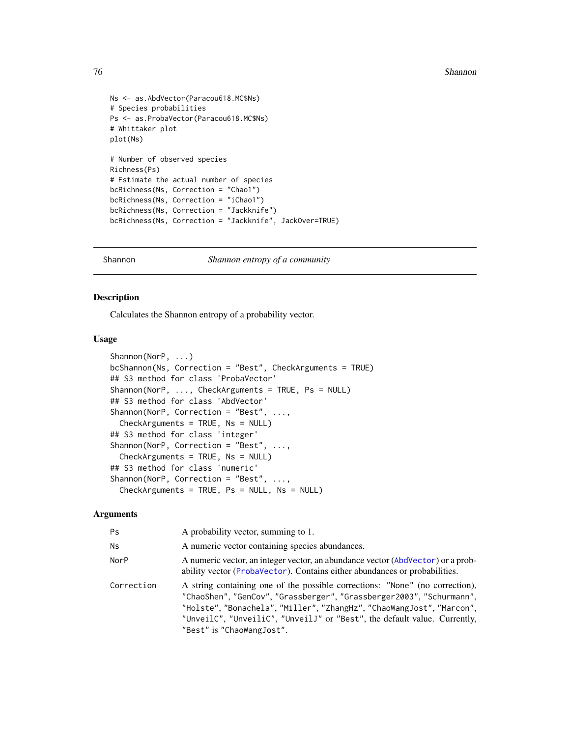```
Ns <- as.AbdVector(Paracou618.MC$Ns)
# Species probabilities
Ps <- as.ProbaVector(Paracou618.MC$Ns)
# Whittaker plot
plot(Ns)
# Number of observed species
Richness(Ps)
# Estimate the actual number of species
bcRichness(Ns, Correction = "Chao1")
bcRichness(Ns, Correction = "iChao1")
bcRichness(Ns, Correction = "Jackknife")
bcRichness(Ns, Correction = "Jackknife", JackOver=TRUE)
```
Shannon *Shannon entropy of a community*

# <span id="page-75-0"></span>Description

Calculates the Shannon entropy of a probability vector.

# Usage

```
Shannon(NorP, ...)
bcShannon(Ns, Correction = "Best", CheckArguments = TRUE)
## S3 method for class 'ProbaVector'
Shannon(NorP, ..., CheckArguments = TRUE, Ps = NULL)
## S3 method for class 'AbdVector'
Shannon(NorP, Correction = "Best", ...,
 CheckArguments = TRUE, Ns = NULL)
## S3 method for class 'integer'
Shannon(NorP, Correction = "Best", ...,
  CheckArguments = TRUE, Ns = NULL)
## S3 method for class 'numeric'
Shannon(NorP, Correction = "Best", ...,
 CheckArguments = TRUE, Ps = NULL, Ns = NULL)
```
# Arguments

| Ps         | A probability vector, summing to 1.                                                                                                                                                                                                                                                                                                     |
|------------|-----------------------------------------------------------------------------------------------------------------------------------------------------------------------------------------------------------------------------------------------------------------------------------------------------------------------------------------|
| <b>Ns</b>  | A numeric vector containing species abundances.                                                                                                                                                                                                                                                                                         |
| NorP       | A numeric vector, an integer vector, an abundance vector (AbdVector) or a prob-<br>ability vector (ProbaVector). Contains either abundances or probabilities.                                                                                                                                                                           |
| Correction | A string containing one of the possible corrections: "None" (no correction),<br>"ChaoShen", "GenCov", "Grassberger", "Grassberger2003", "Schurmann",<br>"Holste", "Bonachela", "Miller", "ZhangHz", "ChaoWangJost", "Marcon",<br>"UnveilC", "UnveiliC", "UnveilJ" or "Best", the default value. Currently,<br>"Best" is "ChaoWangJost". |

<span id="page-75-1"></span>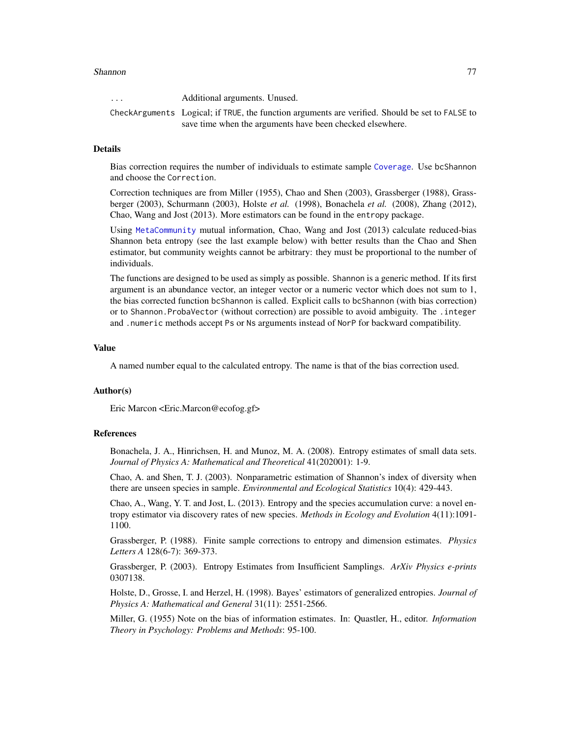#### <span id="page-76-0"></span>Shannon **77**

... Additional arguments. Unused. CheckArguments Logical; if TRUE, the function arguments are verified. Should be set to FALSE to save time when the arguments have been checked elsewhere.

# Details

Bias correction requires the number of individuals to estimate sample [Coverage](#page-16-0). Use bcShannon and choose the Correction.

Correction techniques are from Miller (1955), Chao and Shen (2003), Grassberger (1988), Grassberger (2003), Schurmann (2003), Holste *et al.* (1998), Bonachela *et al.* (2008), Zhang (2012), Chao, Wang and Jost (2013). More estimators can be found in the entropy package.

Using [MetaCommunity](#page-50-0) mutual information, Chao, Wang and Jost (2013) calculate reduced-bias Shannon beta entropy (see the last example below) with better results than the Chao and Shen estimator, but community weights cannot be arbitrary: they must be proportional to the number of individuals.

The functions are designed to be used as simply as possible. Shannon is a generic method. If its first argument is an abundance vector, an integer vector or a numeric vector which does not sum to 1, the bias corrected function bcShannon is called. Explicit calls to bcShannon (with bias correction) or to Shannon.ProbaVector (without correction) are possible to avoid ambiguity. The .integer and .numeric methods accept Ps or Ns arguments instead of NorP for backward compatibility.

#### Value

A named number equal to the calculated entropy. The name is that of the bias correction used.

# Author(s)

Eric Marcon <Eric.Marcon@ecofog.gf>

# **References**

Bonachela, J. A., Hinrichsen, H. and Munoz, M. A. (2008). Entropy estimates of small data sets. *Journal of Physics A: Mathematical and Theoretical* 41(202001): 1-9.

Chao, A. and Shen, T. J. (2003). Nonparametric estimation of Shannon's index of diversity when there are unseen species in sample. *Environmental and Ecological Statistics* 10(4): 429-443.

Chao, A., Wang, Y. T. and Jost, L. (2013). Entropy and the species accumulation curve: a novel entropy estimator via discovery rates of new species. *Methods in Ecology and Evolution* 4(11):1091- 1100.

Grassberger, P. (1988). Finite sample corrections to entropy and dimension estimates. *Physics Letters A* 128(6-7): 369-373.

Grassberger, P. (2003). Entropy Estimates from Insufficient Samplings. *ArXiv Physics e-prints* 0307138.

Holste, D., Grosse, I. and Herzel, H. (1998). Bayes' estimators of generalized entropies. *Journal of Physics A: Mathematical and General* 31(11): 2551-2566.

Miller, G. (1955) Note on the bias of information estimates. In: Quastler, H., editor. *Information Theory in Psychology: Problems and Methods*: 95-100.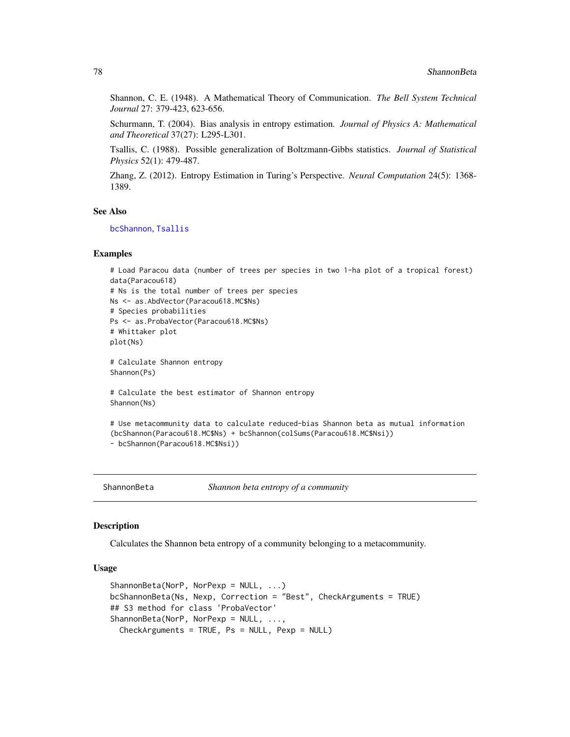Shannon, C. E. (1948). A Mathematical Theory of Communication. *The Bell System Technical Journal* 27: 379-423, 623-656.

Schurmann, T. (2004). Bias analysis in entropy estimation. *Journal of Physics A: Mathematical and Theoretical* 37(27): L295-L301.

Tsallis, C. (1988). Possible generalization of Boltzmann-Gibbs statistics. *Journal of Statistical Physics* 52(1): 479-487.

Zhang, Z. (2012). Entropy Estimation in Turing's Perspective. *Neural Computation* 24(5): 1368- 1389.

#### See Also

[bcShannon](#page-75-0), [Tsallis](#page-88-0)

# Examples

```
# Load Paracou data (number of trees per species in two 1-ha plot of a tropical forest)
data(Paracou618)
# Ns is the total number of trees per species
Ns <- as.AbdVector(Paracou618.MC$Ns)
# Species probabilities
Ps <- as.ProbaVector(Paracou618.MC$Ns)
# Whittaker plot
plot(Ns)
# Calculate Shannon entropy
Shannon(Ps)
# Calculate the best estimator of Shannon entropy
Shannon(Ns)
# Use metacommunity data to calculate reduced-bias Shannon beta as mutual information
(bcShannon(Paracou618.MC$Ns) + bcShannon(colSums(Paracou618.MC$Nsi))
- bcShannon(Paracou618.MC$Nsi))
```

```
ShannonBeta Shannon beta entropy of a community
```
# <span id="page-77-0"></span>**Description**

Calculates the Shannon beta entropy of a community belonging to a metacommunity.

```
ShannonBeta(NorP, NorPexp = NULL, ...)
bcShannonBeta(Ns, Nexp, Correction = "Best", CheckArguments = TRUE)
## S3 method for class 'ProbaVector'
ShannonBeta(NorP, NorPexp = NULL, ...,
 CheckArguments = TRUE, Ps = NULL, Pexp = NULL)
```
<span id="page-77-1"></span>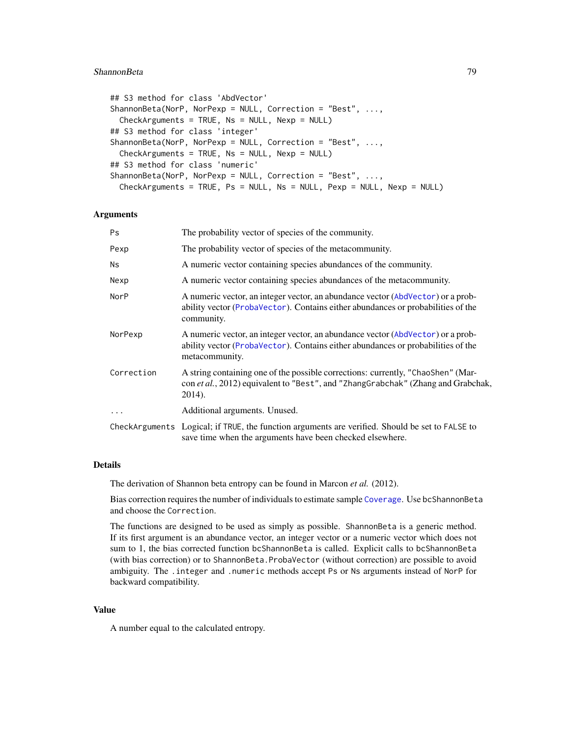#### <span id="page-78-0"></span>ShannonBeta 79

```
## S3 method for class 'AbdVector'
ShannonBeta(NorP, NorPexp = NULL, Correction = "Best", ...,
 CheckArguments = TRUE, Ns = NULL, Nexp = NULL)
## S3 method for class 'integer'
ShannonBeta(NorP, NorPexp = NULL, Correction = "Best", ...,
  CheckArguments = TRUE, Ns = NULL, Nexp = NULL)
## S3 method for class 'numeric'
ShannonBeta(NorP, NorPexp = NULL, Correction = "Best", ...,
 CheckArguments = TRUE, Ps = NULL, Ns = NULL, Pexp = NULL, Nexp = NULL)
```
# Arguments

| <b>Ps</b>  | The probability vector of species of the community.                                                                                                                                   |
|------------|---------------------------------------------------------------------------------------------------------------------------------------------------------------------------------------|
| Pexp       | The probability vector of species of the metacommunity.                                                                                                                               |
| Ns.        | A numeric vector containing species abundances of the community.                                                                                                                      |
| Nexp       | A numeric vector containing species abundances of the metacommunity.                                                                                                                  |
| NorP       | A numeric vector, an integer vector, an abundance vector (AbdVector) or a prob-<br>ability vector (ProbaVector). Contains either abundances or probabilities of the<br>community.     |
| NorPexp    | A numeric vector, an integer vector, an abundance vector (AbdVector) or a prob-<br>ability vector (ProbaVector). Contains either abundances or probabilities of the<br>metacommunity. |
| Correction | A string containing one of the possible corrections: currently, "ChaoShen" (Mar-<br>con et al., 2012) equivalent to "Best", and "ZhangGrabchak" (Zhang and Grabchak,<br>2014).        |
| $\ddots$   | Additional arguments. Unused.                                                                                                                                                         |
|            | CheckArguments Logical; if TRUE, the function arguments are verified. Should be set to FALSE to<br>save time when the arguments have been checked elsewhere.                          |

# Details

The derivation of Shannon beta entropy can be found in Marcon *et al.* (2012).

Bias correction requires the number of individuals to estimate sample [Coverage](#page-16-0). Use bcShannonBeta and choose the Correction.

The functions are designed to be used as simply as possible. ShannonBeta is a generic method. If its first argument is an abundance vector, an integer vector or a numeric vector which does not sum to 1, the bias corrected function bcShannonBeta is called. Explicit calls to bcShannonBeta (with bias correction) or to ShannonBeta.ProbaVector (without correction) are possible to avoid ambiguity. The .integer and .numeric methods accept Ps or Ns arguments instead of NorP for backward compatibility.

# Value

A number equal to the calculated entropy.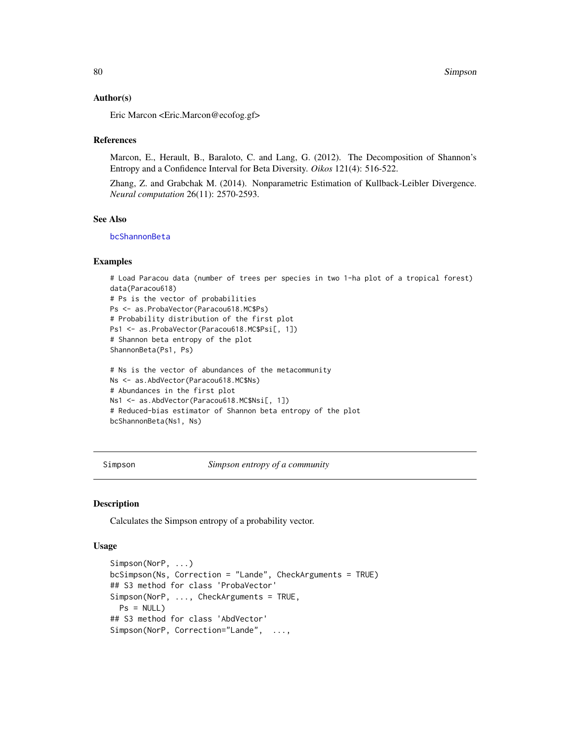# <span id="page-79-2"></span>Author(s)

Eric Marcon <Eric.Marcon@ecofog.gf>

#### References

Marcon, E., Herault, B., Baraloto, C. and Lang, G. (2012). The Decomposition of Shannon's Entropy and a Confidence Interval for Beta Diversity. *Oikos* 121(4): 516-522.

Zhang, Z. and Grabchak M. (2014). Nonparametric Estimation of Kullback-Leibler Divergence. *Neural computation* 26(11): 2570-2593.

# See Also

[bcShannonBeta](#page-77-0)

# Examples

```
# Load Paracou data (number of trees per species in two 1-ha plot of a tropical forest)
data(Paracou618)
# Ps is the vector of probabilities
Ps <- as.ProbaVector(Paracou618.MC$Ps)
# Probability distribution of the first plot
Ps1 <- as. ProbaVector(Paracou618.MC$Psi[, 1])
# Shannon beta entropy of the plot
ShannonBeta(Ps1, Ps)
# Ns is the vector of abundances of the metacommunity
Ns <- as.AbdVector(Paracou618.MC$Ns)
# Abundances in the first plot
Ns1 <- as.AbdVector(Paracou618.MC$Nsi[, 1])
# Reduced-bias estimator of Shannon beta entropy of the plot
bcShannonBeta(Ns1, Ns)
```
<span id="page-79-1"></span>Simpson *Simpson entropy of a community*

# <span id="page-79-0"></span>**Description**

Calculates the Simpson entropy of a probability vector.

```
Simpson(NorP, ...)
bcSimpson(Ns, Correction = "Lande", CheckArguments = TRUE)
## S3 method for class 'ProbaVector'
Simpson(NorP, ..., CheckArguments = TRUE,
 Ps = NULL## S3 method for class 'AbdVector'
Simpson(NorP, Correction="Lande", ...,
```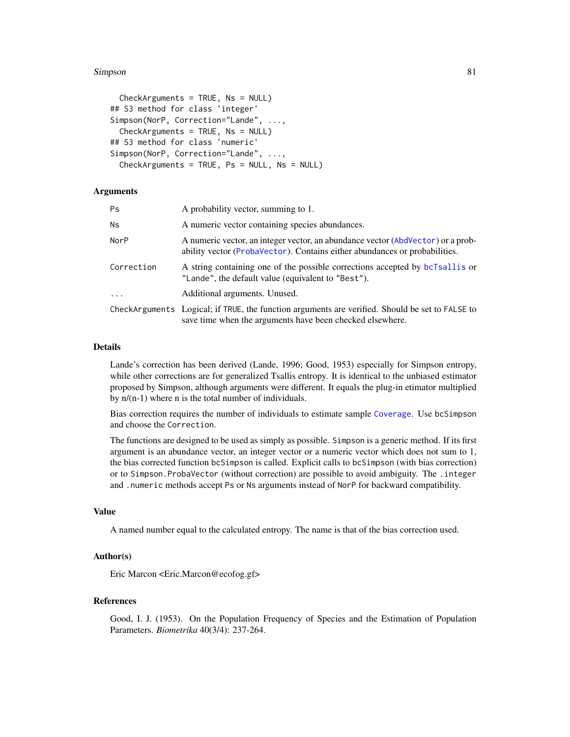#### <span id="page-80-0"></span>Simpson 81

```
CheckArguments = TRUE, Ns = NULL)
## S3 method for class 'integer'
Simpson(NorP, Correction="Lande", ...,
  CheckArguments = TRUE, Ns = NULL)
## S3 method for class 'numeric'
Simpson(NorP, Correction="Lande", ...,
  Checkinguments = TRUE, Ps = NULL, Ns = NULL)
```
#### Arguments

| Ps         | A probability vector, summing to 1.                                                                                                                           |
|------------|---------------------------------------------------------------------------------------------------------------------------------------------------------------|
| Ns         | A numeric vector containing species abundances.                                                                                                               |
| NorP       | A numeric vector, an integer vector, an abundance vector (AbdVector) or a prob-<br>ability vector (ProbaVector). Contains either abundances or probabilities. |
| Correction | A string containing one of the possible corrections accepted by bcTsallis or<br>"Lande", the default value (equivalent to "Best").                            |
| $\ddots$   | Additional arguments. Unused.                                                                                                                                 |
|            | CheckArguments Logical; if TRUE, the function arguments are verified. Should be set to FALSE to<br>save time when the arguments have been checked elsewhere.  |

# Details

Lande's correction has been derived (Lande, 1996; Good, 1953) especially for Simpson entropy, while other corrections are for generalized Tsallis entropy. It is identical to the unbiased estimator proposed by Simpson, although arguments were different. It equals the plug-in etimator multiplied by  $n/(n-1)$  where n is the total number of individuals.

Bias correction requires the number of individuals to estimate sample [Coverage](#page-16-0). Use bcSimpson and choose the Correction.

The functions are designed to be used as simply as possible. Simpson is a generic method. If its first argument is an abundance vector, an integer vector or a numeric vector which does not sum to 1, the bias corrected function bcSimpson is called. Explicit calls to bcSimpson (with bias correction) or to Simpson.ProbaVector (without correction) are possible to avoid ambiguity. The .integer and .numeric methods accept Ps or Ns arguments instead of NorP for backward compatibility.

# Value

A named number equal to the calculated entropy. The name is that of the bias correction used.

# Author(s)

Eric Marcon <Eric.Marcon@ecofog.gf>

# References

Good, I. J. (1953). On the Population Frequency of Species and the Estimation of Population Parameters. *Biometrika* 40(3/4): 237-264.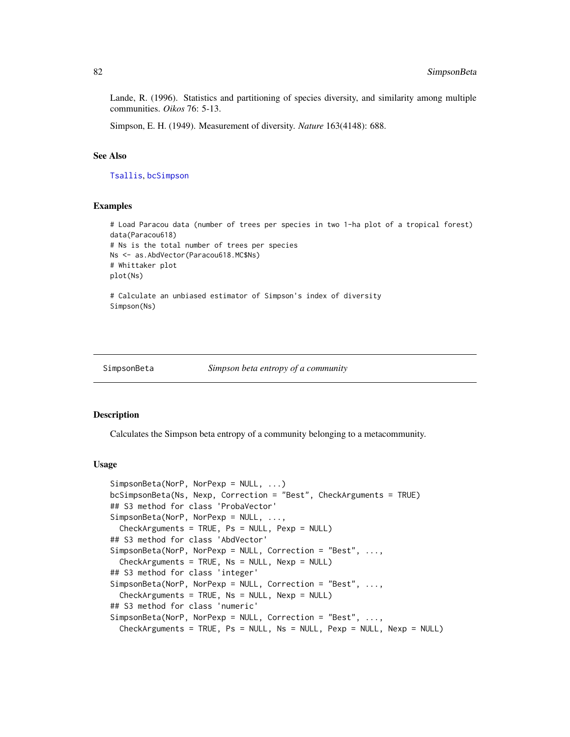<span id="page-81-1"></span>Lande, R. (1996). Statistics and partitioning of species diversity, and similarity among multiple communities. *Oikos* 76: 5-13.

Simpson, E. H. (1949). Measurement of diversity. *Nature* 163(4148): 688.

# See Also

[Tsallis](#page-88-0), [bcSimpson](#page-79-0)

# Examples

```
# Load Paracou data (number of trees per species in two 1-ha plot of a tropical forest)
data(Paracou618)
# Ns is the total number of trees per species
Ns <- as.AbdVector(Paracou618.MC$Ns)
# Whittaker plot
plot(Ns)
# Calculate an unbiased estimator of Simpson's index of diversity
Simpson(Ns)
```

```
SimpsonBeta Simpson beta entropy of a community
```
#### <span id="page-81-0"></span>Description

Calculates the Simpson beta entropy of a community belonging to a metacommunity.

```
SimpsonBeta(NorP, NorPexp = NULL, ...)
bcSimpsonBeta(Ns, Nexp, Correction = "Best", CheckArguments = TRUE)
## S3 method for class 'ProbaVector'
SimpsonBeta(NorP, NorPexp = NULL, ...,
 CheckArguments = TRUE, Ps = NULL, Pexp = NULL)
## S3 method for class 'AbdVector'
SimpsonBeta(NorP, NorPexp = NULL, Correction = "Best", ...,
 CheckArguments = TRUE, Ns = NULL, Nexp = NULL)
## S3 method for class 'integer'
SimpsonBeta(NorP, NorPexp = NULL, Correction = "Best", ...,
  CheckArguments = TRUE, Ns = NULL, Nexp = NULL)
## S3 method for class 'numeric'
SimpsonBeta(NorP, NorPexp = NULL, Correction = "Best", ...,
 CheckArguments = TRUE, Ps = NULL, Ns = NULL, Pexp = NULL, Nexp = NULL)
```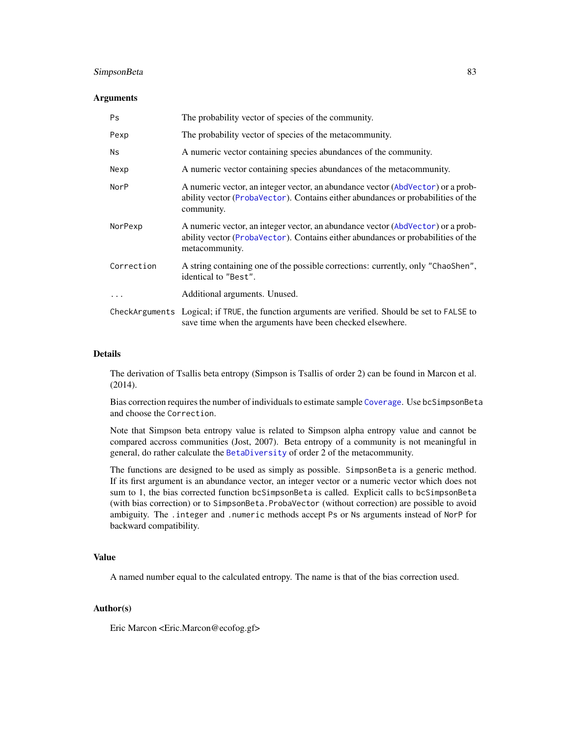# <span id="page-82-0"></span>SimpsonBeta 83

### Arguments

| Ps          | The probability vector of species of the community.                                                                                                                                   |
|-------------|---------------------------------------------------------------------------------------------------------------------------------------------------------------------------------------|
| Pexp        | The probability vector of species of the metacommunity.                                                                                                                               |
| <b>Ns</b>   | A numeric vector containing species abundances of the community.                                                                                                                      |
| Nexp        | A numeric vector containing species abundances of the metacommunity.                                                                                                                  |
| <b>NorP</b> | A numeric vector, an integer vector, an abundance vector (AbdVector) or a prob-<br>ability vector (ProbaVector). Contains either abundances or probabilities of the<br>community.     |
| NorPexp     | A numeric vector, an integer vector, an abundance vector (AbdVector) or a prob-<br>ability vector (ProbaVector). Contains either abundances or probabilities of the<br>metacommunity. |
| Correction  | A string containing one of the possible corrections: currently, only "ChaoShen",<br>identical to "Best".                                                                              |
| $\ddots$ .  | Additional arguments. Unused.                                                                                                                                                         |
|             | CheckArguments Logical; if TRUE, the function arguments are verified. Should be set to FALSE to<br>save time when the arguments have been checked elsewhere.                          |

# Details

The derivation of Tsallis beta entropy (Simpson is Tsallis of order 2) can be found in Marcon et al. (2014).

Bias correction requires the number of individuals to estimate sample [Coverage](#page-16-0). Use bcSimpsonBeta and choose the Correction.

Note that Simpson beta entropy value is related to Simpson alpha entropy value and cannot be compared accross communities (Jost, 2007). Beta entropy of a community is not meaningful in general, do rather calculate the [BetaDiversity](#page-9-0) of order 2 of the metacommunity.

The functions are designed to be used as simply as possible. SimpsonBeta is a generic method. If its first argument is an abundance vector, an integer vector or a numeric vector which does not sum to 1, the bias corrected function bcSimpsonBeta is called. Explicit calls to bcSimpsonBeta (with bias correction) or to SimpsonBeta.ProbaVector (without correction) are possible to avoid ambiguity. The .integer and .numeric methods accept Ps or Ns arguments instead of NorP for backward compatibility.

# Value

A named number equal to the calculated entropy. The name is that of the bias correction used.

# Author(s)

Eric Marcon <Eric.Marcon@ecofog.gf>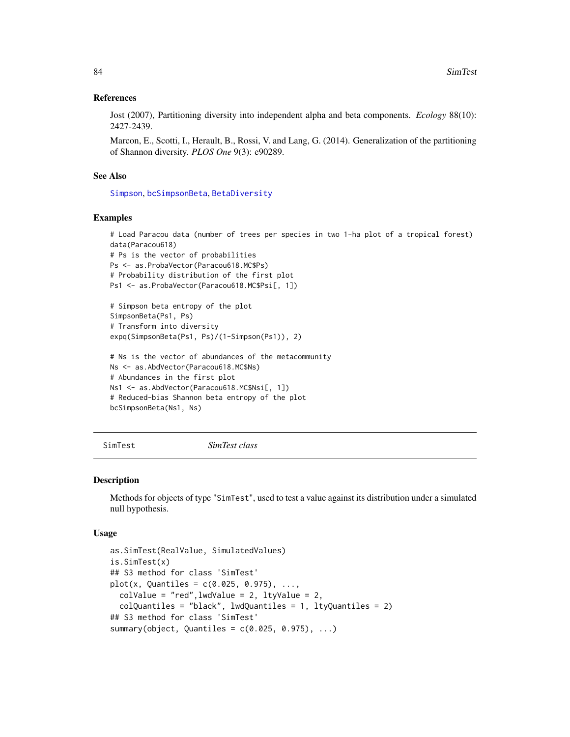# <span id="page-83-0"></span>References

Jost (2007), Partitioning diversity into independent alpha and beta components. *Ecology* 88(10): 2427-2439.

Marcon, E., Scotti, I., Herault, B., Rossi, V. and Lang, G. (2014). Generalization of the partitioning of Shannon diversity. *PLOS One* 9(3): e90289.

#### See Also

[Simpson](#page-79-1), [bcSimpsonBeta](#page-81-0), [BetaDiversity](#page-9-0)

#### Examples

```
# Load Paracou data (number of trees per species in two 1-ha plot of a tropical forest)
data(Paracou618)
# Ps is the vector of probabilities
Ps <- as.ProbaVector(Paracou618.MC$Ps)
# Probability distribution of the first plot
Ps1 <- as.ProbaVector(Paracou618.MC$Psi[, 1])
# Simpson beta entropy of the plot
SimpsonBeta(Ps1, Ps)
# Transform into diversity
expq(SimpsonBeta(Ps1, Ps)/(1-Simpson(Ps1)), 2)
```

```
# Ns is the vector of abundances of the metacommunity
Ns <- as.AbdVector(Paracou618.MC$Ns)
# Abundances in the first plot
Ns1 <- as.AbdVector(Paracou618.MC$Nsi[, 1])
# Reduced-bias Shannon beta entropy of the plot
bcSimpsonBeta(Ns1, Ns)
```

```
SimTest SimTest class
```
# Description

Methods for objects of type "SimTest", used to test a value against its distribution under a simulated null hypothesis.

```
as.SimTest(RealValue, SimulatedValues)
is.SimTest(x)
## S3 method for class 'SimTest'
plot(x, Quantiles = c(0.025, 0.975), ...,colValue = "red", lwdValue = 2, ltyValue = 2,colQuantiles = "black", lwdQuantiles = 1, ltyQuantiles = 2)
## S3 method for class 'SimTest'
summary(object, Quantiles = c(0.025, 0.975), ...)
```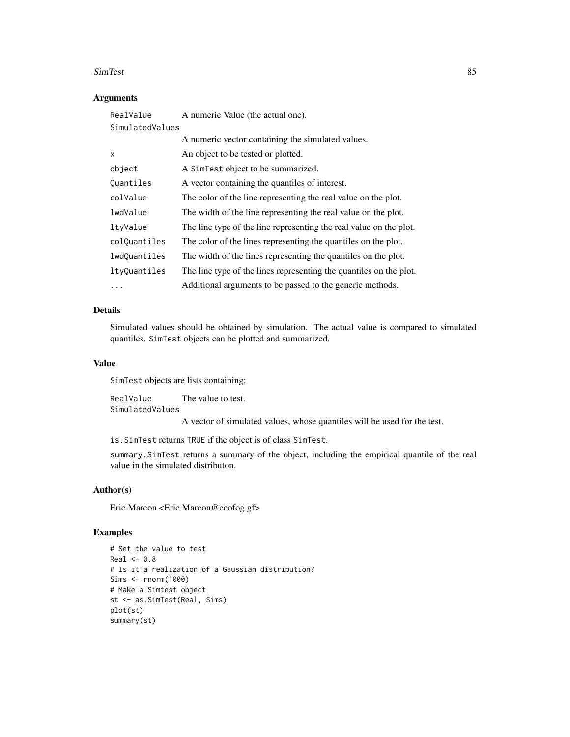#### SimTest 85

# Arguments

| RealValue       | A numeric Value (the actual one).                                  |
|-----------------|--------------------------------------------------------------------|
| SimulatedValues |                                                                    |
|                 | A numeric vector containing the simulated values.                  |
| X               | An object to be tested or plotted.                                 |
| object          | A SimTest object to be summarized.                                 |
| Quantiles       | A vector containing the quantiles of interest.                     |
| colValue        | The color of the line representing the real value on the plot.     |
| lwdValue        | The width of the line representing the real value on the plot.     |
| ltyValue        | The line type of the line representing the real value on the plot. |
| colQuantiles    | The color of the lines representing the quantiles on the plot.     |
| lwdQuantiles    | The width of the lines representing the quantiles on the plot.     |
| ltyQuantiles    | The line type of the lines representing the quantiles on the plot. |
| .               | Additional arguments to be passed to the generic methods.          |

# Details

Simulated values should be obtained by simulation. The actual value is compared to simulated quantiles. SimTest objects can be plotted and summarized.

# Value

SimTest objects are lists containing:

RealValue The value to test. SimulatedValues

A vector of simulated values, whose quantiles will be used for the test.

is.SimTest returns TRUE if the object is of class SimTest.

summary.SimTest returns a summary of the object, including the empirical quantile of the real value in the simulated distributon.

# Author(s)

Eric Marcon <Eric.Marcon@ecofog.gf>

# Examples

```
# Set the value to test
Real < -0.8# Is it a realization of a Gaussian distribution?
Sims <- rnorm(1000)
# Make a Simtest object
st <- as.SimTest(Real, Sims)
plot(st)
summary(st)
```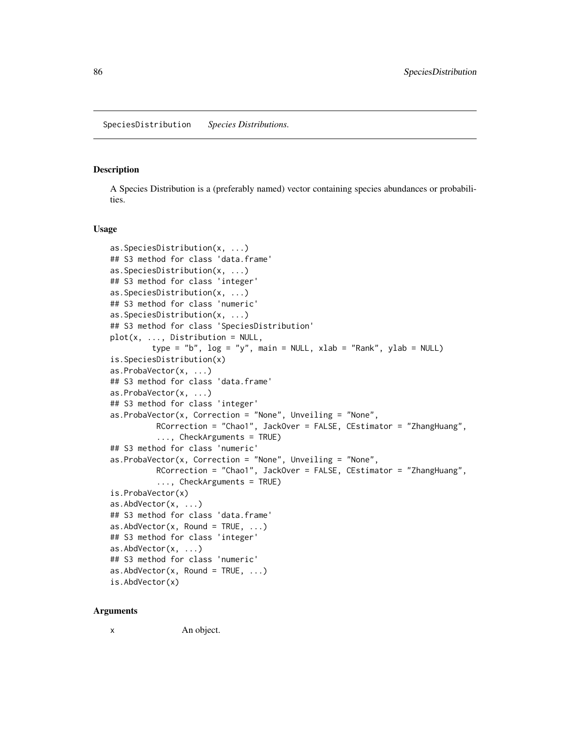# <span id="page-85-2"></span><span id="page-85-1"></span><span id="page-85-0"></span>Description

A Species Distribution is a (preferably named) vector containing species abundances or probabilities.

#### Usage

```
as.SpeciesDistribution(x, ...)
## S3 method for class 'data.frame'
as.SpeciesDistribution(x, ...)
## S3 method for class 'integer'
as.SpeciesDistribution(x, ...)
## S3 method for class 'numeric'
as.SpeciesDistribution(x, ...)
## S3 method for class 'SpeciesDistribution'
plot(x, ..., Distribution = NULL,type = "b", \log = "y", main = NULL, xlab = "Rank", ylab = NULL)
is.SpeciesDistribution(x)
as.ProbaVector(x, ...)
## S3 method for class 'data.frame'
as.ProbaVector(x, ...)
## S3 method for class 'integer'
as.ProbaVector(x, Correction = "None", Unveiling = "None",
          RCorrection = "Chao1", JackOver = FALSE, CEstimator = "ZhangHuang",
          ..., CheckArguments = TRUE)
## S3 method for class 'numeric'
as.ProbaVector(x, Correction = "None", Unveiling = "None",
          RCorrection = "Chao1", JackOver = FALSE, CEstimator = "ZhangHuang",
          ..., CheckArguments = TRUE)
is.ProbaVector(x)
as.AbdVector(x, ...)
## S3 method for class 'data.frame'
as.AbdVector(x, Round = TRUE, \ldots)
## S3 method for class 'integer'
as.AbdVector(x, ...)
## S3 method for class 'numeric'
as.AbdVector(x, Round = TRUE, \dots)
is.AbdVector(x)
```
#### Arguments

x An object.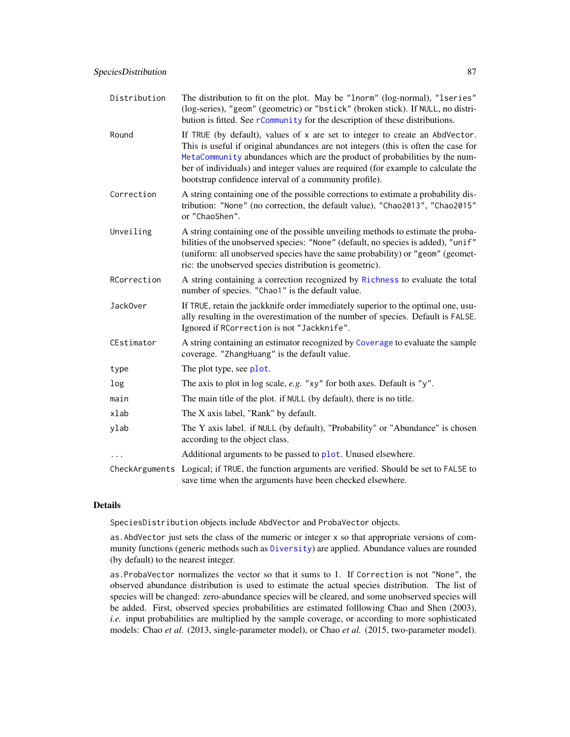<span id="page-86-0"></span>

| Distribution | The distribution to fit on the plot. May be "1norm" (log-normal), "1series"<br>(log-series), "geom" (geometric) or "bstick" (broken stick). If NULL, no distri-<br>bution is fitted. See rCommunity for the description of these distributions.                                                                                                                                                  |
|--------------|--------------------------------------------------------------------------------------------------------------------------------------------------------------------------------------------------------------------------------------------------------------------------------------------------------------------------------------------------------------------------------------------------|
| Round        | If TRUE (by default), values of x are set to integer to create an AbdVector.<br>This is useful if original abundances are not integers (this is often the case for<br>MetaCommunity abundances which are the product of probabilities by the num-<br>ber of individuals) and integer values are required (for example to calculate the<br>bootstrap confidence interval of a community profile). |
| Correction   | A string containing one of the possible corrections to estimate a probability dis-<br>tribution: "None" (no correction, the default value), "Chao2013", "Chao2015"<br>or "ChaoShen".                                                                                                                                                                                                             |
| Unveiling    | A string containing one of the possible unveiling methods to estimate the proba-<br>bilities of the unobserved species: "None" (default, no species is added), "unif"<br>(uniform: all unobserved species have the same probability) or "geom" (geomet-<br>ric: the unobserved species distribution is geometric).                                                                               |
| RCorrection  | A string containing a correction recognized by Richness to evaluate the total<br>number of species. "Chao1" is the default value.                                                                                                                                                                                                                                                                |
| Jack0ver     | If TRUE, retain the jackknife order immediately superior to the optimal one, usu-<br>ally resulting in the overestimation of the number of species. Default is FALSE.<br>Ignored if RCorrection is not "Jackknife".                                                                                                                                                                              |
| CEstimator   | A string containing an estimator recognized by Coverage to evaluate the sample<br>coverage. "ZhangHuang" is the default value.                                                                                                                                                                                                                                                                   |
| type         | The plot type, see plot.                                                                                                                                                                                                                                                                                                                                                                         |
| log          | The axis to plot in log scale, $e.g.$ "xy" for both axes. Default is "y".                                                                                                                                                                                                                                                                                                                        |
| main         | The main title of the plot. if NULL (by default), there is no title.                                                                                                                                                                                                                                                                                                                             |
| xlab         | The X axis label, "Rank" by default.                                                                                                                                                                                                                                                                                                                                                             |
| ylab         | The Y axis label. if NULL (by default), "Probability" or "Abundance" is chosen<br>according to the object class.                                                                                                                                                                                                                                                                                 |
|              | Additional arguments to be passed to plot. Unused elsewhere.                                                                                                                                                                                                                                                                                                                                     |
|              | CheckArguments Logical; if TRUE, the function arguments are verified. Should be set to FALSE to<br>save time when the arguments have been checked elsewhere.                                                                                                                                                                                                                                     |

# Details

SpeciesDistribution objects include AbdVector and ProbaVector objects.

as.AbdVector just sets the class of the numeric or integer x so that appropriate versions of community functions (generic methods such as [Diversity](#page-17-0)) are applied. Abundance values are rounded (by default) to the nearest integer.

as.ProbaVector normalizes the vector so that it sums to 1. If Correction is not "None", the observed abundance distribution is used to estimate the actual species distribution. The list of species will be changed: zero-abundance species will be cleared, and some unobserved species will be added. First, observed species probabilities are estimated folllowing Chao and Shen (2003), *i.e.* input probabilities are multiplied by the sample coverage, or according to more sophisticated models: Chao *et al.* (2013, single-parameter model), or Chao *et al.* (2015, two-parameter model).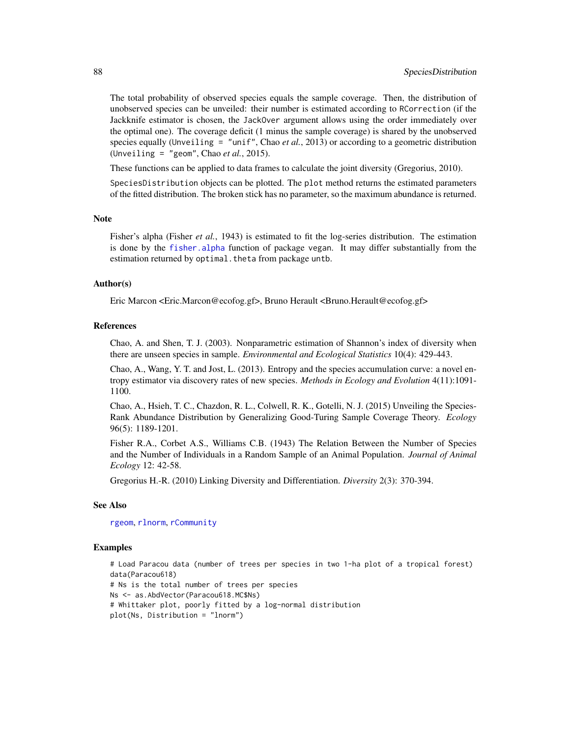The total probability of observed species equals the sample coverage. Then, the distribution of unobserved species can be unveiled: their number is estimated according to RCorrection (if the Jackknife estimator is chosen, the JackOver argument allows using the order immediately over the optimal one). The coverage deficit (1 minus the sample coverage) is shared by the unobserved species equally (Unveiling = "unif", Chao *et al.*, 2013) or according to a geometric distribution (Unveiling = "geom", Chao *et al.*, 2015).

These functions can be applied to data frames to calculate the joint diversity (Gregorius, 2010).

SpeciesDistribution objects can be plotted. The plot method returns the estimated parameters of the fitted distribution. The broken stick has no parameter, so the maximum abundance is returned.

# **Note**

Fisher's alpha (Fisher *et al.*, 1943) is estimated to fit the log-series distribution. The estimation is done by the fisher. alpha function of package vegan. It may differ substantially from the estimation returned by optimal. theta from package untb.

# Author(s)

Eric Marcon <Eric.Marcon@ecofog.gf>, Bruno Herault <Bruno.Herault@ecofog.gf>

#### References

Chao, A. and Shen, T. J. (2003). Nonparametric estimation of Shannon's index of diversity when there are unseen species in sample. *Environmental and Ecological Statistics* 10(4): 429-443.

Chao, A., Wang, Y. T. and Jost, L. (2013). Entropy and the species accumulation curve: a novel entropy estimator via discovery rates of new species. *Methods in Ecology and Evolution* 4(11):1091- 1100.

Chao, A., Hsieh, T. C., Chazdon, R. L., Colwell, R. K., Gotelli, N. J. (2015) Unveiling the Species-Rank Abundance Distribution by Generalizing Good-Turing Sample Coverage Theory. *Ecology* 96(5): 1189-1201.

Fisher R.A., Corbet A.S., Williams C.B. (1943) The Relation Between the Number of Species and the Number of Individuals in a Random Sample of an Animal Population. *Journal of Animal Ecology* 12: 42-58.

Gregorius H.-R. (2010) Linking Diversity and Differentiation. *Diversity* 2(3): 370-394.

#### See Also

[rgeom](#page-0-0), [rlnorm](#page-0-0), [rCommunity](#page-71-0)

# Examples

```
# Load Paracou data (number of trees per species in two 1-ha plot of a tropical forest)
data(Paracou618)
# Ns is the total number of trees per species
Ns <- as.AbdVector(Paracou618.MC$Ns)
# Whittaker plot, poorly fitted by a log-normal distribution
plot(Ns, Distribution = "lnorm")
```
<span id="page-87-0"></span>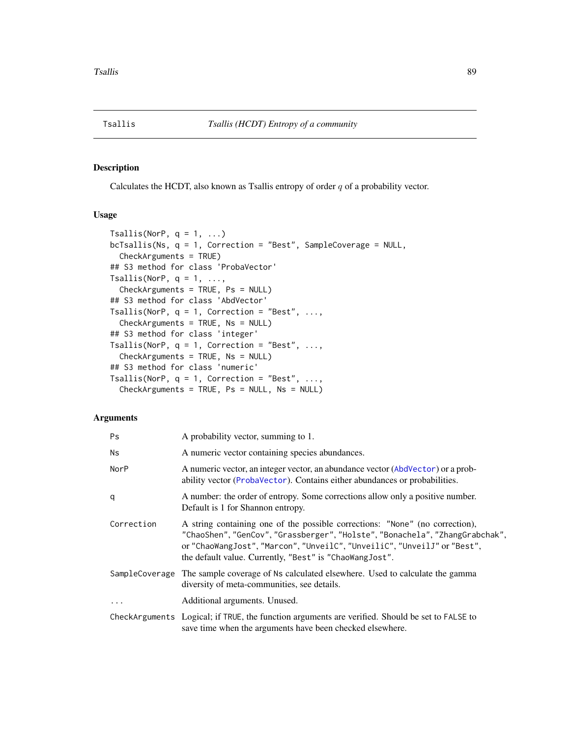<span id="page-88-2"></span><span id="page-88-0"></span>

# <span id="page-88-1"></span>Description

Calculates the HCDT, also known as Tsallis entropy of order  $q$  of a probability vector.

# Usage

```
Tsallis(NorP, q = 1, ...)
bcTsallis(Ns, q = 1, Correction = "Best", SampleCoverage = NULL,
 CheckArguments = TRUE)
## S3 method for class 'ProbaVector'
Tsallis(NorP, q = 1, \ldots,CheckArguments = TRUE, Ps = NULL)
## S3 method for class 'AbdVector'
Tsallis(NorP, q = 1, Correction = "Best", ...,
 CheckArguments = TRUE, Ns = NULL)
## S3 method for class 'integer'
Tsallis(NorP, q = 1, Correction = "Best", ...,
  CheckArguments = TRUE, Ns = NULL)
## S3 method for class 'numeric'
Tsallis(NorP, q = 1, Correction = "Best", ...,
  CheckArguments = TRUE, Ps = NULL, Ns = NULL)
```
# Arguments

| Ps         | A probability vector, summing to 1.                                                                                                                                                                                                                                                                 |
|------------|-----------------------------------------------------------------------------------------------------------------------------------------------------------------------------------------------------------------------------------------------------------------------------------------------------|
| Ns         | A numeric vector containing species abundances.                                                                                                                                                                                                                                                     |
| NorP       | A numeric vector, an integer vector, an abundance vector (AbdVector) or a prob-<br>ability vector (ProbaVector). Contains either abundances or probabilities.                                                                                                                                       |
| q          | A number: the order of entropy. Some corrections allow only a positive number.<br>Default is 1 for Shannon entropy.                                                                                                                                                                                 |
| Correction | A string containing one of the possible corrections: "None" (no correction),<br>"ChaoShen", "GenCov", "Grassberger", "Holste", "Bonachela", "ZhangGrabchak",<br>or "ChaoWangJost", "Marcon", "UnveilC", "UnveiliC", "UnveilJ" or "Best",<br>the default value. Currently, "Best" is "ChaoWangJost". |
|            | SampleCoverage The sample coverage of Ns calculated elsewhere. Used to calculate the gamma<br>diversity of meta-communities, see details.                                                                                                                                                           |
| $\cdots$   | Additional arguments. Unused.                                                                                                                                                                                                                                                                       |
|            | CheckArguments Logical; if TRUE, the function arguments are verified. Should be set to FALSE to<br>save time when the arguments have been checked elsewhere.                                                                                                                                        |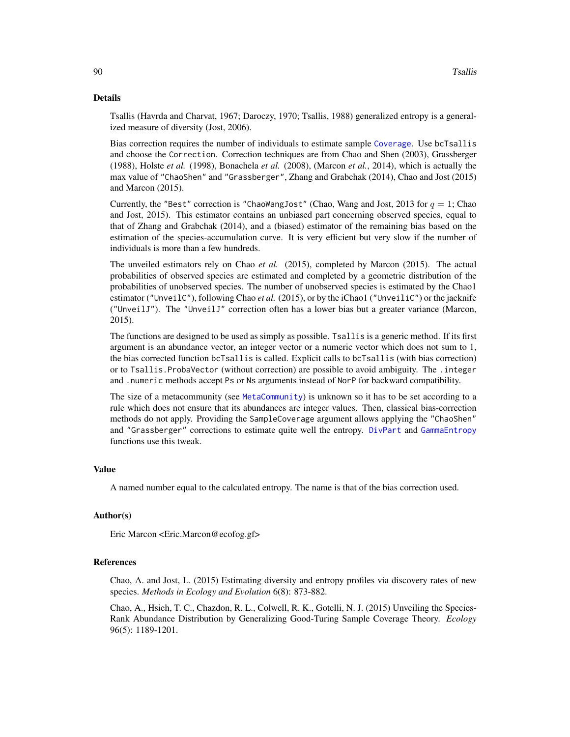# <span id="page-89-0"></span>Details

Tsallis (Havrda and Charvat, 1967; Daroczy, 1970; Tsallis, 1988) generalized entropy is a generalized measure of diversity (Jost, 2006).

Bias correction requires the number of individuals to estimate sample [Coverage](#page-16-0). Use bcTsallis and choose the Correction. Correction techniques are from Chao and Shen (2003), Grassberger (1988), Holste *et al.* (1998), Bonachela *et al.* (2008), (Marcon *et al.*, 2014), which is actually the max value of "ChaoShen" and "Grassberger", Zhang and Grabchak (2014), Chao and Jost (2015) and Marcon (2015).

Currently, the "Best" correction is "ChaoWangJost" (Chao, Wang and Jost, 2013 for  $q = 1$ ; Chao and Jost, 2015). This estimator contains an unbiased part concerning observed species, equal to that of Zhang and Grabchak (2014), and a (biased) estimator of the remaining bias based on the estimation of the species-accumulation curve. It is very efficient but very slow if the number of individuals is more than a few hundreds.

The unveiled estimators rely on Chao *et al.* (2015), completed by Marcon (2015). The actual probabilities of observed species are estimated and completed by a geometric distribution of the probabilities of unobserved species. The number of unobserved species is estimated by the Chao1 estimator ("UnveilC"), following Chao *et al.* (2015), or by the iChao1 ("UnveiliC") or the jacknife ("UnveilJ"). The "UnveilJ" correction often has a lower bias but a greater variance (Marcon, 2015).

The functions are designed to be used as simply as possible. Tsallis is a generic method. If its first argument is an abundance vector, an integer vector or a numeric vector which does not sum to 1, the bias corrected function bcTsallis is called. Explicit calls to bcTsallis (with bias correction) or to Tsallis.ProbaVector (without correction) are possible to avoid ambiguity. The .integer and .numeric methods accept Ps or Ns arguments instead of NorP for backward compatibility.

The size of a metacommunity (see [MetaCommunity](#page-50-0)) is unknown so it has to be set according to a rule which does not ensure that its abundances are integer values. Then, classical bias-correction methods do not apply. Providing the SampleCoverage argument allows applying the "ChaoShen" and "Grassberger" corrections to estimate quite well the entropy. [DivPart](#page-21-0) and [GammaEntropy](#page-34-0) functions use this tweak.

#### Value

A named number equal to the calculated entropy. The name is that of the bias correction used.

# Author(s)

Eric Marcon <Eric.Marcon@ecofog.gf>

# References

Chao, A. and Jost, L. (2015) Estimating diversity and entropy profiles via discovery rates of new species. *Methods in Ecology and Evolution* 6(8): 873-882.

Chao, A., Hsieh, T. C., Chazdon, R. L., Colwell, R. K., Gotelli, N. J. (2015) Unveiling the Species-Rank Abundance Distribution by Generalizing Good-Turing Sample Coverage Theory. *Ecology* 96(5): 1189-1201.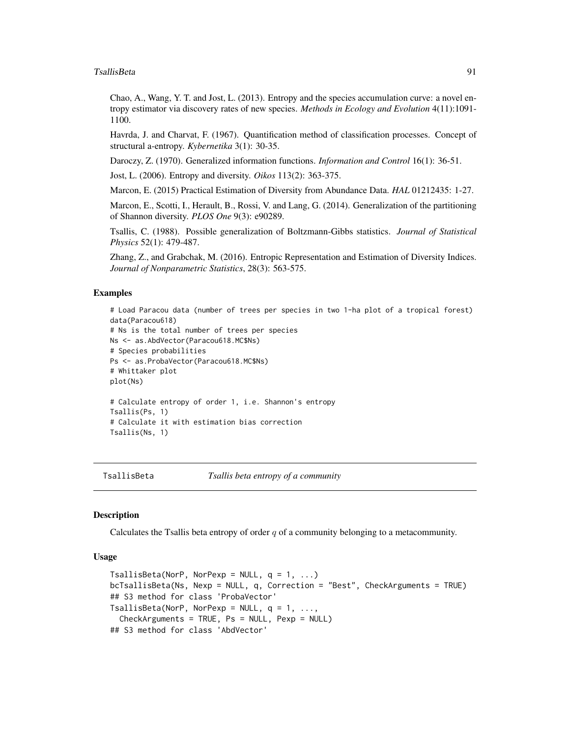# <span id="page-90-0"></span>TsallisBeta 91

Chao, A., Wang, Y. T. and Jost, L. (2013). Entropy and the species accumulation curve: a novel entropy estimator via discovery rates of new species. *Methods in Ecology and Evolution* 4(11):1091- 1100.

Havrda, J. and Charvat, F. (1967). Quantification method of classification processes. Concept of structural a-entropy. *Kybernetika* 3(1): 30-35.

Daroczy, Z. (1970). Generalized information functions. *Information and Control* 16(1): 36-51.

Jost, L. (2006). Entropy and diversity. *Oikos* 113(2): 363-375.

Marcon, E. (2015) Practical Estimation of Diversity from Abundance Data. *HAL* 01212435: 1-27.

Marcon, E., Scotti, I., Herault, B., Rossi, V. and Lang, G. (2014). Generalization of the partitioning of Shannon diversity. *PLOS One* 9(3): e90289.

Tsallis, C. (1988). Possible generalization of Boltzmann-Gibbs statistics. *Journal of Statistical Physics* 52(1): 479-487.

Zhang, Z., and Grabchak, M. (2016). Entropic Representation and Estimation of Diversity Indices. *Journal of Nonparametric Statistics*, 28(3): 563-575.

# Examples

```
# Load Paracou data (number of trees per species in two 1-ha plot of a tropical forest)
data(Paracou618)
# Ns is the total number of trees per species
Ns <- as.AbdVector(Paracou618.MC$Ns)
# Species probabilities
Ps <- as.ProbaVector(Paracou618.MC$Ns)
# Whittaker plot
plot(Ns)
# Calculate entropy of order 1, i.e. Shannon's entropy
Tsallis(Ps, 1)
# Calculate it with estimation bias correction
Tsallis(Ns, 1)
```
TsallisBeta *Tsallis beta entropy of a community*

# **Description**

Calculates the Tsallis beta entropy of order  $q$  of a community belonging to a metacommunity.

```
TsallisBeta(NorP, NorPexp = NULL, q = 1, ...)
bcTsallisBeta(Ns, Nexp = NULL, q, Correction = "Best", CheckArguments = TRUE)
## S3 method for class 'ProbaVector'
TsallisBeta(NorP, NorPexp = NULL, q = 1, ...,CheckArguments = TRUE, Ps = NULL, Pexp = NULL)
## S3 method for class 'AbdVector'
```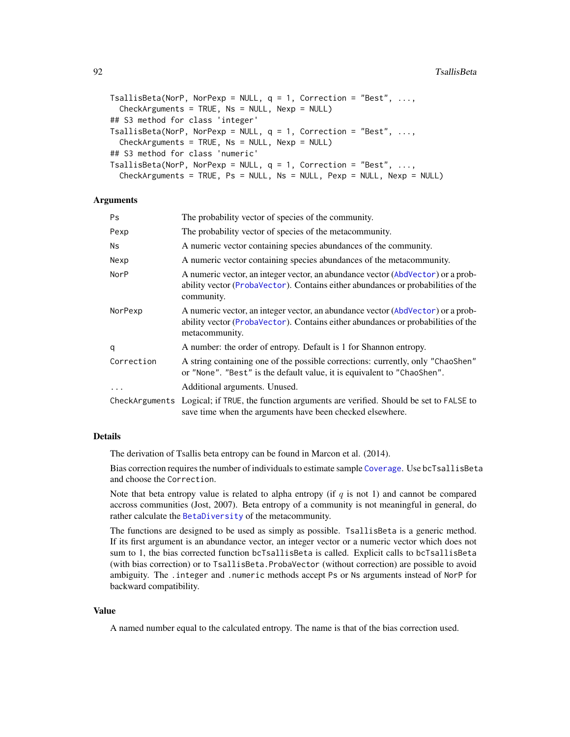```
TsallisBeta(NorP, NorPexp = NULL, q = 1, Correction = "Best", ...,
  CheckArguments = TRUE, Ns = NULL, Nexp = NULL)
## S3 method for class 'integer'
TsallisBeta(NorP, NorPexp = NULL, q = 1, Correction = "Best", ...,
  CheckArguments = TRUE, Ns = NULL, Nexp = NULL)
## S3 method for class 'numeric'
TsallisBeta(NorP, NorPexp = NULL, q = 1, Correction = "Best", ...,
  CheckArguments = TRUE, Ps = NULL, Ns = NULL, Pexp = NULL, Nexp = NULL)
```
# Arguments

| Ps.        | The probability vector of species of the community.                                                                                                                                   |
|------------|---------------------------------------------------------------------------------------------------------------------------------------------------------------------------------------|
| Pexp       | The probability vector of species of the metacommunity.                                                                                                                               |
| Ns.        | A numeric vector containing species abundances of the community.                                                                                                                      |
| Nexp       | A numeric vector containing species abundances of the metacommunity.                                                                                                                  |
| NorP       | A numeric vector, an integer vector, an abundance vector (AbdVector) or a prob-<br>ability vector (ProbaVector). Contains either abundances or probabilities of the<br>community.     |
| NorPexp    | A numeric vector, an integer vector, an abundance vector (AbdVector) or a prob-<br>ability vector (ProbaVector). Contains either abundances or probabilities of the<br>metacommunity. |
| q          | A number: the order of entropy. Default is 1 for Shannon entropy.                                                                                                                     |
| Correction | A string containing one of the possible corrections: currently, only "ChaoShen"<br>or "None". "Best" is the default value, it is equivalent to "ChaoShen".                            |
| $\ddots$   | Additional arguments. Unused.                                                                                                                                                         |
|            | CheckArguments Logical; if TRUE, the function arguments are verified. Should be set to FALSE to<br>save time when the arguments have been checked elsewhere.                          |

# Details

The derivation of Tsallis beta entropy can be found in Marcon et al. (2014).

Bias correction requires the number of individuals to estimate sample [Coverage](#page-16-0). Use bcTsallisBeta and choose the Correction.

Note that beta entropy value is related to alpha entropy (if  $q$  is not 1) and cannot be compared accross communities (Jost, 2007). Beta entropy of a community is not meaningful in general, do rather calculate the [BetaDiversity](#page-9-0) of the metacommunity.

The functions are designed to be used as simply as possible. TsallisBeta is a generic method. If its first argument is an abundance vector, an integer vector or a numeric vector which does not sum to 1, the bias corrected function bcTsallisBeta is called. Explicit calls to bcTsallisBeta (with bias correction) or to TsallisBeta.ProbaVector (without correction) are possible to avoid ambiguity. The .integer and .numeric methods accept Ps or Ns arguments instead of NorP for backward compatibility.

# Value

A named number equal to the calculated entropy. The name is that of the bias correction used.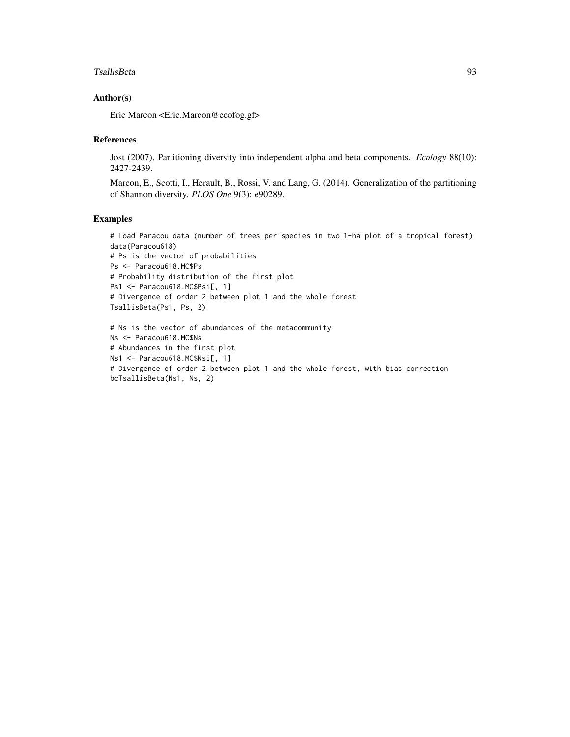# TsallisBeta 93

# Author(s)

Eric Marcon <Eric.Marcon@ecofog.gf>

# References

Jost (2007), Partitioning diversity into independent alpha and beta components. *Ecology* 88(10): 2427-2439.

Marcon, E., Scotti, I., Herault, B., Rossi, V. and Lang, G. (2014). Generalization of the partitioning of Shannon diversity. *PLOS One* 9(3): e90289.

# Examples

# Load Paracou data (number of trees per species in two 1-ha plot of a tropical forest) data(Paracou618) # Ps is the vector of probabilities Ps <- Paracou618.MC\$Ps # Probability distribution of the first plot Ps1 <- Paracou618.MC\$Psi[, 1] # Divergence of order 2 between plot 1 and the whole forest TsallisBeta(Ps1, Ps, 2) # Ns is the vector of abundances of the metacommunity Ns <- Paracou618.MC\$Ns # Abundances in the first plot Ns1 <- Paracou618.MC\$Nsi[, 1]

```
# Divergence of order 2 between plot 1 and the whole forest, with bias correction
bcTsallisBeta(Ns1, Ns, 2)
```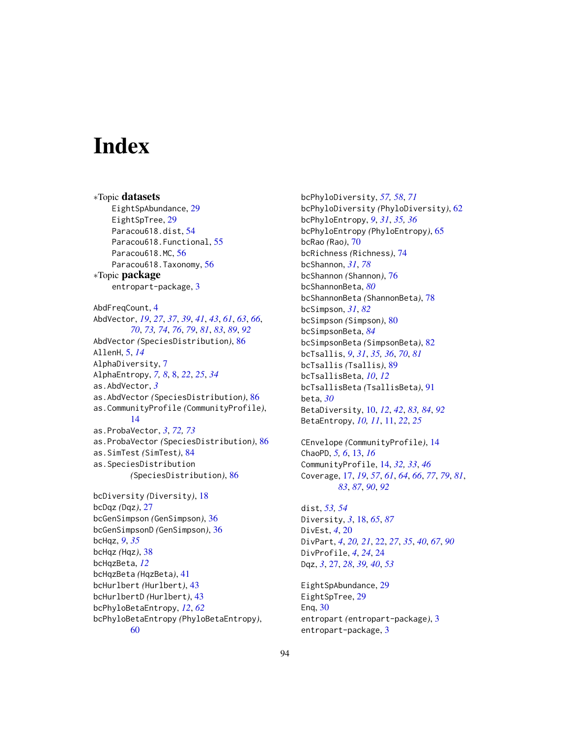# **Index**

bcHqz, *[9](#page-8-0)*, *[35](#page-34-1)* bcHqz *(*Hqz*)*, [38](#page-37-0) bcHqzBeta, *[12](#page-11-0)*

bcHqzBeta *(*HqzBeta*)*, [41](#page-40-0) bcHurlbert *(*Hurlbert*)*, [43](#page-42-0) bcHurlbertD *(*Hurlbert*)*, [43](#page-42-0) bcPhyloBetaEntropy, *[12](#page-11-0)*, *[62](#page-61-0)*

[60](#page-59-0)

∗Topic datasets EightSpAbundance, [29](#page-28-0) EightSpTree, [29](#page-28-0) Paracou618.dist, [54](#page-53-0) Paracou618.Functional, [55](#page-54-0) Paracou618.MC, [56](#page-55-0) Paracou618.Taxonomy, [56](#page-55-0) ∗Topic package entropart-package, [3](#page-2-0) AbdFreqCount, [4](#page-3-0) AbdVector, *[19](#page-18-0)*, *[27](#page-26-0)*, *[37](#page-36-0)*, *[39](#page-38-0)*, *[41](#page-40-0)*, *[43](#page-42-0)*, *[61](#page-60-0)*, *[63](#page-62-0)*, *[66](#page-65-0)*, *[70](#page-69-0)*, *[73,](#page-72-0) [74](#page-73-1)*, *[76](#page-75-1)*, *[79](#page-78-0)*, *[81](#page-80-0)*, *[83](#page-82-0)*, *[89](#page-88-2)*, *[92](#page-91-0)* AbdVector *(*SpeciesDistribution*)*, [86](#page-85-2) AllenH, [5,](#page-4-0) *[14](#page-13-0)* AlphaDiversity, [7](#page-6-0) AlphaEntropy, *[7,](#page-6-0) [8](#page-7-0)*, [8,](#page-7-0) *[22](#page-21-1)*, *[25](#page-24-0)*, *[34](#page-33-0)* as.AbdVector, *[3](#page-2-0)* as.AbdVector *(*SpeciesDistribution*)*, [86](#page-85-2) as.CommunityProfile *(*CommunityProfile*)*, [14](#page-13-0) as.ProbaVector, *[3](#page-2-0)*, *[72,](#page-71-1) [73](#page-72-0)* as.ProbaVector *(*SpeciesDistribution*)*, [86](#page-85-2) as.SimTest *(*SimTest*)*, [84](#page-83-0) as.SpeciesDistribution *(*SpeciesDistribution*)*, [86](#page-85-2) bcDiversity *(*Diversity*)*, [18](#page-17-1) bcDqz *(*Dqz*)*, [27](#page-26-0) bcGenSimpson *(*GenSimpson*)*, [36](#page-35-0) bcGenSimpsonD *(*GenSimpson*)*, [36](#page-35-0)

bcPhyloDiversity, *[57,](#page-56-0) [58](#page-57-0)*, *[71](#page-70-0)* bcPhyloDiversity *(*PhyloDiversity*)*, [62](#page-61-0) bcPhyloEntropy, *[9](#page-8-0)*, *[31](#page-30-0)*, *[35,](#page-34-1) [36](#page-35-0)* bcPhyloEntropy *(*PhyloEntropy*)*, [65](#page-64-0) bcRao *(*Rao*)*, [70](#page-69-0) bcRichness *(*Richness*)*, [74](#page-73-1) bcShannon, *[31](#page-30-0)*, *[78](#page-77-1)* bcShannon *(*Shannon*)*, [76](#page-75-1) bcShannonBeta, *[80](#page-79-2)* bcShannonBeta *(*ShannonBeta*)*, [78](#page-77-1) bcSimpson, *[31](#page-30-0)*, *[82](#page-81-1)* bcSimpson *(*Simpson*)*, [80](#page-79-2) bcSimpsonBeta, *[84](#page-83-0)* bcSimpsonBeta *(*SimpsonBeta*)*, [82](#page-81-1) bcTsallis, *[9](#page-8-0)*, *[31](#page-30-0)*, *[35,](#page-34-1) [36](#page-35-0)*, *[70](#page-69-0)*, *[81](#page-80-0)* bcTsallis *(*Tsallis*)*, [89](#page-88-2) bcTsallisBeta, *[10](#page-9-1)*, *[12](#page-11-0)* bcTsallisBeta *(*TsallisBeta*)*, [91](#page-90-0) beta, *[30](#page-29-0)* BetaDiversity, [10,](#page-9-1) *[12](#page-11-0)*, *[42](#page-41-0)*, *[83,](#page-82-0) [84](#page-83-0)*, *[92](#page-91-0)* BetaEntropy, *[10,](#page-9-1) [11](#page-10-0)*, [11,](#page-10-0) *[22](#page-21-1)*, *[25](#page-24-0)*

```
CEnvelope (CommunityProfile), 14
ChaoPD, 5, 6, 13, 16
CommunityProfile, 14, 32, 33, 46
Coverage, 17, 19, 57, 61, 64, 66, 77, 79, 81,
         83, 87, 90, 92
```
dist, *[53,](#page-52-0) [54](#page-53-0)* Diversity, *[3](#page-2-0)*, [18,](#page-17-1) *[65](#page-64-0)*, *[87](#page-86-0)* DivEst, *[4](#page-3-0)*, [20](#page-19-0) DivPart, *[4](#page-3-0)*, *[20,](#page-19-0) [21](#page-20-0)*, [22,](#page-21-1) *[27](#page-26-0)*, *[35](#page-34-1)*, *[40](#page-39-0)*, *[67](#page-66-0)*, *[90](#page-89-0)* DivProfile, *[4](#page-3-0)*, *[24](#page-23-0)*, [24](#page-23-0) Dqz, *[3](#page-2-0)*, [27,](#page-26-0) *[28](#page-27-0)*, *[39,](#page-38-0) [40](#page-39-0)*, *[53](#page-52-0)*

EightSpAbundance, [29](#page-28-0) EightSpTree, [29](#page-28-0) Enq, [30](#page-29-0) entropart *(*entropart-package*)*, [3](#page-2-0) entropart-package, [3](#page-2-0)

94

bcPhyloBetaEntropy *(*PhyloBetaEntropy*)*,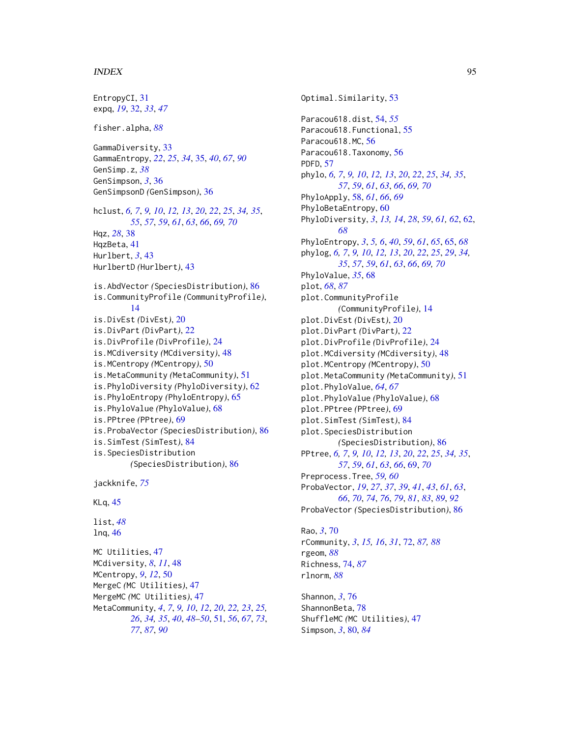# INDEX 95

```
EntropyCI, 31
expq, 19, 32, 33, 47
fisher.alpha, 88
GammaDiversity, 33
GammaEntropy, 22, 25, 34, 35, 40, 67, 90
GenSimp.z, 38
GenSimpson, 3, 36
GenSimpsonD (GenSimpson), 36
hclust, 6, 7, 9, 10, 12, 13, 20, 22, 25, 34, 35,
         55, 57, 59, 61, 63, 66, 69, 70
Hqz, 28, 38
HqzBeta, 41
Hurlbert, 3, 43
HurlbertD (Hurlbert), 43
is.AbdVector (SpeciesDistribution), 86
is.CommunityProfile (CommunityProfile),
         14
is.DivEst (DivEst), 20
is.DivPart (DivPart), 22
is.DivProfile (DivProfile), 24
is.MCdiversity (MCdiversity), 48
is.MCentropy (MCentropy), 50
is.MetaCommunity (MetaCommunity), 51
is.PhyloDiversity (PhyloDiversity), 62
is.PhyloEntropy (PhyloEntropy), 65
is.PhyloValue (PhyloValue), 68
is.PPtree (PPtree), 69
is.ProbaVector (SpeciesDistribution), 86
is.SimTest (SimTest), 84
is.SpeciesDistribution
         (SpeciesDistribution), 86
jackknife, 75
KLq, 45
list, 48
lnq, 46
MC Utilities, 47
MCdiversity, 8, 11, 48
MCentropy, 9, 12, 50
MergeC (MC Utilities), 47
MergeMC (MC Utilities), 47
MetaCommunity, 4, 7, 9, 10, 12, 20, 22, 23, 25,
         26, 34, 35, 40, 48–50, 51, 56, 67, 73,
```

```
77, 87, 90
```
Optimal.Similarity, [53](#page-52-0) Paracou618.dist, [54,](#page-53-0) *[55](#page-54-0)* Paracou618.Functional, [55](#page-54-0) Paracou618.MC, [56](#page-55-0) Paracou618.Taxonomy, [56](#page-55-0) PDFD, [57](#page-56-0) phylo, *[6,](#page-5-0) [7](#page-6-0)*, *[9,](#page-8-0) [10](#page-9-1)*, *[12,](#page-11-0) [13](#page-12-0)*, *[20](#page-19-0)*, *[22](#page-21-1)*, *[25](#page-24-0)*, *[34,](#page-33-0) [35](#page-34-1)*, *[57](#page-56-0)*, *[59](#page-58-0)*, *[61](#page-60-0)*, *[63](#page-62-0)*, *[66](#page-65-0)*, *[69,](#page-68-0) [70](#page-69-0)* PhyloApply, [58,](#page-57-0) *[61](#page-60-0)*, *[66](#page-65-0)*, *[69](#page-68-0)* PhyloBetaEntropy, [60](#page-59-0) PhyloDiversity, *[3](#page-2-0)*, *[13,](#page-12-0) [14](#page-13-0)*, *[28](#page-27-0)*, *[59](#page-58-0)*, *[61,](#page-60-0) [62](#page-61-0)*, [62,](#page-61-0) *[68](#page-67-0)* PhyloEntropy, *[3](#page-2-0)*, *[5,](#page-4-0) [6](#page-5-0)*, *[40](#page-39-0)*, *[59](#page-58-0)*, *[61](#page-60-0)*, *[65](#page-64-0)*, [65,](#page-64-0) *[68](#page-67-0)* phylog, *[6,](#page-5-0) [7](#page-6-0)*, *[9,](#page-8-0) [10](#page-9-1)*, *[12,](#page-11-0) [13](#page-12-0)*, *[20](#page-19-0)*, *[22](#page-21-1)*, *[25](#page-24-0)*, *[29](#page-28-0)*, *[34,](#page-33-0) [35](#page-34-1)*, *[57](#page-56-0)*, *[59](#page-58-0)*, *[61](#page-60-0)*, *[63](#page-62-0)*, *[66](#page-65-0)*, *[69,](#page-68-0) [70](#page-69-0)* PhyloValue, *[35](#page-34-1)*, [68](#page-67-0) plot, *[68](#page-67-0)*, *[87](#page-86-0)* plot.CommunityProfile *(*CommunityProfile*)*, [14](#page-13-0) plot.DivEst *(*DivEst*)*, [20](#page-19-0) plot.DivPart *(*DivPart*)*, [22](#page-21-1) plot.DivProfile *(*DivProfile*)*, [24](#page-23-0) plot.MCdiversity *(*MCdiversity*)*, [48](#page-47-0) plot.MCentropy *(*MCentropy*)*, [50](#page-49-0) plot.MetaCommunity *(*MetaCommunity*)*, [51](#page-50-1) plot.PhyloValue, *[64](#page-63-0)*, *[67](#page-66-0)* plot.PhyloValue *(*PhyloValue*)*, [68](#page-67-0) plot.PPtree *(*PPtree*)*, [69](#page-68-0) plot.SimTest *(*SimTest*)*, [84](#page-83-0) plot.SpeciesDistribution *(*SpeciesDistribution*)*, [86](#page-85-2) PPtree, *[6,](#page-5-0) [7](#page-6-0)*, *[9,](#page-8-0) [10](#page-9-1)*, *[12,](#page-11-0) [13](#page-12-0)*, *[20](#page-19-0)*, *[22](#page-21-1)*, *[25](#page-24-0)*, *[34,](#page-33-0) [35](#page-34-1)*, *[57](#page-56-0)*, *[59](#page-58-0)*, *[61](#page-60-0)*, *[63](#page-62-0)*, *[66](#page-65-0)*, [69,](#page-68-0) *[70](#page-69-0)* Preprocess.Tree, *[59,](#page-58-0) [60](#page-59-0)* ProbaVector, *[19](#page-18-0)*, *[27](#page-26-0)*, *[37](#page-36-0)*, *[39](#page-38-0)*, *[41](#page-40-0)*, *[43](#page-42-0)*, *[61](#page-60-0)*, *[63](#page-62-0)*, *[66](#page-65-0)*, *[70](#page-69-0)*, *[74](#page-73-1)*, *[76](#page-75-1)*, *[79](#page-78-0)*, *[81](#page-80-0)*, *[83](#page-82-0)*, *[89](#page-88-2)*, *[92](#page-91-0)* ProbaVector *(*SpeciesDistribution*)*, [86](#page-85-2)

Rao, *[3](#page-2-0)*, [70](#page-69-0) rCommunity, *[3](#page-2-0)*, *[15,](#page-14-0) [16](#page-15-0)*, *[31](#page-30-0)*, [72,](#page-71-1) *[87,](#page-86-0) [88](#page-87-0)* rgeom, *[88](#page-87-0)* Richness, [74,](#page-73-1) *[87](#page-86-0)* rlnorm, *[88](#page-87-0)*

Shannon, *[3](#page-2-0)*, [76](#page-75-1) ShannonBeta, [78](#page-77-1) ShuffleMC *(*MC Utilities*)*, [47](#page-46-0) Simpson, *[3](#page-2-0)*, [80,](#page-79-2) *[84](#page-83-0)*